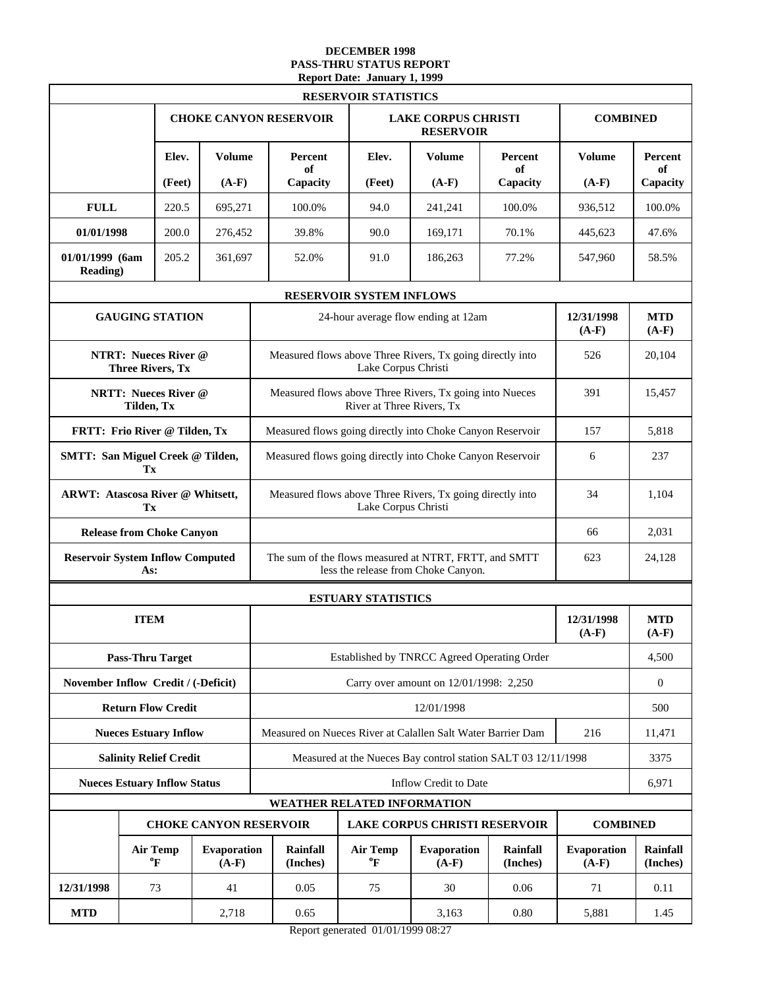#### **DECEMBER 1998 PASS-THRU STATUS REPORT Report Date: January 1, 1999**

|                                     |                                                        | <b>RESERVOIR STATISTICS</b>                                           |  |                                                                                                     |                                                                                      |                                                               |                      |                               |                       |  |  |  |
|-------------------------------------|--------------------------------------------------------|-----------------------------------------------------------------------|--|-----------------------------------------------------------------------------------------------------|--------------------------------------------------------------------------------------|---------------------------------------------------------------|----------------------|-------------------------------|-----------------------|--|--|--|
|                                     |                                                        |                                                                       |  | <b>CHOKE CANYON RESERVOIR</b>                                                                       |                                                                                      | <b>LAKE CORPUS CHRISTI</b><br><b>RESERVOIR</b>                |                      | <b>COMBINED</b>               |                       |  |  |  |
|                                     | Elev.                                                  | <b>Volume</b>                                                         |  | Percent<br>of                                                                                       | Elev.                                                                                | Volume                                                        | Percent<br>of        | <b>Volume</b>                 | Percent               |  |  |  |
|                                     | (Feet)                                                 | $(A-F)$                                                               |  | Capacity                                                                                            | (Feet)                                                                               | $(A-F)$                                                       | Capacity             | $(A-F)$                       | of<br>Capacity        |  |  |  |
| <b>FULL</b>                         | 220.5                                                  | 695,271                                                               |  | 100.0%                                                                                              | 94.0                                                                                 | 241,241                                                       | 100.0%               | 936,512                       | 100.0%                |  |  |  |
| 01/01/1998                          | 200.0                                                  | 276,452                                                               |  | 39.8%                                                                                               | 90.0                                                                                 | 169,171                                                       | 70.1%                | 445,623                       | 47.6%                 |  |  |  |
| 01/01/1999 (6am<br><b>Reading</b> ) | 205.2                                                  | 361,697                                                               |  | 52.0%                                                                                               | 91.0                                                                                 | 186,263                                                       | 77.2%                | 547,960                       | 58.5%                 |  |  |  |
|                                     |                                                        |                                                                       |  |                                                                                                     | RESERVOIR SYSTEM INFLOWS                                                             |                                                               |                      |                               |                       |  |  |  |
|                                     | <b>GAUGING STATION</b>                                 |                                                                       |  |                                                                                                     |                                                                                      | 24-hour average flow ending at 12am                           |                      | 12/31/1998<br>$(A-F)$         | <b>MTD</b><br>$(A-F)$ |  |  |  |
|                                     | <b>NTRT: Nueces River @</b><br><b>Three Rivers, Tx</b> |                                                                       |  | Measured flows above Three Rivers, Tx going directly into                                           | 526                                                                                  | 20,104                                                        |                      |                               |                       |  |  |  |
|                                     | <b>NRTT: Nueces River @</b><br>Tilden, Tx              |                                                                       |  |                                                                                                     | Measured flows above Three Rivers, Tx going into Nueces<br>River at Three Rivers, Tx |                                                               | 391                  | 15,457                        |                       |  |  |  |
|                                     | FRTT: Frio River @ Tilden, Tx                          |                                                                       |  | Measured flows going directly into Choke Canyon Reservoir                                           |                                                                                      | 157                                                           | 5.818                |                               |                       |  |  |  |
|                                     | <b>SMTT: San Miguel Creek @ Tilden,</b><br>Tx          |                                                                       |  | Measured flows going directly into Choke Canyon Reservoir                                           | 6                                                                                    | 237                                                           |                      |                               |                       |  |  |  |
|                                     | ARWT: Atascosa River @ Whitsett,<br>Tx                 |                                                                       |  |                                                                                                     | Lake Corpus Christi                                                                  | Measured flows above Three Rivers, Tx going directly into     |                      | 34                            | 1,104                 |  |  |  |
|                                     | <b>Release from Choke Canyon</b>                       |                                                                       |  | 66                                                                                                  |                                                                                      |                                                               |                      |                               |                       |  |  |  |
|                                     | <b>Reservoir System Inflow Computed</b><br>As:         |                                                                       |  | The sum of the flows measured at NTRT, FRTT, and SMTT<br>623<br>less the release from Choke Canyon. |                                                                                      |                                                               |                      |                               |                       |  |  |  |
|                                     |                                                        |                                                                       |  | <b>ESTUARY STATISTICS</b>                                                                           |                                                                                      |                                                               |                      |                               |                       |  |  |  |
|                                     | <b>ITEM</b>                                            |                                                                       |  |                                                                                                     |                                                                                      |                                                               |                      | 12/31/1998<br>$(A-F)$         | <b>MTD</b><br>$(A-F)$ |  |  |  |
|                                     | <b>Pass-Thru Target</b>                                |                                                                       |  |                                                                                                     |                                                                                      | Established by TNRCC Agreed Operating Order                   |                      |                               | 4,500                 |  |  |  |
|                                     | November Inflow Credit / (-Deficit)                    |                                                                       |  |                                                                                                     |                                                                                      | Carry over amount on 12/01/1998: 2,250                        |                      |                               | $\overline{0}$        |  |  |  |
|                                     | <b>Return Flow Credit</b>                              |                                                                       |  |                                                                                                     |                                                                                      | 12/01/1998                                                    |                      |                               | 500                   |  |  |  |
|                                     | <b>Nueces Estuary Inflow</b>                           |                                                                       |  |                                                                                                     |                                                                                      | Measured on Nueces River at Calallen Salt Water Barrier Dam   |                      | 216                           | 11,471                |  |  |  |
|                                     | <b>Salinity Relief Credit</b>                          |                                                                       |  |                                                                                                     |                                                                                      | Measured at the Nueces Bay control station SALT 03 12/11/1998 |                      |                               | 3375                  |  |  |  |
|                                     | <b>Nueces Estuary Inflow Status</b>                    |                                                                       |  |                                                                                                     |                                                                                      | Inflow Credit to Date                                         |                      |                               | 6,971                 |  |  |  |
|                                     |                                                        | WEATHER RELATED INFORMATION                                           |  |                                                                                                     |                                                                                      |                                                               |                      |                               |                       |  |  |  |
|                                     |                                                        | <b>CHOKE CANYON RESERVOIR</b><br><b>LAKE CORPUS CHRISTI RESERVOIR</b> |  |                                                                                                     |                                                                                      |                                                               |                      | <b>COMBINED</b>               |                       |  |  |  |
|                                     | <b>Air Temp</b><br>°F                                  | <b>Evaporation</b><br>$(A-F)$                                         |  | Rainfall<br>(Inches)                                                                                | <b>Air Temp</b><br>ºF                                                                | <b>Evaporation</b><br>$(A-F)$                                 | Rainfall<br>(Inches) | <b>Evaporation</b><br>$(A-F)$ | Rainfall<br>(Inches)  |  |  |  |
| 12/31/1998                          | 73                                                     | 41                                                                    |  | 0.05                                                                                                | 75<br>30<br>0.06                                                                     |                                                               |                      | 71                            | 0.11                  |  |  |  |
| <b>MTD</b>                          |                                                        | 2,718                                                                 |  | 0.65                                                                                                |                                                                                      | 3,163                                                         | 5,881                | 1.45                          |                       |  |  |  |

Report generated 01/01/1999 08:27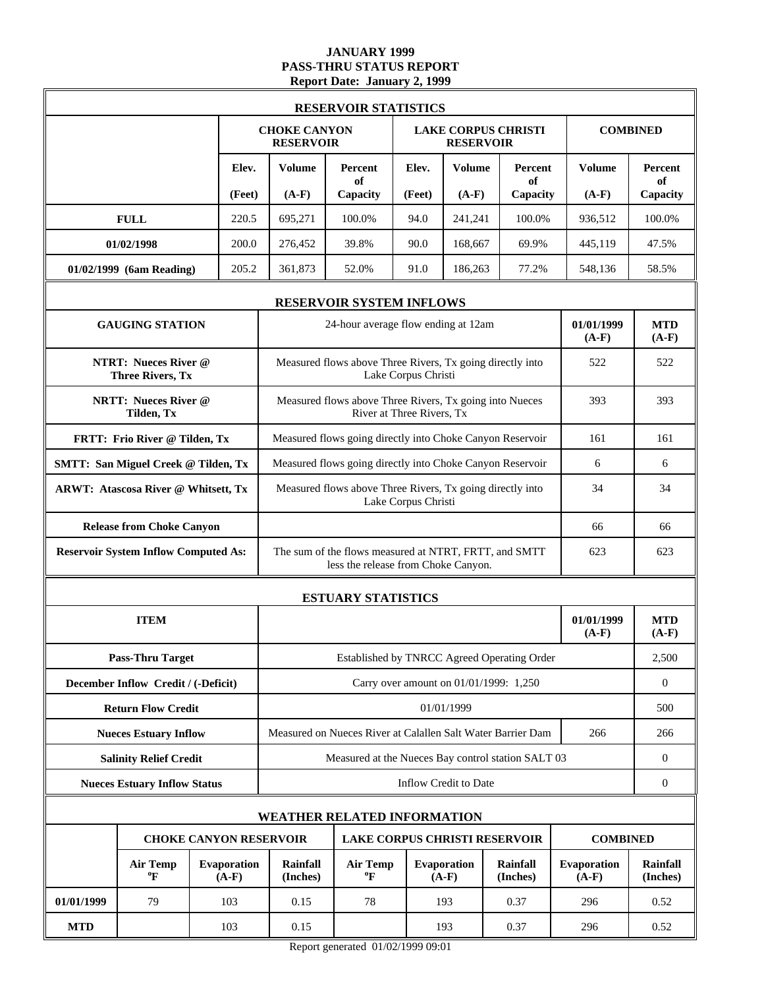### **JANUARY 1999 PASS-THRU STATUS REPORT Report Date: January 2, 1999**

|                                                        | <b>RESERVOIR STATISTICS</b> |                               |                                         |                                                                                              |        |                                        |                             |                        |                             |
|--------------------------------------------------------|-----------------------------|-------------------------------|-----------------------------------------|----------------------------------------------------------------------------------------------|--------|----------------------------------------|-----------------------------|------------------------|-----------------------------|
|                                                        |                             |                               | <b>CHOKE CANYON</b><br><b>RESERVOIR</b> |                                                                                              |        | <b>RESERVOIR</b>                       | <b>LAKE CORPUS CHRISTI</b>  |                        | <b>COMBINED</b>             |
|                                                        |                             | Elev.                         | <b>Volume</b>                           | Percent<br>of                                                                                | Elev.  | Volume                                 | Percent<br>of               | <b>Volume</b>          | Percent<br>of               |
|                                                        |                             | (Feet)                        | $(A-F)$                                 | Capacity                                                                                     | (Feet) | $(A-F)$                                | Capacity                    | $(A-F)$                | Capacity                    |
| <b>FULL</b>                                            |                             | 220.5                         | 695,271                                 | 100.0%                                                                                       | 94.0   | 241,241                                | 100.0%                      | 936,512                | 100.0%                      |
| 01/02/1998                                             |                             | 200.0                         | 276,452                                 | 39.8%                                                                                        | 90.0   | 168,667                                | 69.9%                       | 445,119                | 47.5%                       |
| 01/02/1999 (6am Reading)                               |                             | 205.2                         | 361,873                                 | 52.0%                                                                                        | 91.0   | 186,263                                | 77.2%                       | 548,136                | 58.5%                       |
|                                                        |                             |                               |                                         | <b>RESERVOIR SYSTEM INFLOWS</b>                                                              |        |                                        |                             |                        |                             |
| <b>GAUGING STATION</b>                                 |                             |                               |                                         | 24-hour average flow ending at 12am                                                          |        |                                        |                             | 01/01/1999<br>$(A-F)$  | <b>MTD</b><br>$(A-F)$       |
| <b>NTRT: Nueces River @</b><br><b>Three Rivers, Tx</b> |                             |                               |                                         | Measured flows above Three Rivers, Tx going directly into<br>Lake Corpus Christi             | 522    | 522                                    |                             |                        |                             |
| <b>NRTT: Nueces River @</b><br>Tilden, Tx              |                             |                               |                                         | Measured flows above Three Rivers, Tx going into Nueces<br>River at Three Rivers, Tx         | 393    | 393                                    |                             |                        |                             |
| FRTT: Frio River @ Tilden, Tx                          |                             |                               |                                         | Measured flows going directly into Choke Canyon Reservoir                                    |        |                                        |                             | 161                    | 161                         |
| <b>SMTT: San Miguel Creek @ Tilden, Tx</b>             |                             |                               |                                         | Measured flows going directly into Choke Canyon Reservoir                                    |        |                                        |                             | 6                      | 6                           |
| ARWT: Atascosa River @ Whitsett, Tx                    |                             |                               |                                         | Measured flows above Three Rivers, Tx going directly into<br>Lake Corpus Christi             | 34     | 34                                     |                             |                        |                             |
| <b>Release from Choke Canyon</b>                       |                             |                               | 66                                      |                                                                                              |        |                                        |                             |                        |                             |
| <b>Reservoir System Inflow Computed As:</b>            |                             |                               |                                         | The sum of the flows measured at NTRT, FRTT, and SMTT<br>less the release from Choke Canyon. |        |                                        |                             | 623                    | 623                         |
|                                                        |                             |                               |                                         | <b>ESTUARY STATISTICS</b>                                                                    |        |                                        |                             |                        |                             |
| <b>ITEM</b>                                            |                             |                               |                                         |                                                                                              |        |                                        |                             | 01/01/1999<br>$(A-F)$  | <b>MTD</b><br>$(A-F)$       |
| <b>Pass-Thru Target</b>                                |                             |                               |                                         | Established by TNRCC Agreed Operating Order                                                  |        |                                        |                             |                        | 2,500                       |
| December Inflow Credit / (-Deficit)                    |                             |                               |                                         |                                                                                              |        | Carry over amount on 01/01/1999: 1,250 |                             |                        | $\boldsymbol{0}$            |
| <b>Return Flow Credit</b>                              |                             |                               |                                         |                                                                                              |        | 01/01/1999                             |                             |                        | 500                         |
| <b>Nueces Estuary Inflow</b>                           |                             |                               |                                         | Measured on Nueces River at Calallen Salt Water Barrier Dam                                  |        |                                        |                             | 266                    | 266                         |
| <b>Salinity Relief Credit</b>                          |                             |                               |                                         | Measured at the Nueces Bay control station SALT 03                                           |        |                                        |                             |                        | $\boldsymbol{0}$            |
| <b>Nueces Estuary Inflow Status</b>                    |                             |                               |                                         |                                                                                              |        | Inflow Credit to Date                  |                             |                        | $\boldsymbol{0}$            |
|                                                        |                             |                               |                                         | <b>WEATHER RELATED INFORMATION</b>                                                           |        |                                        |                             |                        |                             |
|                                                        |                             | <b>CHOKE CANYON RESERVOIR</b> |                                         | <b>LAKE CORPUS CHRISTI RESERVOIR</b>                                                         |        |                                        |                             | <b>COMBINED</b>        |                             |
| <b>Air Temp</b><br>$\boldsymbol{P}$                    |                             | Evaporation<br>$(A-F)$        | Rainfall<br>(Inches)                    | <b>Air Temp</b><br>$\boldsymbol{P}$                                                          |        | <b>Evaporation</b><br>$(A-F)$          | <b>Rainfall</b><br>(Inches) | Evaporation<br>$(A-F)$ | <b>Rainfall</b><br>(Inches) |
| 01/01/1999<br>79                                       |                             | 103                           | 0.15                                    | 78                                                                                           |        | 193                                    | 0.37                        | 296                    | 0.52                        |
| <b>MTD</b>                                             |                             | 103                           | 0.15                                    |                                                                                              |        | 193                                    | 0.37                        | 296                    | 0.52                        |

Report generated 01/02/1999 09:01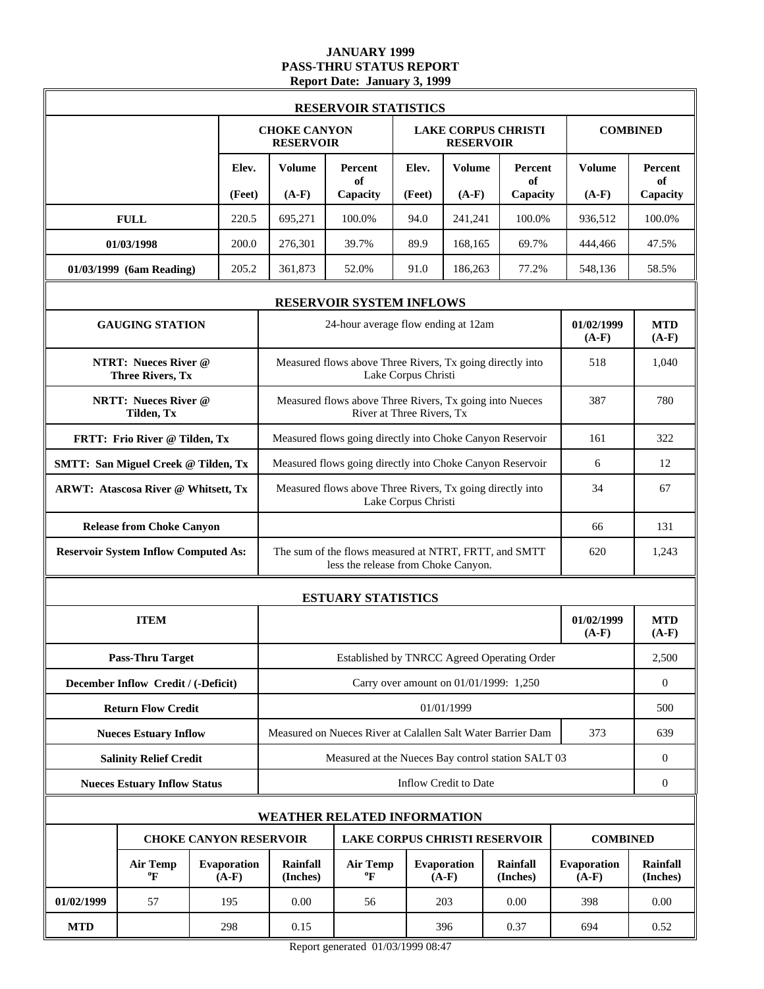### **JANUARY 1999 PASS-THRU STATUS REPORT Report Date: January 3, 1999**

|            |                                                        |                        | <b>RESERVOIR STATISTICS</b>             |                                                                                              |                     |                                        |                             |                        |                             |
|------------|--------------------------------------------------------|------------------------|-----------------------------------------|----------------------------------------------------------------------------------------------|---------------------|----------------------------------------|-----------------------------|------------------------|-----------------------------|
|            |                                                        |                        | <b>CHOKE CANYON</b><br><b>RESERVOIR</b> |                                                                                              |                     | <b>RESERVOIR</b>                       | <b>LAKE CORPUS CHRISTI</b>  |                        | <b>COMBINED</b>             |
|            |                                                        | Elev.                  | <b>Volume</b>                           | <b>Percent</b><br>of                                                                         | Elev.               | <b>Volume</b>                          | Percent<br>of               | <b>Volume</b>          | Percent<br>of               |
|            |                                                        | (Feet)                 | $(A-F)$                                 | Capacity                                                                                     | (Feet)              | $(A-F)$                                | Capacity                    | $(A-F)$                | Capacity                    |
|            | <b>FULL</b>                                            | 220.5                  | 695,271                                 | 100.0%                                                                                       | 94.0                | 241.241                                | 100.0%                      | 936,512                | 100.0%                      |
|            | 01/03/1998                                             | 200.0                  | 276,301                                 | 39.7%                                                                                        | 89.9                | 168,165                                | 69.7%                       | 444,466                | 47.5%                       |
|            | 01/03/1999 (6am Reading)                               | 205.2                  | 361,873                                 | 52.0%                                                                                        | 91.0                | 186,263                                | 77.2%                       | 548,136                | 58.5%                       |
|            |                                                        |                        |                                         | <b>RESERVOIR SYSTEM INFLOWS</b>                                                              |                     |                                        |                             |                        |                             |
|            | <b>GAUGING STATION</b>                                 |                        |                                         | 24-hour average flow ending at 12am                                                          |                     |                                        |                             | 01/02/1999<br>$(A-F)$  | <b>MTD</b><br>$(A-F)$       |
|            | <b>NTRT: Nueces River @</b><br><b>Three Rivers, Tx</b> |                        |                                         | Measured flows above Three Rivers, Tx going directly into                                    | Lake Corpus Christi |                                        |                             | 518                    | 1,040                       |
|            | <b>NRTT: Nueces River @</b><br>Tilden, Tx              |                        |                                         | Measured flows above Three Rivers, Tx going into Nueces<br>River at Three Rivers, Tx         | 387                 | 780                                    |                             |                        |                             |
|            | FRTT: Frio River @ Tilden, Tx                          |                        |                                         | Measured flows going directly into Choke Canyon Reservoir                                    |                     |                                        |                             | 161                    | 322                         |
|            | <b>SMTT: San Miguel Creek @ Tilden, Tx</b>             |                        |                                         | Measured flows going directly into Choke Canyon Reservoir                                    |                     |                                        |                             | 6                      | 12                          |
|            | <b>ARWT: Atascosa River @ Whitsett, Tx</b>             |                        |                                         | Measured flows above Three Rivers, Tx going directly into<br>Lake Corpus Christi             | 34                  | 67                                     |                             |                        |                             |
|            | <b>Release from Choke Canyon</b>                       |                        |                                         |                                                                                              |                     |                                        |                             | 66                     | 131                         |
|            | <b>Reservoir System Inflow Computed As:</b>            |                        |                                         | The sum of the flows measured at NTRT, FRTT, and SMTT<br>less the release from Choke Canyon. |                     |                                        |                             | 620                    | 1,243                       |
|            |                                                        |                        |                                         | <b>ESTUARY STATISTICS</b>                                                                    |                     |                                        |                             |                        |                             |
|            | <b>ITEM</b>                                            |                        |                                         |                                                                                              |                     |                                        |                             | 01/02/1999<br>$(A-F)$  | <b>MTD</b><br>$(A-F)$       |
|            | <b>Pass-Thru Target</b>                                |                        |                                         | Established by TNRCC Agreed Operating Order                                                  |                     |                                        |                             |                        | 2,500                       |
|            | December Inflow Credit / (-Deficit)                    |                        |                                         |                                                                                              |                     | Carry over amount on 01/01/1999: 1,250 |                             |                        | $\boldsymbol{0}$            |
|            | <b>Return Flow Credit</b>                              |                        |                                         |                                                                                              |                     | 01/01/1999                             |                             |                        | 500                         |
|            | <b>Nueces Estuary Inflow</b>                           |                        |                                         | Measured on Nueces River at Calallen Salt Water Barrier Dam                                  |                     |                                        |                             | 373                    | 639                         |
|            | <b>Salinity Relief Credit</b>                          |                        |                                         | Measured at the Nueces Bay control station SALT 03                                           |                     |                                        |                             |                        | $\mathbf{0}$                |
|            | <b>Nueces Estuary Inflow Status</b>                    |                        |                                         |                                                                                              |                     | Inflow Credit to Date                  |                             |                        | $\boldsymbol{0}$            |
|            |                                                        |                        |                                         | <b>WEATHER RELATED INFORMATION</b>                                                           |                     |                                        |                             |                        |                             |
|            | <b>CHOKE CANYON RESERVOIR</b>                          |                        |                                         | <b>LAKE CORPUS CHRISTI RESERVOIR</b>                                                         |                     |                                        |                             | <b>COMBINED</b>        |                             |
|            | <b>Air Temp</b><br>$\boldsymbol{P}$                    | Evaporation<br>$(A-F)$ | <b>Rainfall</b><br>(Inches)             | <b>Air Temp</b><br>$\boldsymbol{P}$                                                          |                     | Evaporation<br>$(A-F)$                 | <b>Rainfall</b><br>(Inches) | Evaporation<br>$(A-F)$ | <b>Rainfall</b><br>(Inches) |
| 01/02/1999 | 57                                                     | 195                    | 0.00                                    | 56                                                                                           |                     | 203                                    | 0.00                        | 398                    | 0.00                        |
| <b>MTD</b> |                                                        | 298                    | 0.15                                    |                                                                                              |                     | 396                                    | 0.37                        | 694                    | 0.52                        |

Report generated 01/03/1999 08:47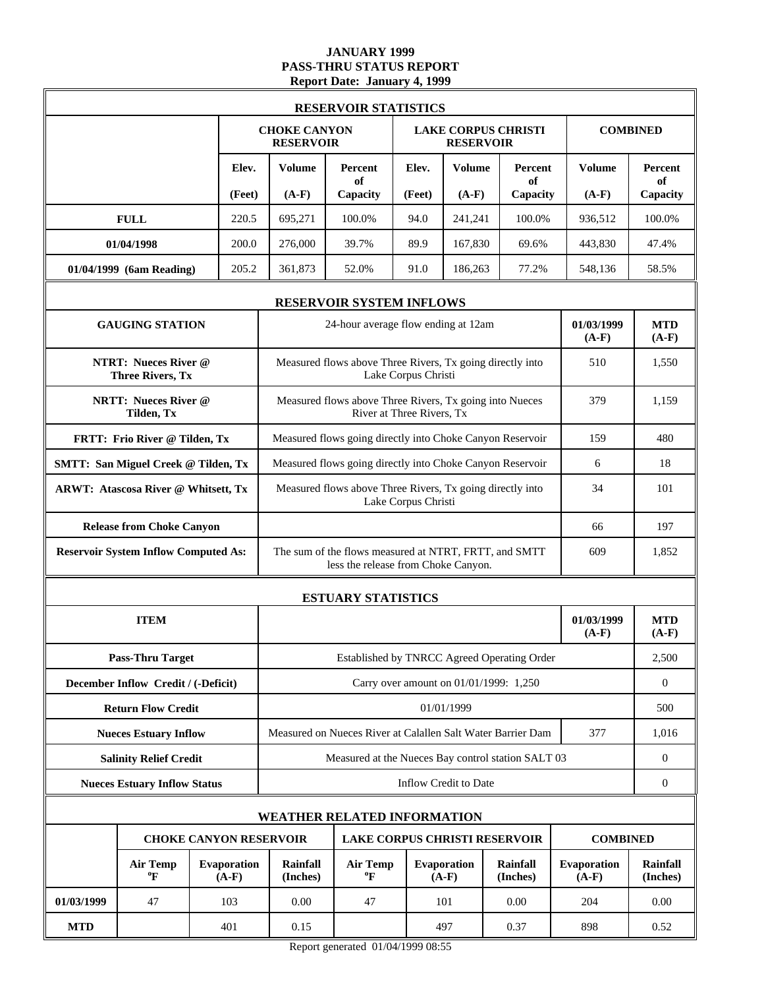### **JANUARY 1999 PASS-THRU STATUS REPORT Report Date: January 4, 1999**

|            |                                                        |                        |                                         | <b>RESERVOIR STATISTICS</b>                                                                  |                     |                                        |                             |                        |                             |
|------------|--------------------------------------------------------|------------------------|-----------------------------------------|----------------------------------------------------------------------------------------------|---------------------|----------------------------------------|-----------------------------|------------------------|-----------------------------|
|            |                                                        |                        | <b>CHOKE CANYON</b><br><b>RESERVOIR</b> |                                                                                              |                     | <b>RESERVOIR</b>                       | <b>LAKE CORPUS CHRISTI</b>  |                        | <b>COMBINED</b>             |
|            |                                                        | Elev.                  | <b>Volume</b>                           | Percent<br>of                                                                                | Elev.               | <b>Volume</b>                          | Percent<br>of               | <b>Volume</b>          | Percent<br>of               |
|            |                                                        | (Feet)                 | $(A-F)$                                 | Capacity                                                                                     | (Feet)              | $(A-F)$                                | Capacity                    | $(A-F)$                | Capacity                    |
|            | <b>FULL</b>                                            | 220.5                  | 695,271                                 | 100.0%                                                                                       | 94.0                | 241.241                                | 100.0%                      | 936,512                | 100.0%                      |
|            | 01/04/1998                                             | 200.0                  | 276,000                                 | 39.7%                                                                                        | 89.9                | 167,830                                | 69.6%                       | 443,830                | 47.4%                       |
|            | 01/04/1999 (6am Reading)                               | 205.2                  | 361,873                                 | 52.0%                                                                                        | 91.0                | 186,263                                | 77.2%                       | 548,136                | 58.5%                       |
|            |                                                        |                        |                                         | <b>RESERVOIR SYSTEM INFLOWS</b>                                                              |                     |                                        |                             |                        |                             |
|            | <b>GAUGING STATION</b>                                 |                        |                                         | 24-hour average flow ending at 12am                                                          |                     |                                        |                             | 01/03/1999<br>$(A-F)$  | <b>MTD</b><br>$(A-F)$       |
|            | <b>NTRT: Nueces River @</b><br><b>Three Rivers, Tx</b> |                        |                                         | Measured flows above Three Rivers, Tx going directly into                                    | Lake Corpus Christi |                                        |                             | 510                    | 1,550                       |
|            | <b>NRTT: Nueces River @</b><br>Tilden, Tx              |                        |                                         | Measured flows above Three Rivers, Tx going into Nueces<br>River at Three Rivers, Tx         | 379                 | 1,159                                  |                             |                        |                             |
|            | FRTT: Frio River @ Tilden, Tx                          |                        |                                         | Measured flows going directly into Choke Canyon Reservoir                                    |                     |                                        |                             | 159                    | 480                         |
|            | <b>SMTT: San Miguel Creek @ Tilden, Tx</b>             |                        |                                         | Measured flows going directly into Choke Canyon Reservoir                                    |                     |                                        |                             | 6                      | 18                          |
|            | <b>ARWT: Atascosa River @ Whitsett, Tx</b>             |                        |                                         | Measured flows above Three Rivers, Tx going directly into<br>Lake Corpus Christi             | 34                  | 101                                    |                             |                        |                             |
|            | <b>Release from Choke Canyon</b>                       |                        |                                         |                                                                                              |                     |                                        |                             | 66                     | 197                         |
|            | <b>Reservoir System Inflow Computed As:</b>            |                        |                                         | The sum of the flows measured at NTRT, FRTT, and SMTT<br>less the release from Choke Canyon. |                     |                                        |                             | 609                    | 1,852                       |
|            |                                                        |                        |                                         | <b>ESTUARY STATISTICS</b>                                                                    |                     |                                        |                             |                        |                             |
|            | <b>ITEM</b>                                            |                        |                                         |                                                                                              |                     |                                        |                             | 01/03/1999<br>$(A-F)$  | <b>MTD</b><br>$(A-F)$       |
|            | <b>Pass-Thru Target</b>                                |                        |                                         | Established by TNRCC Agreed Operating Order                                                  |                     |                                        |                             |                        | 2,500                       |
|            | December Inflow Credit / (-Deficit)                    |                        |                                         |                                                                                              |                     | Carry over amount on 01/01/1999: 1,250 |                             |                        | $\boldsymbol{0}$            |
|            | <b>Return Flow Credit</b>                              |                        |                                         |                                                                                              |                     | 01/01/1999                             |                             |                        | 500                         |
|            | <b>Nueces Estuary Inflow</b>                           |                        |                                         | Measured on Nueces River at Calallen Salt Water Barrier Dam                                  |                     |                                        |                             | 377                    | 1,016                       |
|            | <b>Salinity Relief Credit</b>                          |                        |                                         | Measured at the Nueces Bay control station SALT 03                                           |                     |                                        |                             |                        | $\boldsymbol{0}$            |
|            | <b>Nueces Estuary Inflow Status</b>                    |                        |                                         |                                                                                              |                     | Inflow Credit to Date                  |                             |                        | $\boldsymbol{0}$            |
|            |                                                        |                        |                                         | <b>WEATHER RELATED INFORMATION</b>                                                           |                     |                                        |                             |                        |                             |
|            | <b>CHOKE CANYON RESERVOIR</b>                          |                        |                                         | <b>LAKE CORPUS CHRISTI RESERVOIR</b>                                                         |                     |                                        |                             | <b>COMBINED</b>        |                             |
|            | <b>Air Temp</b><br>$\boldsymbol{P}$                    | Evaporation<br>$(A-F)$ | <b>Rainfall</b><br>(Inches)             | <b>Air Temp</b><br>$\boldsymbol{P}$                                                          |                     | Evaporation<br>$(A-F)$                 | <b>Rainfall</b><br>(Inches) | Evaporation<br>$(A-F)$ | <b>Rainfall</b><br>(Inches) |
| 01/03/1999 | 47                                                     | 103                    | 0.00                                    | 47                                                                                           |                     | 101                                    | 0.00                        | 204                    | 0.00                        |
| <b>MTD</b> |                                                        | 401                    | 0.15                                    |                                                                                              |                     | 497                                    | 0.37                        | 898                    | 0.52                        |

Report generated 01/04/1999 08:55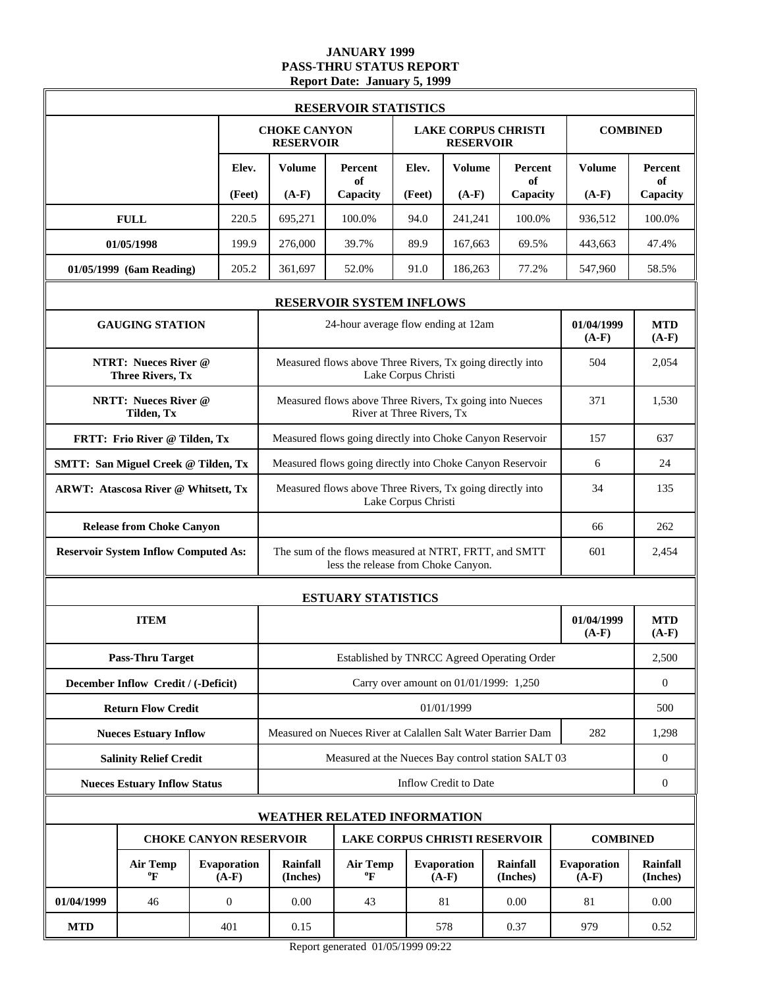### **JANUARY 1999 PASS-THRU STATUS REPORT Report Date: January 5, 1999**

|            |                                                        |                               | <b>RESERVOIR STATISTICS</b>                               |                                                                                              |                     |                        |                                        |                        |                             |
|------------|--------------------------------------------------------|-------------------------------|-----------------------------------------------------------|----------------------------------------------------------------------------------------------|---------------------|------------------------|----------------------------------------|------------------------|-----------------------------|
|            |                                                        |                               | <b>CHOKE CANYON</b><br><b>RESERVOIR</b>                   |                                                                                              |                     | <b>RESERVOIR</b>       | <b>LAKE CORPUS CHRISTI</b>             |                        | <b>COMBINED</b>             |
|            |                                                        | Elev.                         | <b>Volume</b>                                             | <b>Percent</b><br>of                                                                         | Elev.               | <b>Volume</b>          | Percent<br>of                          | <b>Volume</b>          | Percent<br>of               |
|            |                                                        | (Feet)                        | $(A-F)$                                                   | Capacity                                                                                     | (Feet)              | $(A-F)$                | Capacity                               | $(A-F)$                | Capacity                    |
|            | <b>FULL</b>                                            | 220.5                         | 695,271                                                   | 100.0%                                                                                       | 94.0                | 241.241                | 100.0%                                 | 936,512                | 100.0%                      |
|            | 01/05/1998                                             | 199.9                         | 276,000                                                   | 39.7%                                                                                        | 89.9                | 167,663                | 69.5%                                  | 443,663                | 47.4%                       |
|            | 01/05/1999 (6am Reading)                               | 205.2                         | 361,697                                                   | 52.0%                                                                                        | 91.0                | 186,263                | 77.2%                                  | 547,960                | 58.5%                       |
|            |                                                        |                               |                                                           | <b>RESERVOIR SYSTEM INFLOWS</b>                                                              |                     |                        |                                        |                        |                             |
|            | <b>GAUGING STATION</b>                                 |                               |                                                           | 24-hour average flow ending at 12am                                                          |                     |                        |                                        | 01/04/1999<br>$(A-F)$  | <b>MTD</b><br>$(A-F)$       |
|            | <b>NTRT: Nueces River @</b><br><b>Three Rivers, Tx</b> |                               |                                                           | Measured flows above Three Rivers, Tx going directly into                                    | Lake Corpus Christi |                        |                                        | 504                    | 2,054                       |
|            | <b>NRTT: Nueces River @</b><br>Tilden, Tx              |                               |                                                           | Measured flows above Three Rivers, Tx going into Nueces<br>River at Three Rivers, Tx         | 371                 | 1,530                  |                                        |                        |                             |
|            | FRTT: Frio River @ Tilden, Tx                          |                               |                                                           | Measured flows going directly into Choke Canyon Reservoir                                    | 157                 | 637                    |                                        |                        |                             |
|            | <b>SMTT: San Miguel Creek @ Tilden, Tx</b>             |                               |                                                           | Measured flows going directly into Choke Canyon Reservoir                                    |                     |                        |                                        | 6                      | 24                          |
|            | <b>ARWT: Atascosa River @ Whitsett, Tx</b>             |                               | Measured flows above Three Rivers, Tx going directly into | 34                                                                                           | 135                 |                        |                                        |                        |                             |
|            | <b>Release from Choke Canyon</b>                       |                               | 66                                                        |                                                                                              |                     |                        |                                        |                        | 262                         |
|            | <b>Reservoir System Inflow Computed As:</b>            |                               |                                                           | The sum of the flows measured at NTRT, FRTT, and SMTT<br>less the release from Choke Canyon. |                     |                        |                                        | 601                    | 2,454                       |
|            |                                                        |                               |                                                           | <b>ESTUARY STATISTICS</b>                                                                    |                     |                        |                                        |                        |                             |
|            | <b>ITEM</b>                                            |                               |                                                           |                                                                                              |                     |                        |                                        | 01/04/1999<br>$(A-F)$  | <b>MTD</b><br>$(A-F)$       |
|            | <b>Pass-Thru Target</b>                                |                               |                                                           | Established by TNRCC Agreed Operating Order                                                  |                     |                        |                                        |                        | 2,500                       |
|            | December Inflow Credit / (-Deficit)                    |                               |                                                           |                                                                                              |                     |                        | Carry over amount on 01/01/1999: 1,250 |                        | $\boldsymbol{0}$            |
|            | <b>Return Flow Credit</b>                              |                               |                                                           |                                                                                              |                     | 01/01/1999             |                                        |                        | 500                         |
|            | <b>Nueces Estuary Inflow</b>                           |                               |                                                           | Measured on Nueces River at Calallen Salt Water Barrier Dam                                  |                     |                        |                                        | 282                    | 1,298                       |
|            | <b>Salinity Relief Credit</b>                          |                               |                                                           | Measured at the Nueces Bay control station SALT 03                                           |                     |                        |                                        |                        | $\mathbf{0}$                |
|            | <b>Nueces Estuary Inflow Status</b>                    |                               |                                                           |                                                                                              |                     | Inflow Credit to Date  |                                        |                        | $\boldsymbol{0}$            |
|            |                                                        |                               |                                                           | <b>WEATHER RELATED INFORMATION</b>                                                           |                     |                        |                                        |                        |                             |
|            |                                                        | <b>CHOKE CANYON RESERVOIR</b> |                                                           | <b>LAKE CORPUS CHRISTI RESERVOIR</b>                                                         |                     |                        |                                        | <b>COMBINED</b>        |                             |
|            | <b>Air Temp</b><br>$\boldsymbol{P}$                    | Evaporation<br>$(A-F)$        | <b>Rainfall</b><br>(Inches)                               | <b>Air Temp</b><br>$\boldsymbol{P}$                                                          |                     | Evaporation<br>$(A-F)$ | <b>Rainfall</b><br>(Inches)            | Evaporation<br>$(A-F)$ | <b>Rainfall</b><br>(Inches) |
| 01/04/1999 | 46                                                     | $\overline{0}$                | 0.00                                                      | 43                                                                                           |                     | 81                     | 0.00                                   | 81                     | 0.00                        |
| <b>MTD</b> |                                                        | 401                           | 0.15                                                      |                                                                                              |                     | 578                    | 979                                    | 0.52                   |                             |

Report generated 01/05/1999 09:22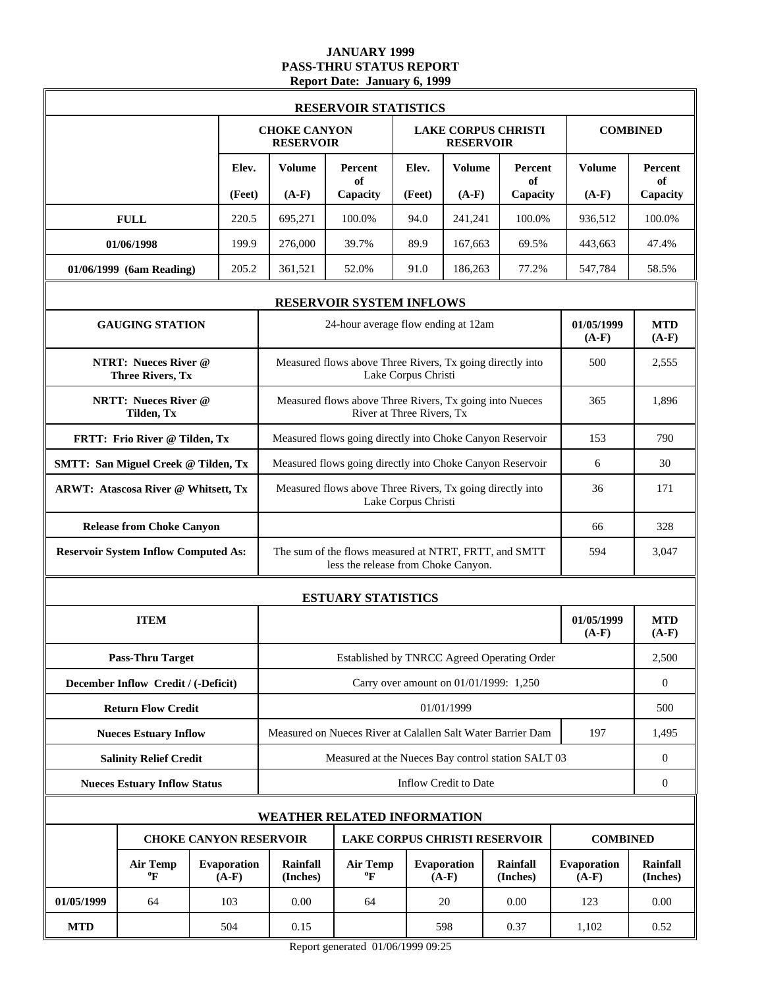### **JANUARY 1999 PASS-THRU STATUS REPORT Report Date: January 6, 1999**

|            | <b>RESERVOIR STATISTICS</b>                            |  |                               |                                         |                                                                                              |                     |                                        |                             |                        |                             |
|------------|--------------------------------------------------------|--|-------------------------------|-----------------------------------------|----------------------------------------------------------------------------------------------|---------------------|----------------------------------------|-----------------------------|------------------------|-----------------------------|
|            |                                                        |  |                               | <b>CHOKE CANYON</b><br><b>RESERVOIR</b> |                                                                                              |                     | <b>RESERVOIR</b>                       | <b>LAKE CORPUS CHRISTI</b>  |                        | <b>COMBINED</b>             |
|            |                                                        |  | Elev.                         | <b>Volume</b>                           | Percent                                                                                      | Elev.               | <b>Volume</b>                          | Percent                     | <b>Volume</b>          | <b>Percent</b>              |
|            |                                                        |  | (Feet)                        | $(A-F)$                                 | of<br>Capacity                                                                               | (Feet)              | $(A-F)$                                | of<br>Capacity              | $(A-F)$                | of<br>Capacity              |
|            | <b>FULL</b>                                            |  | 220.5                         | 695,271                                 | 100.0%                                                                                       | 94.0                | 241,241                                | 100.0%                      | 936,512                | 100.0%                      |
|            | 01/06/1998                                             |  | 199.9                         | 276,000                                 | 39.7%                                                                                        | 89.9                | 167,663                                | 69.5%                       | 443,663                | 47.4%                       |
|            | 01/06/1999 (6am Reading)                               |  | 205.2                         | 361,521                                 | 52.0%                                                                                        | 91.0                | 186,263                                | 77.2%                       | 547.784                | 58.5%                       |
|            |                                                        |  |                               |                                         | <b>RESERVOIR SYSTEM INFLOWS</b>                                                              |                     |                                        |                             |                        |                             |
|            | <b>GAUGING STATION</b>                                 |  |                               |                                         | 24-hour average flow ending at 12am                                                          |                     |                                        |                             | 01/05/1999<br>$(A-F)$  | <b>MTD</b><br>$(A-F)$       |
|            | <b>NTRT: Nueces River @</b><br><b>Three Rivers, Tx</b> |  |                               |                                         | Measured flows above Three Rivers, Tx going directly into                                    | Lake Corpus Christi |                                        |                             | 500                    | 2,555                       |
|            | <b>NRTT: Nueces River @</b><br>Tilden, Tx              |  |                               |                                         | Measured flows above Three Rivers, Tx going into Nueces<br>River at Three Rivers, Tx         | 365                 | 1,896                                  |                             |                        |                             |
|            | FRTT: Frio River @ Tilden, Tx                          |  |                               |                                         | Measured flows going directly into Choke Canyon Reservoir                                    |                     |                                        |                             | 153                    | 790                         |
|            | <b>SMTT: San Miguel Creek @ Tilden, Tx</b>             |  |                               |                                         | Measured flows going directly into Choke Canyon Reservoir                                    |                     |                                        |                             | 6                      | 30                          |
|            | <b>ARWT: Atascosa River @ Whitsett, Tx</b>             |  |                               |                                         | Measured flows above Three Rivers, Tx going directly into<br>Lake Corpus Christi             | 36                  | 171                                    |                             |                        |                             |
|            | <b>Release from Choke Canyon</b>                       |  |                               | 66                                      |                                                                                              |                     |                                        |                             |                        |                             |
|            | <b>Reservoir System Inflow Computed As:</b>            |  |                               |                                         | The sum of the flows measured at NTRT, FRTT, and SMTT<br>less the release from Choke Canyon. |                     |                                        |                             | 594                    | 3,047                       |
|            |                                                        |  |                               |                                         | <b>ESTUARY STATISTICS</b>                                                                    |                     |                                        |                             |                        |                             |
|            | <b>ITEM</b>                                            |  |                               |                                         |                                                                                              |                     |                                        |                             | 01/05/1999<br>$(A-F)$  | <b>MTD</b><br>$(A-F)$       |
|            | <b>Pass-Thru Target</b>                                |  |                               |                                         | Established by TNRCC Agreed Operating Order                                                  |                     |                                        |                             |                        | 2,500                       |
|            | December Inflow Credit / (-Deficit)                    |  |                               |                                         |                                                                                              |                     | Carry over amount on 01/01/1999: 1,250 |                             |                        | $\boldsymbol{0}$            |
|            | <b>Return Flow Credit</b>                              |  |                               |                                         |                                                                                              |                     | 01/01/1999                             |                             |                        | 500                         |
|            | <b>Nueces Estuary Inflow</b>                           |  |                               |                                         | Measured on Nueces River at Calallen Salt Water Barrier Dam                                  |                     |                                        |                             | 197                    | 1,495                       |
|            | <b>Salinity Relief Credit</b>                          |  |                               |                                         | Measured at the Nueces Bay control station SALT 03                                           |                     |                                        |                             |                        | $\mathbf{0}$                |
|            | <b>Nueces Estuary Inflow Status</b>                    |  |                               |                                         |                                                                                              |                     | <b>Inflow Credit to Date</b>           |                             |                        | $\boldsymbol{0}$            |
|            |                                                        |  |                               |                                         | <b>WEATHER RELATED INFORMATION</b>                                                           |                     |                                        |                             |                        |                             |
|            |                                                        |  | <b>CHOKE CANYON RESERVOIR</b> |                                         | <b>LAKE CORPUS CHRISTI RESERVOIR</b>                                                         |                     |                                        |                             | <b>COMBINED</b>        |                             |
|            | <b>Air Temp</b><br>$\boldsymbol{P}$                    |  | Evaporation<br>$(A-F)$        | <b>Rainfall</b><br>(Inches)             | <b>Air Temp</b><br>$\boldsymbol{\mathrm{o}}_{\boldsymbol{\mathrm{F}}}$                       |                     | Evaporation<br>$(A-F)$                 | <b>Rainfall</b><br>(Inches) | Evaporation<br>$(A-F)$ | <b>Rainfall</b><br>(Inches) |
| 01/05/1999 | 64                                                     |  | 103                           | 0.00                                    | 64                                                                                           |                     | 20                                     | 0.00                        | 123                    | 0.00                        |
| <b>MTD</b> |                                                        |  | 504                           | 0.15                                    |                                                                                              |                     | 598                                    | 0.37                        | 1,102                  | 0.52                        |

Report generated 01/06/1999 09:25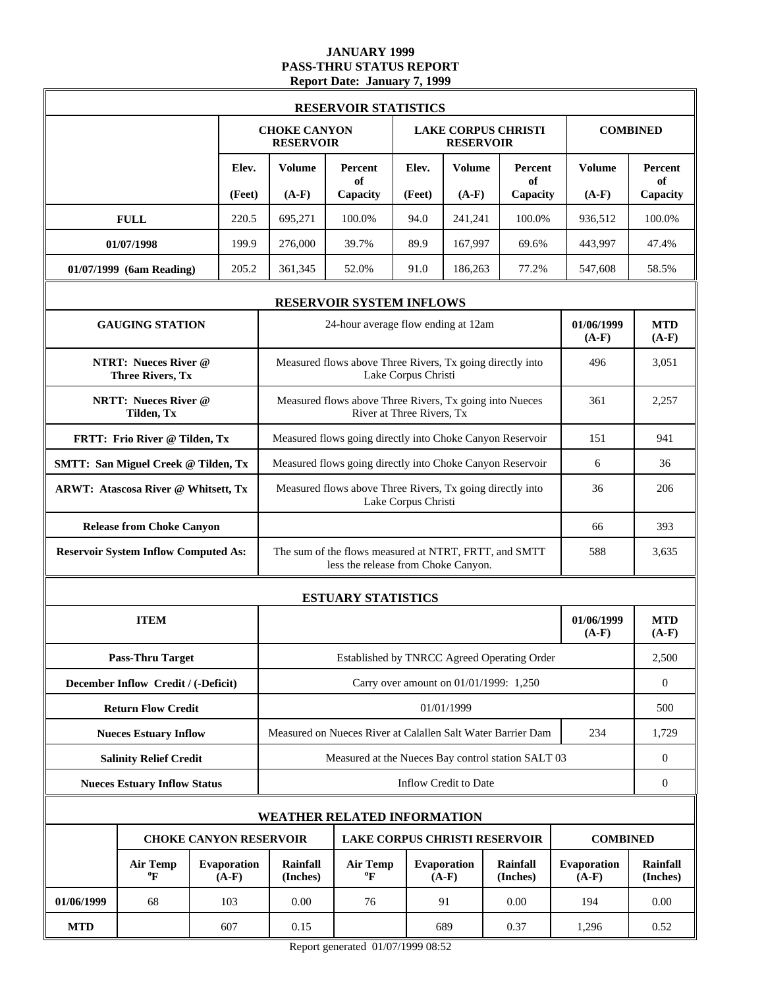### **JANUARY 1999 PASS-THRU STATUS REPORT Report Date: January 7, 1999**

|            |                                                        |                        |                                                           | <b>RESERVOIR STATISTICS</b>                                                                  |                     |                        |                                        |                        |                             |
|------------|--------------------------------------------------------|------------------------|-----------------------------------------------------------|----------------------------------------------------------------------------------------------|---------------------|------------------------|----------------------------------------|------------------------|-----------------------------|
|            |                                                        |                        | <b>CHOKE CANYON</b><br><b>RESERVOIR</b>                   |                                                                                              |                     | <b>RESERVOIR</b>       | <b>LAKE CORPUS CHRISTI</b>             |                        | <b>COMBINED</b>             |
|            |                                                        | Elev.                  | <b>Volume</b>                                             | Percent<br>of                                                                                | Elev.               | <b>Volume</b>          | Percent<br>of                          | <b>Volume</b>          | Percent<br>of               |
|            |                                                        | (Feet)                 | $(A-F)$                                                   | Capacity                                                                                     | (Feet)              | $(A-F)$                | Capacity                               | $(A-F)$                | Capacity                    |
|            | <b>FULL</b>                                            | 220.5                  | 695,271                                                   | 100.0%                                                                                       | 94.0                | 241,241                | 100.0%                                 | 936,512                | 100.0%                      |
|            | 01/07/1998                                             | 199.9                  | 276,000                                                   | 39.7%                                                                                        | 89.9                | 167,997                | 69.6%                                  | 443,997                | 47.4%                       |
|            | 01/07/1999 (6am Reading)                               | 205.2                  | 361,345                                                   | 52.0%                                                                                        | 91.0                | 186,263                | 77.2%                                  | 547,608                | 58.5%                       |
|            |                                                        |                        |                                                           | <b>RESERVOIR SYSTEM INFLOWS</b>                                                              |                     |                        |                                        |                        |                             |
|            | <b>GAUGING STATION</b>                                 |                        |                                                           | 24-hour average flow ending at 12am                                                          |                     |                        |                                        | 01/06/1999<br>$(A-F)$  | <b>MTD</b><br>$(A-F)$       |
|            | <b>NTRT: Nueces River @</b><br><b>Three Rivers, Tx</b> |                        |                                                           | Measured flows above Three Rivers, Tx going directly into                                    | Lake Corpus Christi |                        |                                        | 496                    | 3,051                       |
|            | <b>NRTT: Nueces River @</b><br>Tilden, Tx              |                        |                                                           | Measured flows above Three Rivers, Tx going into Nueces<br>River at Three Rivers, Tx         | 361                 | 2,257                  |                                        |                        |                             |
|            | FRTT: Frio River @ Tilden, Tx                          |                        |                                                           | Measured flows going directly into Choke Canyon Reservoir                                    |                     |                        |                                        | 151                    | 941                         |
|            | <b>SMTT: San Miguel Creek @ Tilden, Tx</b>             |                        |                                                           | Measured flows going directly into Choke Canyon Reservoir                                    |                     |                        |                                        | 6                      | 36                          |
|            | <b>ARWT: Atascosa River @ Whitsett, Tx</b>             |                        | Measured flows above Three Rivers, Tx going directly into | 36                                                                                           | 206                 |                        |                                        |                        |                             |
|            | <b>Release from Choke Canyon</b>                       |                        | 66                                                        |                                                                                              |                     |                        |                                        |                        |                             |
|            | <b>Reservoir System Inflow Computed As:</b>            |                        |                                                           | The sum of the flows measured at NTRT, FRTT, and SMTT<br>less the release from Choke Canyon. |                     |                        |                                        | 588                    | 3,635                       |
|            |                                                        |                        |                                                           | <b>ESTUARY STATISTICS</b>                                                                    |                     |                        |                                        |                        |                             |
|            | <b>ITEM</b>                                            |                        |                                                           |                                                                                              |                     |                        |                                        | 01/06/1999<br>$(A-F)$  | <b>MTD</b><br>$(A-F)$       |
|            | <b>Pass-Thru Target</b>                                |                        |                                                           | Established by TNRCC Agreed Operating Order                                                  |                     |                        |                                        |                        | 2,500                       |
|            | December Inflow Credit / (-Deficit)                    |                        |                                                           |                                                                                              |                     |                        | Carry over amount on 01/01/1999: 1,250 |                        | $\boldsymbol{0}$            |
|            | <b>Return Flow Credit</b>                              |                        |                                                           |                                                                                              |                     | 01/01/1999             |                                        |                        | 500                         |
|            | <b>Nueces Estuary Inflow</b>                           |                        |                                                           | Measured on Nueces River at Calallen Salt Water Barrier Dam                                  |                     |                        |                                        | 234                    | 1,729                       |
|            | <b>Salinity Relief Credit</b>                          |                        |                                                           | Measured at the Nueces Bay control station SALT 03                                           |                     |                        |                                        |                        | $\mathbf{0}$                |
|            | <b>Nueces Estuary Inflow Status</b>                    |                        |                                                           |                                                                                              |                     | Inflow Credit to Date  |                                        |                        | $\boldsymbol{0}$            |
|            |                                                        |                        |                                                           | <b>WEATHER RELATED INFORMATION</b>                                                           |                     |                        |                                        |                        |                             |
|            | <b>CHOKE CANYON RESERVOIR</b>                          |                        |                                                           | <b>LAKE CORPUS CHRISTI RESERVOIR</b>                                                         |                     |                        |                                        | <b>COMBINED</b>        |                             |
|            | <b>Air Temp</b><br>$\boldsymbol{P}$                    | Evaporation<br>$(A-F)$ | <b>Rainfall</b><br>(Inches)                               | <b>Air Temp</b><br>$\boldsymbol{P}$                                                          |                     | Evaporation<br>$(A-F)$ | <b>Rainfall</b><br>(Inches)            | Evaporation<br>$(A-F)$ | <b>Rainfall</b><br>(Inches) |
| 01/06/1999 | 68                                                     | 103                    | 0.00                                                      | 76                                                                                           |                     | 91                     | 0.00                                   | 194                    | 0.00                        |
| <b>MTD</b> |                                                        | 607                    | 0.15                                                      |                                                                                              |                     | 689                    | 0.37                                   | 1,296                  | 0.52                        |

Report generated 01/07/1999 08:52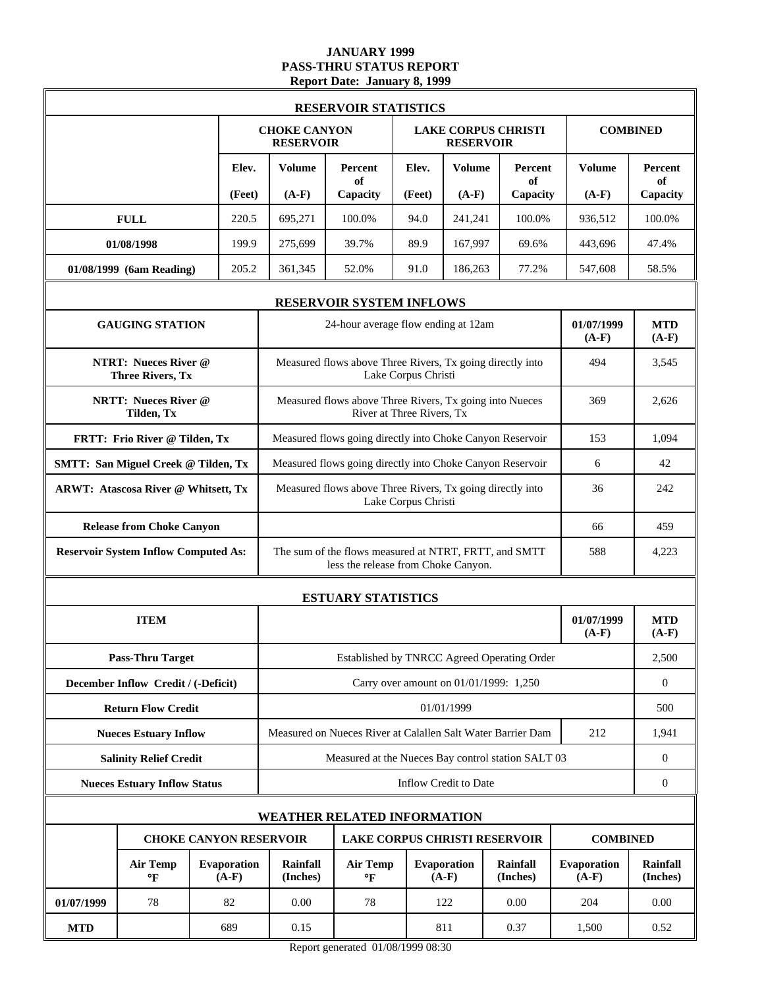### **JANUARY 1999 PASS-THRU STATUS REPORT Report Date: January 8, 1999**

|                                                        |                               |                                         | <b>RESERVOIR STATISTICS</b>                                                                  |                     |                                        |                             |                        |                             |
|--------------------------------------------------------|-------------------------------|-----------------------------------------|----------------------------------------------------------------------------------------------|---------------------|----------------------------------------|-----------------------------|------------------------|-----------------------------|
|                                                        |                               | <b>CHOKE CANYON</b><br><b>RESERVOIR</b> |                                                                                              |                     | <b>RESERVOIR</b>                       | <b>LAKE CORPUS CHRISTI</b>  |                        | <b>COMBINED</b>             |
|                                                        | Elev.                         | <b>Volume</b>                           | <b>Percent</b><br>of                                                                         | Elev.               | <b>Volume</b>                          | Percent<br>of               | <b>Volume</b>          | Percent<br>of               |
|                                                        | (Feet)                        | $(A-F)$                                 | Capacity                                                                                     | (Feet)              | $(A-F)$                                | Capacity                    | $(A-F)$                | Capacity                    |
| <b>FULL</b>                                            | 220.5                         | 695,271                                 | 100.0%                                                                                       | 94.0                | 241,241                                | 100.0%                      | 936,512                | 100.0%                      |
| 01/08/1998                                             | 199.9                         | 275.699                                 | 39.7%                                                                                        | 89.9                | 167,997                                | 69.6%                       | 443.696                | 47.4%                       |
| 01/08/1999 (6am Reading)                               | 205.2                         | 361,345                                 | 52.0%                                                                                        | 91.0                | 186,263                                | 77.2%                       | 547,608                | 58.5%                       |
|                                                        |                               |                                         | <b>RESERVOIR SYSTEM INFLOWS</b>                                                              |                     |                                        |                             |                        |                             |
| <b>GAUGING STATION</b>                                 |                               |                                         | 24-hour average flow ending at 12am                                                          |                     |                                        |                             | 01/07/1999<br>$(A-F)$  | <b>MTD</b><br>$(A-F)$       |
| <b>NTRT: Nueces River @</b><br><b>Three Rivers, Tx</b> |                               |                                         | Measured flows above Three Rivers, Tx going directly into                                    | Lake Corpus Christi |                                        |                             | 494                    | 3,545                       |
| <b>NRTT: Nueces River @</b><br>Tilden, Tx              |                               |                                         | Measured flows above Three Rivers, Tx going into Nueces<br>River at Three Rivers, Tx         | 369                 | 2,626                                  |                             |                        |                             |
| FRTT: Frio River @ Tilden, Tx                          |                               |                                         | Measured flows going directly into Choke Canyon Reservoir                                    |                     |                                        |                             | 153                    | 1,094                       |
| <b>SMTT: San Miguel Creek @ Tilden, Tx</b>             |                               |                                         | Measured flows going directly into Choke Canyon Reservoir                                    |                     |                                        |                             | 6                      | 42                          |
| <b>ARWT: Atascosa River @ Whitsett, Tx</b>             |                               |                                         | Measured flows above Three Rivers, Tx going directly into<br>Lake Corpus Christi             | 36                  | 242                                    |                             |                        |                             |
| <b>Release from Choke Canyon</b>                       |                               |                                         | 66                                                                                           | 459                 |                                        |                             |                        |                             |
| <b>Reservoir System Inflow Computed As:</b>            |                               |                                         | The sum of the flows measured at NTRT, FRTT, and SMTT<br>less the release from Choke Canyon. |                     |                                        |                             | 588                    | 4,223                       |
|                                                        |                               |                                         | <b>ESTUARY STATISTICS</b>                                                                    |                     |                                        |                             |                        |                             |
| <b>ITEM</b>                                            |                               |                                         |                                                                                              |                     |                                        |                             | 01/07/1999<br>$(A-F)$  | <b>MTD</b><br>$(A-F)$       |
| <b>Pass-Thru Target</b>                                |                               |                                         | Established by TNRCC Agreed Operating Order                                                  |                     |                                        |                             |                        | 2,500                       |
| December Inflow Credit / (-Deficit)                    |                               |                                         |                                                                                              |                     | Carry over amount on 01/01/1999: 1,250 |                             |                        | $\boldsymbol{0}$            |
| <b>Return Flow Credit</b>                              |                               |                                         |                                                                                              |                     | 01/01/1999                             |                             |                        | 500                         |
| <b>Nueces Estuary Inflow</b>                           |                               |                                         | Measured on Nueces River at Calallen Salt Water Barrier Dam                                  |                     |                                        |                             | 212                    | 1,941                       |
| <b>Salinity Relief Credit</b>                          |                               |                                         | Measured at the Nueces Bay control station SALT 03                                           |                     |                                        |                             |                        | $\mathbf{0}$                |
| <b>Nueces Estuary Inflow Status</b>                    |                               |                                         |                                                                                              |                     | Inflow Credit to Date                  |                             |                        | $\boldsymbol{0}$            |
|                                                        |                               |                                         | <b>WEATHER RELATED INFORMATION</b>                                                           |                     |                                        |                             |                        |                             |
|                                                        | <b>CHOKE CANYON RESERVOIR</b> |                                         | <b>LAKE CORPUS CHRISTI RESERVOIR</b>                                                         |                     |                                        |                             | <b>COMBINED</b>        |                             |
| <b>Air Temp</b><br>$\mathbf{P}$                        | <b>Evaporation</b><br>$(A-F)$ | <b>Rainfall</b><br>(Inches)             | <b>Air Temp</b><br>$\mathbf{F}$                                                              |                     | Evaporation<br>$(A-F)$                 | <b>Rainfall</b><br>(Inches) | Evaporation<br>$(A-F)$ | <b>Rainfall</b><br>(Inches) |
| 01/07/1999<br>78                                       | 82                            | 0.00                                    | 78                                                                                           |                     | 122                                    | 0.00                        | 204                    | 0.00                        |
| <b>MTD</b>                                             | 689                           | 0.15                                    |                                                                                              |                     | 811                                    | 0.37                        | 1,500                  | 0.52                        |

Report generated 01/08/1999 08:30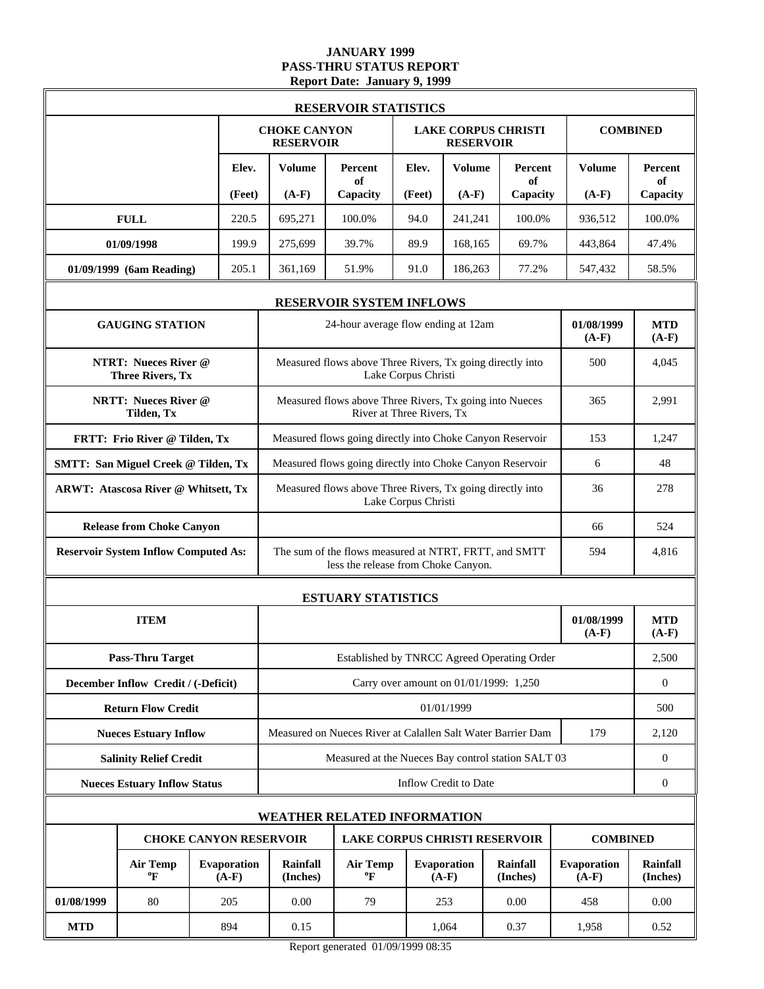### **JANUARY 1999 PASS-THRU STATUS REPORT Report Date: January 9, 1999**

|                                                        |                               |                                         | <b>RESERVOIR STATISTICS</b>                                                                  |                     |                                                |                             |                        |                             |
|--------------------------------------------------------|-------------------------------|-----------------------------------------|----------------------------------------------------------------------------------------------|---------------------|------------------------------------------------|-----------------------------|------------------------|-----------------------------|
|                                                        |                               | <b>CHOKE CANYON</b><br><b>RESERVOIR</b> |                                                                                              |                     | <b>LAKE CORPUS CHRISTI</b><br><b>RESERVOIR</b> |                             |                        | <b>COMBINED</b>             |
|                                                        | Elev.                         | <b>Volume</b>                           | Percent<br>of                                                                                | Elev.               | <b>Volume</b>                                  | Percent<br>of               | <b>Volume</b>          | Percent<br>of               |
|                                                        | (Feet)                        | $(A-F)$                                 | Capacity                                                                                     | (Feet)              | $(A-F)$                                        | Capacity                    | $(A-F)$                | Capacity                    |
| <b>FULL</b>                                            | 220.5                         | 695,271                                 | 100.0%                                                                                       | 94.0                | 241.241                                        | 100.0%                      | 936,512                | 100.0%                      |
| 01/09/1998                                             | 199.9                         | 275,699                                 | 39.7%                                                                                        | 89.9                | 168,165                                        | 69.7%                       | 443,864                | 47.4%                       |
| 01/09/1999 (6am Reading)                               | 205.1                         | 361,169                                 | 51.9%                                                                                        | 91.0                | 186,263                                        | 77.2%                       | 547,432                | 58.5%                       |
|                                                        |                               |                                         | <b>RESERVOIR SYSTEM INFLOWS</b>                                                              |                     |                                                |                             |                        |                             |
| <b>GAUGING STATION</b>                                 |                               |                                         | 24-hour average flow ending at 12am                                                          |                     |                                                |                             | 01/08/1999<br>$(A-F)$  | <b>MTD</b><br>$(A-F)$       |
| <b>NTRT: Nueces River @</b><br><b>Three Rivers, Tx</b> |                               |                                         | Measured flows above Three Rivers, Tx going directly into                                    | Lake Corpus Christi |                                                |                             | 500                    | 4,045                       |
| <b>NRTT: Nueces River @</b><br>Tilden, Tx              |                               |                                         | Measured flows above Three Rivers, Tx going into Nueces<br>River at Three Rivers, Tx         | 365                 | 2,991                                          |                             |                        |                             |
| FRTT: Frio River @ Tilden, Tx                          |                               |                                         | Measured flows going directly into Choke Canyon Reservoir                                    | 153                 | 1,247                                          |                             |                        |                             |
| <b>SMTT: San Miguel Creek @ Tilden, Tx</b>             |                               |                                         | Measured flows going directly into Choke Canyon Reservoir                                    |                     |                                                |                             | 6                      | 48                          |
| <b>ARWT: Atascosa River @ Whitsett, Tx</b>             |                               |                                         | Measured flows above Three Rivers, Tx going directly into<br>Lake Corpus Christi             | 36                  | 278                                            |                             |                        |                             |
| <b>Release from Choke Canyon</b>                       |                               | 66                                      |                                                                                              |                     |                                                |                             |                        |                             |
| <b>Reservoir System Inflow Computed As:</b>            |                               |                                         | The sum of the flows measured at NTRT, FRTT, and SMTT<br>less the release from Choke Canyon. |                     |                                                |                             | 594                    | 4,816                       |
|                                                        |                               |                                         | <b>ESTUARY STATISTICS</b>                                                                    |                     |                                                |                             |                        |                             |
| <b>ITEM</b>                                            |                               |                                         |                                                                                              |                     |                                                |                             | 01/08/1999<br>$(A-F)$  | <b>MTD</b><br>$(A-F)$       |
| <b>Pass-Thru Target</b>                                |                               |                                         | Established by TNRCC Agreed Operating Order                                                  |                     |                                                |                             |                        | 2,500                       |
| December Inflow Credit / (-Deficit)                    |                               |                                         |                                                                                              |                     | Carry over amount on 01/01/1999: 1,250         |                             |                        | $\boldsymbol{0}$            |
| <b>Return Flow Credit</b>                              |                               |                                         |                                                                                              |                     | 01/01/1999                                     |                             |                        | 500                         |
| <b>Nueces Estuary Inflow</b>                           |                               |                                         | Measured on Nueces River at Calallen Salt Water Barrier Dam                                  |                     |                                                |                             | 179                    | 2,120                       |
| <b>Salinity Relief Credit</b>                          |                               |                                         | Measured at the Nueces Bay control station SALT 03                                           |                     |                                                |                             |                        | $\mathbf{0}$                |
| <b>Nueces Estuary Inflow Status</b>                    |                               |                                         |                                                                                              |                     | Inflow Credit to Date                          |                             |                        | $\boldsymbol{0}$            |
|                                                        |                               |                                         | <b>WEATHER RELATED INFORMATION</b>                                                           |                     |                                                |                             |                        |                             |
|                                                        | <b>CHOKE CANYON RESERVOIR</b> |                                         | <b>LAKE CORPUS CHRISTI RESERVOIR</b>                                                         |                     |                                                |                             | <b>COMBINED</b>        |                             |
| <b>Air Temp</b><br>$\boldsymbol{P}$                    | Evaporation<br>$(A-F)$        | <b>Rainfall</b><br>(Inches)             | <b>Air Temp</b><br>$\boldsymbol{P}$                                                          |                     | Evaporation<br>$(A-F)$                         | <b>Rainfall</b><br>(Inches) | Evaporation<br>$(A-F)$ | <b>Rainfall</b><br>(Inches) |
| 01/08/1999<br>80                                       | 205                           | 0.00                                    | 79                                                                                           |                     | 253                                            | 0.00                        | 458                    | 0.00                        |
| <b>MTD</b>                                             | 894                           | 0.15                                    |                                                                                              |                     | 1,064                                          | 0.37                        | 1,958                  | 0.52                        |

Report generated 01/09/1999 08:35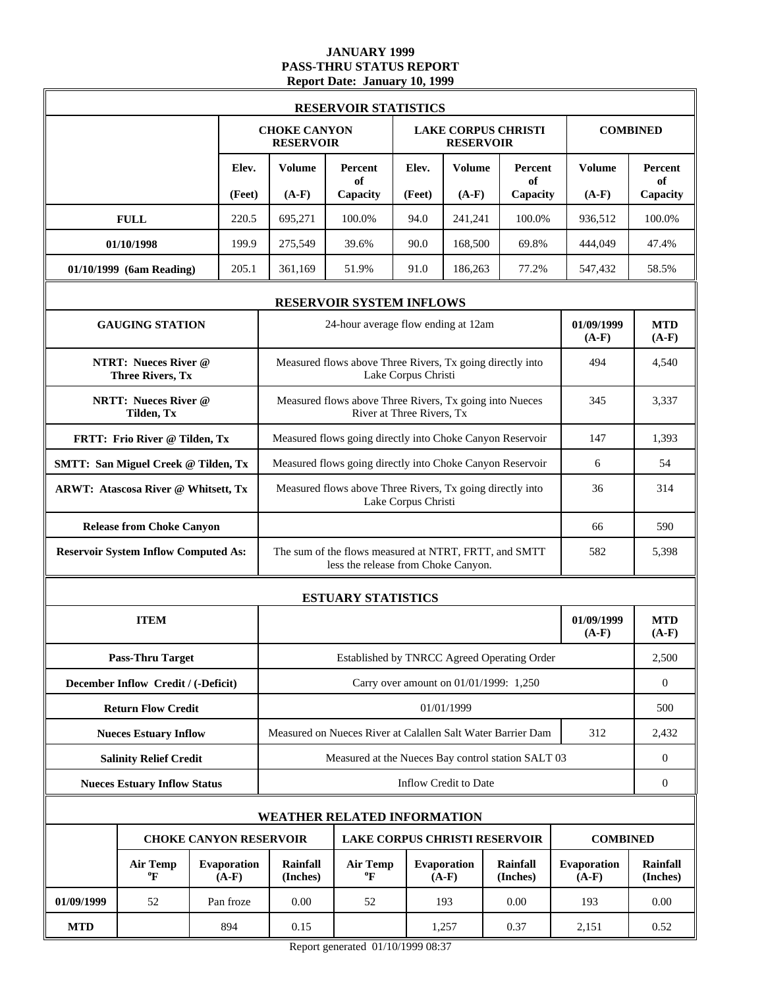### **JANUARY 1999 PASS-THRU STATUS REPORT Report Date: January 10, 1999**

|            | <b>RESERVOIR STATISTICS</b>                            |  |                               |                                         |                                                                                              |        |                               |                                             |                        |                             |
|------------|--------------------------------------------------------|--|-------------------------------|-----------------------------------------|----------------------------------------------------------------------------------------------|--------|-------------------------------|---------------------------------------------|------------------------|-----------------------------|
|            |                                                        |  |                               | <b>CHOKE CANYON</b><br><b>RESERVOIR</b> |                                                                                              |        | <b>RESERVOIR</b>              | <b>LAKE CORPUS CHRISTI</b>                  |                        | <b>COMBINED</b>             |
|            |                                                        |  | Elev.                         | <b>Volume</b>                           | Percent<br>of                                                                                | Elev.  | <b>Volume</b>                 | Percent<br>of                               | <b>Volume</b>          | Percent<br>of               |
|            |                                                        |  | (Feet)                        | $(A-F)$                                 | Capacity                                                                                     | (Feet) | $(A-F)$                       | Capacity                                    | $(A-F)$                | Capacity                    |
|            | <b>FULL</b>                                            |  | 220.5                         | 695,271                                 | 100.0%                                                                                       | 94.0   | 241,241                       | 100.0%                                      | 936,512                | 100.0%                      |
|            | 01/10/1998                                             |  | 199.9                         | 275,549                                 | 39.6%                                                                                        | 90.0   | 168,500                       | 69.8%                                       | 444,049                | 47.4%                       |
|            | 01/10/1999 (6am Reading)                               |  | 205.1                         | 361,169                                 | 51.9%                                                                                        | 91.0   | 186,263                       | 77.2%                                       | 547,432                | 58.5%                       |
|            |                                                        |  |                               |                                         | <b>RESERVOIR SYSTEM INFLOWS</b>                                                              |        |                               |                                             |                        |                             |
|            | <b>GAUGING STATION</b>                                 |  |                               |                                         | 24-hour average flow ending at 12am                                                          |        |                               |                                             | 01/09/1999<br>$(A-F)$  | <b>MTD</b><br>$(A-F)$       |
|            | <b>NTRT: Nueces River @</b><br><b>Three Rivers, Tx</b> |  |                               |                                         | Measured flows above Three Rivers, Tx going directly into<br>Lake Corpus Christi             | 494    | 4,540                         |                                             |                        |                             |
|            | <b>NRTT: Nueces River @</b><br>Tilden, Tx              |  |                               |                                         | Measured flows above Three Rivers, Tx going into Nueces<br>River at Three Rivers, Tx         | 345    | 3.337                         |                                             |                        |                             |
|            | FRTT: Frio River @ Tilden, Tx                          |  |                               |                                         | Measured flows going directly into Choke Canyon Reservoir                                    | 147    | 1,393                         |                                             |                        |                             |
|            | <b>SMTT: San Miguel Creek @ Tilden, Tx</b>             |  |                               |                                         | Measured flows going directly into Choke Canyon Reservoir                                    | 6      | 54                            |                                             |                        |                             |
|            | ARWT: Atascosa River @ Whitsett, Tx                    |  |                               |                                         | Measured flows above Three Rivers, Tx going directly into<br>Lake Corpus Christi             | 36     | 314                           |                                             |                        |                             |
|            | <b>Release from Choke Canyon</b>                       |  |                               |                                         |                                                                                              |        |                               |                                             | 66                     | 590                         |
|            | <b>Reservoir System Inflow Computed As:</b>            |  |                               |                                         | The sum of the flows measured at NTRT, FRTT, and SMTT<br>less the release from Choke Canyon. |        |                               |                                             | 582                    | 5,398                       |
|            |                                                        |  |                               |                                         | <b>ESTUARY STATISTICS</b>                                                                    |        |                               |                                             |                        |                             |
|            | <b>ITEM</b>                                            |  |                               |                                         |                                                                                              |        |                               |                                             | 01/09/1999<br>$(A-F)$  | <b>MTD</b><br>$(A-F)$       |
|            | <b>Pass-Thru Target</b>                                |  |                               |                                         |                                                                                              |        |                               | Established by TNRCC Agreed Operating Order |                        | 2,500                       |
|            | December Inflow Credit / (-Deficit)                    |  |                               |                                         |                                                                                              |        |                               | Carry over amount on 01/01/1999: 1,250      |                        | $\boldsymbol{0}$            |
|            | <b>Return Flow Credit</b>                              |  |                               |                                         |                                                                                              |        | 01/01/1999                    |                                             |                        | 500                         |
|            | <b>Nueces Estuary Inflow</b>                           |  |                               |                                         | Measured on Nueces River at Calallen Salt Water Barrier Dam                                  |        |                               |                                             | 312                    | 2,432                       |
|            | <b>Salinity Relief Credit</b>                          |  |                               |                                         | Measured at the Nueces Bay control station SALT 03                                           |        |                               |                                             |                        | $\boldsymbol{0}$            |
|            | <b>Nueces Estuary Inflow Status</b>                    |  |                               |                                         |                                                                                              |        | Inflow Credit to Date         |                                             |                        | $\boldsymbol{0}$            |
|            |                                                        |  |                               |                                         | <b>WEATHER RELATED INFORMATION</b>                                                           |        |                               |                                             |                        |                             |
|            |                                                        |  | <b>CHOKE CANYON RESERVOIR</b> |                                         |                                                                                              |        |                               | <b>LAKE CORPUS CHRISTI RESERVOIR</b>        | <b>COMBINED</b>        |                             |
|            | <b>Air Temp</b><br>$\boldsymbol{P}$                    |  | Evaporation<br>$(A-F)$        | Rainfall<br>(Inches)                    | <b>Air Temp</b><br>$\boldsymbol{P}$                                                          |        | <b>Evaporation</b><br>$(A-F)$ | <b>Rainfall</b><br>(Inches)                 | Evaporation<br>$(A-F)$ | <b>Rainfall</b><br>(Inches) |
| 01/09/1999 | 52                                                     |  | Pan froze                     | 0.00                                    | 52                                                                                           |        | 193                           | 0.00                                        | 193                    | 0.00                        |
| <b>MTD</b> |                                                        |  | 894                           | 0.15                                    |                                                                                              |        | 1,257                         | 0.37                                        | 2,151                  | 0.52                        |

Report generated 01/10/1999 08:37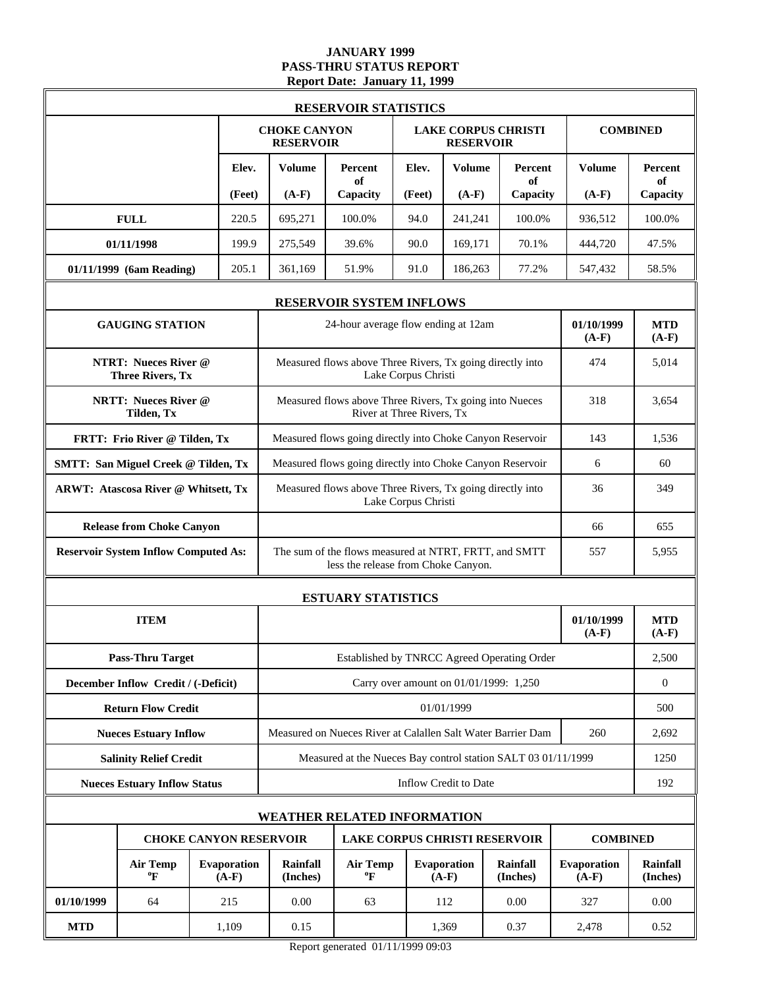# **JANUARY 1999 PASS-THRU STATUS REPORT Report Date: January 11, 1999**

|            | <b>RESERVOIR STATISTICS</b>                            |  |                        |                                                                |                                                                                              |                     |                                        |                             |                        |                             |  |
|------------|--------------------------------------------------------|--|------------------------|----------------------------------------------------------------|----------------------------------------------------------------------------------------------|---------------------|----------------------------------------|-----------------------------|------------------------|-----------------------------|--|
|            |                                                        |  |                        | <b>CHOKE CANYON</b><br><b>RESERVOIR</b>                        |                                                                                              |                     | <b>RESERVOIR</b>                       | <b>LAKE CORPUS CHRISTI</b>  |                        | <b>COMBINED</b>             |  |
|            |                                                        |  | Elev.                  | <b>Volume</b>                                                  | Percent<br>of                                                                                | Elev.               | <b>Volume</b>                          | Percent<br>of               | <b>Volume</b>          | Percent<br>of               |  |
|            |                                                        |  | (Feet)                 | $(A-F)$                                                        | Capacity                                                                                     | (Feet)              | $(A-F)$                                | Capacity                    | $(A-F)$                | Capacity                    |  |
|            | <b>FULL</b>                                            |  | 220.5                  | 695,271                                                        | 100.0%                                                                                       | 94.0                | 241,241                                | 100.0%                      | 936,512                | 100.0%                      |  |
|            | 01/11/1998                                             |  | 199.9                  | 275,549                                                        | 39.6%                                                                                        | 90.0                | 169,171                                | 70.1%                       | 444,720                | 47.5%                       |  |
|            | 01/11/1999 (6am Reading)                               |  | 205.1                  | 361,169                                                        | 51.9%                                                                                        | 91.0                | 186,263                                | 77.2%                       | 547,432                | 58.5%                       |  |
|            |                                                        |  |                        |                                                                | <b>RESERVOIR SYSTEM INFLOWS</b>                                                              |                     |                                        |                             |                        |                             |  |
|            | <b>GAUGING STATION</b>                                 |  |                        |                                                                | 24-hour average flow ending at 12am                                                          |                     |                                        |                             | 01/10/1999<br>$(A-F)$  | <b>MTD</b><br>$(A-F)$       |  |
|            | <b>NTRT: Nueces River @</b><br><b>Three Rivers, Tx</b> |  |                        |                                                                | Measured flows above Three Rivers, Tx going directly into                                    | Lake Corpus Christi |                                        |                             | 474                    | 5,014                       |  |
|            | <b>NRTT: Nueces River @</b><br>Tilden, Tx              |  |                        | Measured flows above Three Rivers, Tx going into Nueces        | 318                                                                                          | 3,654               |                                        |                             |                        |                             |  |
|            | FRTT: Frio River @ Tilden, Tx                          |  |                        |                                                                | Measured flows going directly into Choke Canyon Reservoir                                    | 143                 | 1,536                                  |                             |                        |                             |  |
|            | <b>SMTT: San Miguel Creek @ Tilden, Tx</b>             |  |                        | Measured flows going directly into Choke Canyon Reservoir<br>6 |                                                                                              |                     |                                        |                             |                        |                             |  |
|            | ARWT: Atascosa River @ Whitsett, Tx                    |  |                        | Measured flows above Three Rivers, Tx going directly into      | 36                                                                                           | 349                 |                                        |                             |                        |                             |  |
|            | <b>Release from Choke Canyon</b>                       |  |                        |                                                                |                                                                                              |                     |                                        |                             | 66                     | 655                         |  |
|            | <b>Reservoir System Inflow Computed As:</b>            |  |                        |                                                                | The sum of the flows measured at NTRT, FRTT, and SMTT<br>less the release from Choke Canyon. |                     |                                        |                             | 557                    | 5,955                       |  |
|            |                                                        |  |                        |                                                                | <b>ESTUARY STATISTICS</b>                                                                    |                     |                                        |                             |                        |                             |  |
|            | <b>ITEM</b>                                            |  |                        |                                                                |                                                                                              |                     |                                        |                             | 01/10/1999<br>$(A-F)$  | <b>MTD</b><br>$(A-F)$       |  |
|            | <b>Pass-Thru Target</b>                                |  |                        |                                                                | Established by TNRCC Agreed Operating Order                                                  |                     |                                        |                             |                        | 2,500                       |  |
|            | December Inflow Credit / (-Deficit)                    |  |                        |                                                                |                                                                                              |                     | Carry over amount on 01/01/1999: 1,250 |                             |                        | $\boldsymbol{0}$            |  |
|            | <b>Return Flow Credit</b>                              |  |                        |                                                                |                                                                                              |                     | 01/01/1999                             |                             |                        | 500                         |  |
|            | <b>Nueces Estuary Inflow</b>                           |  |                        |                                                                | Measured on Nueces River at Calallen Salt Water Barrier Dam                                  |                     |                                        |                             | 260                    | 2,692                       |  |
|            | <b>Salinity Relief Credit</b>                          |  |                        |                                                                | Measured at the Nueces Bay control station SALT 03 01/11/1999                                |                     |                                        |                             |                        | 1250                        |  |
|            | <b>Nueces Estuary Inflow Status</b>                    |  |                        |                                                                |                                                                                              |                     | Inflow Credit to Date                  |                             |                        | 192                         |  |
|            |                                                        |  |                        |                                                                | <b>WEATHER RELATED INFORMATION</b>                                                           |                     |                                        |                             |                        |                             |  |
|            | <b>CHOKE CANYON RESERVOIR</b>                          |  |                        |                                                                | <b>LAKE CORPUS CHRISTI RESERVOIR</b>                                                         |                     |                                        |                             | <b>COMBINED</b>        |                             |  |
|            | <b>Air Temp</b><br>$\mathbf{P}$                        |  | Evaporation<br>$(A-F)$ | Rainfall<br>(Inches)                                           | <b>Air Temp</b><br>$\rm ^{o}F$                                                               |                     | Evaporation<br>$(A-F)$                 | <b>Rainfall</b><br>(Inches) | Evaporation<br>$(A-F)$ | <b>Rainfall</b><br>(Inches) |  |
| 01/10/1999 | 64                                                     |  | 215                    | 0.00                                                           | 63                                                                                           |                     | 112                                    | 0.00                        | 327                    | 0.00                        |  |
| <b>MTD</b> |                                                        |  | 1,109                  | 0.15                                                           |                                                                                              |                     | 1,369                                  | 2,478                       | 0.52                   |                             |  |

Report generated 01/11/1999 09:03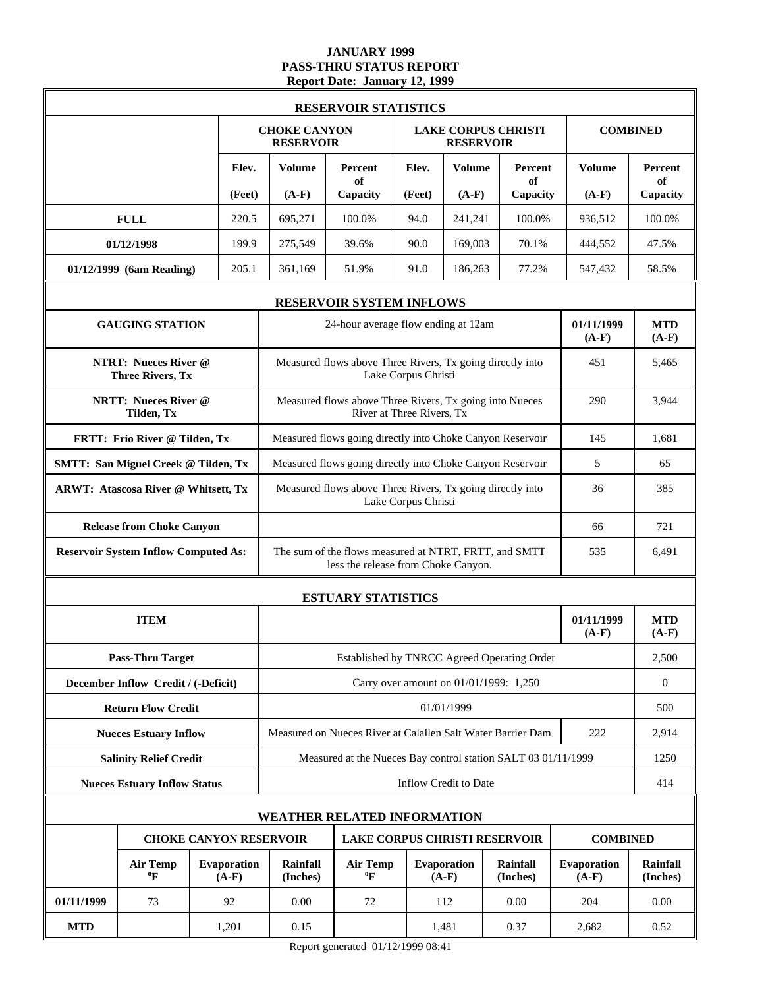### **JANUARY 1999 PASS-THRU STATUS REPORT Report Date: January 12, 1999**

|            | <b>RESERVOIR STATISTICS</b>                            |  |                        |                                                                |                                                                                              |                           |                                        |                             |                        |                             |  |
|------------|--------------------------------------------------------|--|------------------------|----------------------------------------------------------------|----------------------------------------------------------------------------------------------|---------------------------|----------------------------------------|-----------------------------|------------------------|-----------------------------|--|
|            |                                                        |  |                        | <b>CHOKE CANYON</b><br><b>RESERVOIR</b>                        |                                                                                              |                           | <b>RESERVOIR</b>                       | <b>LAKE CORPUS CHRISTI</b>  |                        | <b>COMBINED</b>             |  |
|            |                                                        |  | Elev.                  | <b>Volume</b>                                                  | <b>Percent</b><br>of                                                                         | Elev.                     | <b>Volume</b>                          | Percent<br>of               | <b>Volume</b>          | Percent<br>of               |  |
|            |                                                        |  | (Feet)                 | $(A-F)$                                                        | Capacity                                                                                     | (Feet)                    | $(A-F)$                                | Capacity                    | $(A-F)$                | Capacity                    |  |
|            | <b>FULL</b>                                            |  | 220.5                  | 695,271                                                        | 100.0%                                                                                       | 94.0                      | 241,241                                | 100.0%                      | 936,512                | 100.0%                      |  |
|            | 01/12/1998                                             |  | 199.9                  | 275,549                                                        | 39.6%                                                                                        | 90.0                      | 169,003                                | 70.1%                       | 444,552                | 47.5%                       |  |
|            | 01/12/1999 (6am Reading)                               |  | 205.1                  | 361,169                                                        | 51.9%                                                                                        | 91.0                      | 186,263                                | 77.2%                       | 547,432                | 58.5%                       |  |
|            |                                                        |  |                        |                                                                | <b>RESERVOIR SYSTEM INFLOWS</b>                                                              |                           |                                        |                             |                        |                             |  |
|            | <b>GAUGING STATION</b>                                 |  |                        |                                                                | 24-hour average flow ending at 12am                                                          |                           |                                        |                             | 01/11/1999<br>$(A-F)$  | <b>MTD</b><br>$(A-F)$       |  |
|            | <b>NTRT: Nueces River @</b><br><b>Three Rivers, Tx</b> |  |                        |                                                                | Measured flows above Three Rivers, Tx going directly into                                    | Lake Corpus Christi       |                                        |                             | 451                    | 5,465                       |  |
|            | <b>NRTT: Nueces River @</b><br>Tilden, Tx              |  |                        |                                                                | Measured flows above Three Rivers, Tx going into Nueces                                      | River at Three Rivers, Tx |                                        |                             | 290                    | 3,944                       |  |
|            | FRTT: Frio River @ Tilden, Tx                          |  |                        |                                                                | Measured flows going directly into Choke Canyon Reservoir                                    | 145                       | 1,681                                  |                             |                        |                             |  |
|            | <b>SMTT: San Miguel Creek @ Tilden, Tx</b>             |  |                        | Measured flows going directly into Choke Canyon Reservoir<br>5 |                                                                                              |                           |                                        |                             |                        |                             |  |
|            | ARWT: Atascosa River @ Whitsett, Tx                    |  |                        | Measured flows above Three Rivers, Tx going directly into      | 36                                                                                           | 385                       |                                        |                             |                        |                             |  |
|            | <b>Release from Choke Canyon</b>                       |  |                        |                                                                |                                                                                              |                           |                                        |                             | 66                     | 721                         |  |
|            | <b>Reservoir System Inflow Computed As:</b>            |  |                        |                                                                | The sum of the flows measured at NTRT, FRTT, and SMTT<br>less the release from Choke Canyon. |                           |                                        |                             | 535                    | 6,491                       |  |
|            |                                                        |  |                        |                                                                | <b>ESTUARY STATISTICS</b>                                                                    |                           |                                        |                             |                        |                             |  |
|            | <b>ITEM</b>                                            |  |                        |                                                                |                                                                                              |                           |                                        |                             | 01/11/1999<br>$(A-F)$  | <b>MTD</b><br>$(A-F)$       |  |
|            | <b>Pass-Thru Target</b>                                |  |                        |                                                                | Established by TNRCC Agreed Operating Order                                                  |                           |                                        |                             |                        | 2,500                       |  |
|            | December Inflow Credit / (-Deficit)                    |  |                        |                                                                |                                                                                              |                           | Carry over amount on 01/01/1999: 1,250 |                             |                        | $\boldsymbol{0}$            |  |
|            | <b>Return Flow Credit</b>                              |  |                        |                                                                |                                                                                              |                           | 01/01/1999                             |                             |                        | 500                         |  |
|            | <b>Nueces Estuary Inflow</b>                           |  |                        |                                                                | Measured on Nueces River at Calallen Salt Water Barrier Dam                                  |                           |                                        |                             | 222                    | 2,914                       |  |
|            | <b>Salinity Relief Credit</b>                          |  |                        |                                                                | Measured at the Nueces Bay control station SALT 03 01/11/1999                                |                           |                                        |                             |                        | 1250                        |  |
|            | <b>Nueces Estuary Inflow Status</b>                    |  |                        |                                                                |                                                                                              |                           | Inflow Credit to Date                  |                             |                        | 414                         |  |
|            |                                                        |  |                        |                                                                | <b>WEATHER RELATED INFORMATION</b>                                                           |                           |                                        |                             |                        |                             |  |
|            | <b>CHOKE CANYON RESERVOIR</b>                          |  |                        |                                                                | <b>LAKE CORPUS CHRISTI RESERVOIR</b>                                                         |                           |                                        |                             | <b>COMBINED</b>        |                             |  |
|            | <b>Air Temp</b><br>$\mathbf{P}$                        |  | Evaporation<br>$(A-F)$ | <b>Rainfall</b><br>(Inches)                                    | <b>Air Temp</b><br>$\rm ^{o}F$                                                               |                           | Evaporation<br>$(A-F)$                 | <b>Rainfall</b><br>(Inches) | Evaporation<br>$(A-F)$ | <b>Rainfall</b><br>(Inches) |  |
| 01/11/1999 | 73                                                     |  | 92                     | 0.00                                                           | 72                                                                                           |                           | 112                                    | 0.00                        | 204                    | 0.00                        |  |
| <b>MTD</b> |                                                        |  | 1,201                  | 0.15                                                           |                                                                                              |                           | 1,481                                  | 2,682                       | 0.52                   |                             |  |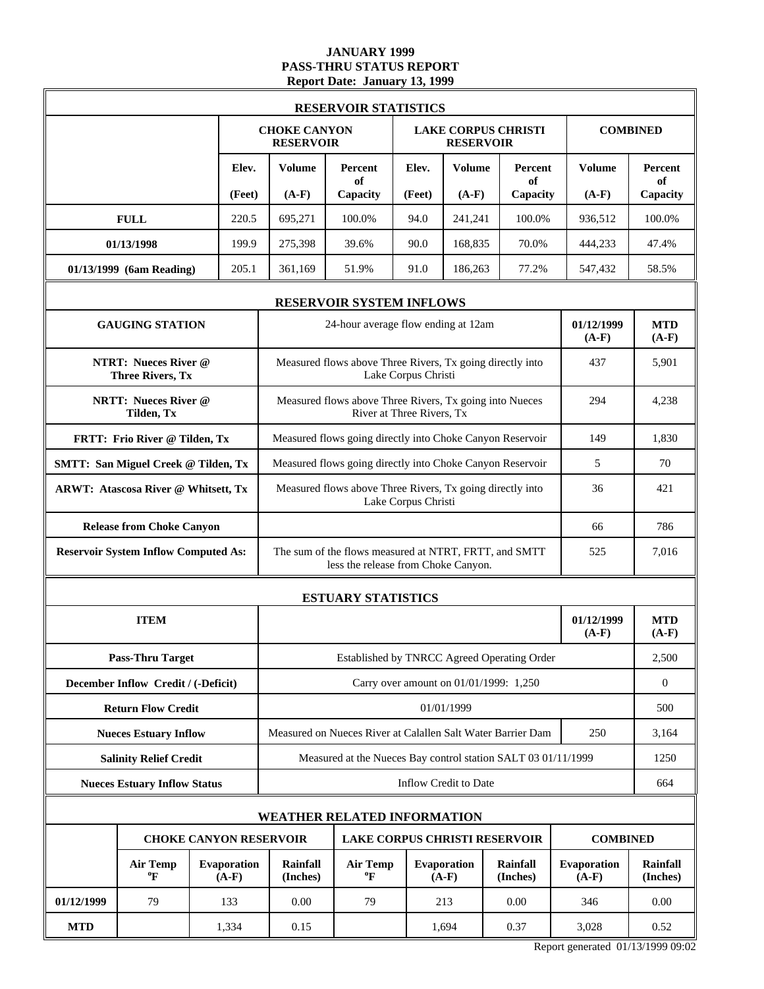### **JANUARY 1999 PASS-THRU STATUS REPORT Report Date: January 13, 1999**

|                                     |                                                                                                                                                                                                                                                                                                                                                                                                                                                                                                                                 |  |                               |                                         | <b>RESERVOIR STATISTICS</b>                                                                  |                           |                                        |                             |                        |                             |
|-------------------------------------|---------------------------------------------------------------------------------------------------------------------------------------------------------------------------------------------------------------------------------------------------------------------------------------------------------------------------------------------------------------------------------------------------------------------------------------------------------------------------------------------------------------------------------|--|-------------------------------|-----------------------------------------|----------------------------------------------------------------------------------------------|---------------------------|----------------------------------------|-----------------------------|------------------------|-----------------------------|
|                                     |                                                                                                                                                                                                                                                                                                                                                                                                                                                                                                                                 |  |                               | <b>CHOKE CANYON</b><br><b>RESERVOIR</b> |                                                                                              |                           | <b>RESERVOIR</b>                       | <b>LAKE CORPUS CHRISTI</b>  |                        | <b>COMBINED</b>             |
|                                     |                                                                                                                                                                                                                                                                                                                                                                                                                                                                                                                                 |  | Elev.                         | Volume                                  | Percent<br>of                                                                                | Elev.                     | <b>Volume</b>                          | Percent<br>of               | <b>Volume</b>          | Percent<br>of               |
|                                     | (Feet)<br><b>GAUGING STATION</b><br><b>NTRT: Nueces River @</b><br><b>Three Rivers, Tx</b><br><b>NRTT: Nueces River @</b><br>Tilden, Tx<br>FRTT: Frio River @ Tilden, Tx<br><b>SMTT: San Miguel Creek @ Tilden, Tx</b><br>ARWT: Atascosa River @ Whitsett, Tx<br><b>Release from Choke Canyon</b><br><b>Reservoir System Inflow Computed As:</b><br><b>ITEM</b><br><b>Pass-Thru Target</b><br>December Inflow Credit / (-Deficit)<br><b>Return Flow Credit</b><br><b>Nueces Estuary Inflow</b><br><b>Salinity Relief Credit</b> |  |                               | $(A-F)$                                 | Capacity                                                                                     | (Feet)                    | $(A-F)$                                | Capacity                    | $(A-F)$                | Capacity                    |
| <b>FULL</b>                         |                                                                                                                                                                                                                                                                                                                                                                                                                                                                                                                                 |  | 220.5                         | 695,271                                 | 100.0%                                                                                       | 94.0                      | 241,241                                | 100.0%                      | 936,512                | 100.0%                      |
| 01/13/1998                          |                                                                                                                                                                                                                                                                                                                                                                                                                                                                                                                                 |  | 199.9                         | 275,398                                 | 39.6%                                                                                        | 90.0                      | 168,835                                | 70.0%                       | 444,233                | 47.4%                       |
| 01/13/1999 (6am Reading)            |                                                                                                                                                                                                                                                                                                                                                                                                                                                                                                                                 |  | 205.1                         | 361,169                                 | 51.9%                                                                                        | 91.0                      | 186,263                                | 77.2%                       | 547,432                | 58.5%                       |
|                                     |                                                                                                                                                                                                                                                                                                                                                                                                                                                                                                                                 |  |                               |                                         | <b>RESERVOIR SYSTEM INFLOWS</b>                                                              |                           |                                        |                             |                        |                             |
|                                     |                                                                                                                                                                                                                                                                                                                                                                                                                                                                                                                                 |  |                               |                                         | 24-hour average flow ending at 12am                                                          |                           |                                        |                             | 01/12/1999<br>$(A-F)$  | <b>MTD</b><br>$(A-F)$       |
|                                     |                                                                                                                                                                                                                                                                                                                                                                                                                                                                                                                                 |  |                               |                                         | Measured flows above Three Rivers, Tx going directly into                                    | Lake Corpus Christi       |                                        |                             | 437                    | 5,901                       |
|                                     |                                                                                                                                                                                                                                                                                                                                                                                                                                                                                                                                 |  |                               |                                         | Measured flows above Three Rivers, Tx going into Nueces                                      | River at Three Rivers, Tx |                                        |                             | 294                    | 4,238                       |
|                                     |                                                                                                                                                                                                                                                                                                                                                                                                                                                                                                                                 |  |                               |                                         | Measured flows going directly into Choke Canyon Reservoir                                    |                           |                                        |                             | 149                    | 1,830                       |
|                                     |                                                                                                                                                                                                                                                                                                                                                                                                                                                                                                                                 |  |                               |                                         | Measured flows going directly into Choke Canyon Reservoir                                    | 5                         | 70                                     |                             |                        |                             |
|                                     |                                                                                                                                                                                                                                                                                                                                                                                                                                                                                                                                 |  |                               |                                         | Measured flows above Three Rivers, Tx going directly into<br>Lake Corpus Christi             | 36                        | 421                                    |                             |                        |                             |
|                                     |                                                                                                                                                                                                                                                                                                                                                                                                                                                                                                                                 |  |                               |                                         |                                                                                              |                           |                                        |                             | 66                     | 786                         |
|                                     |                                                                                                                                                                                                                                                                                                                                                                                                                                                                                                                                 |  |                               |                                         | The sum of the flows measured at NTRT, FRTT, and SMTT<br>less the release from Choke Canyon. |                           |                                        |                             | 525                    | 7,016                       |
|                                     |                                                                                                                                                                                                                                                                                                                                                                                                                                                                                                                                 |  |                               |                                         | <b>ESTUARY STATISTICS</b>                                                                    |                           |                                        |                             |                        |                             |
|                                     |                                                                                                                                                                                                                                                                                                                                                                                                                                                                                                                                 |  |                               |                                         |                                                                                              |                           |                                        |                             | 01/12/1999<br>$(A-F)$  | <b>MTD</b><br>$(A-F)$       |
|                                     |                                                                                                                                                                                                                                                                                                                                                                                                                                                                                                                                 |  |                               |                                         | Established by TNRCC Agreed Operating Order                                                  |                           |                                        |                             |                        | 2,500                       |
|                                     |                                                                                                                                                                                                                                                                                                                                                                                                                                                                                                                                 |  |                               |                                         |                                                                                              |                           | Carry over amount on 01/01/1999: 1,250 |                             |                        | $\overline{0}$              |
|                                     |                                                                                                                                                                                                                                                                                                                                                                                                                                                                                                                                 |  |                               |                                         |                                                                                              |                           | 01/01/1999                             |                             |                        | 500                         |
|                                     |                                                                                                                                                                                                                                                                                                                                                                                                                                                                                                                                 |  |                               |                                         | Measured on Nueces River at Calallen Salt Water Barrier Dam                                  |                           |                                        |                             | 250                    | 3,164                       |
|                                     |                                                                                                                                                                                                                                                                                                                                                                                                                                                                                                                                 |  |                               |                                         | Measured at the Nueces Bay control station SALT 03 01/11/1999                                |                           |                                        |                             |                        | 1250                        |
| <b>Nueces Estuary Inflow Status</b> |                                                                                                                                                                                                                                                                                                                                                                                                                                                                                                                                 |  |                               |                                         |                                                                                              |                           | Inflow Credit to Date                  |                             |                        | 664                         |
|                                     |                                                                                                                                                                                                                                                                                                                                                                                                                                                                                                                                 |  |                               |                                         | <b>WEATHER RELATED INFORMATION</b>                                                           |                           |                                        |                             |                        |                             |
|                                     |                                                                                                                                                                                                                                                                                                                                                                                                                                                                                                                                 |  | <b>CHOKE CANYON RESERVOIR</b> |                                         | <b>LAKE CORPUS CHRISTI RESERVOIR</b>                                                         |                           |                                        |                             | <b>COMBINED</b>        |                             |
|                                     | Evaporation<br><b>Air Temp</b><br>$\boldsymbol{P}$<br>$(A-F)$                                                                                                                                                                                                                                                                                                                                                                                                                                                                   |  |                               |                                         | <b>Air Temp</b><br>$\boldsymbol{P}$                                                          |                           | Evaporation<br>$(A-F)$                 | <b>Rainfall</b><br>(Inches) | Evaporation<br>$(A-F)$ | <b>Rainfall</b><br>(Inches) |
| 01/12/1999                          | 79                                                                                                                                                                                                                                                                                                                                                                                                                                                                                                                              |  | 133                           | 0.00                                    | 79                                                                                           |                           | 213                                    | 0.00                        | 346                    | 0.00                        |
| <b>MTD</b>                          |                                                                                                                                                                                                                                                                                                                                                                                                                                                                                                                                 |  | 1,334                         | 0.15                                    |                                                                                              |                           | 1,694                                  | 0.37                        | 3,028                  | 0.52                        |

Report generated 01/13/1999 09:02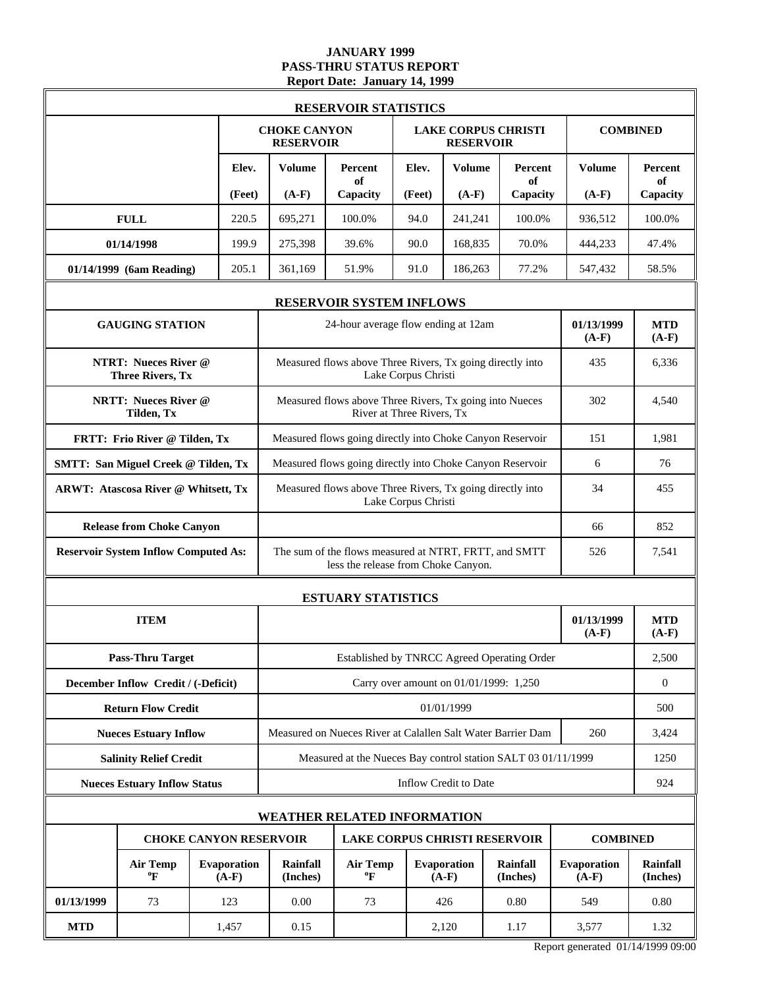### **JANUARY 1999 PASS-THRU STATUS REPORT Report Date: January 14, 1999**

|            |                                                        |                        |                                                           | <b>RESERVOIR STATISTICS</b>                                                                  |                           |                                                |                             |                        |                             |
|------------|--------------------------------------------------------|------------------------|-----------------------------------------------------------|----------------------------------------------------------------------------------------------|---------------------------|------------------------------------------------|-----------------------------|------------------------|-----------------------------|
|            |                                                        |                        | <b>CHOKE CANYON</b><br><b>RESERVOIR</b>                   |                                                                                              |                           | <b>LAKE CORPUS CHRISTI</b><br><b>RESERVOIR</b> |                             |                        | <b>COMBINED</b>             |
|            |                                                        | Elev.                  | <b>Volume</b>                                             | <b>Percent</b><br>of                                                                         | Elev.                     | <b>Volume</b>                                  | Percent<br>of               | <b>Volume</b>          | Percent<br>of               |
|            |                                                        | (Feet)                 | $(A-F)$                                                   | Capacity                                                                                     | (Feet)                    | $(A-F)$                                        | Capacity                    | $(A-F)$                | Capacity                    |
|            | <b>FULL</b>                                            | 220.5                  | 695,271                                                   | 100.0%                                                                                       | 94.0                      | 241,241                                        | 100.0%                      | 936,512                | 100.0%                      |
|            | 01/14/1998                                             | 199.9                  | 275,398                                                   | 39.6%                                                                                        | 90.0                      | 168,835                                        | 70.0%                       | 444,233                | 47.4%                       |
|            | 01/14/1999 (6am Reading)                               | 205.1                  | 361,169                                                   | 51.9%                                                                                        | 91.0                      | 186,263                                        | 77.2%                       | 547,432                | 58.5%                       |
|            |                                                        |                        |                                                           | <b>RESERVOIR SYSTEM INFLOWS</b>                                                              |                           |                                                |                             |                        |                             |
|            | <b>GAUGING STATION</b>                                 |                        |                                                           | 24-hour average flow ending at 12am                                                          |                           |                                                |                             | 01/13/1999<br>$(A-F)$  | <b>MTD</b><br>$(A-F)$       |
|            | <b>NTRT: Nueces River @</b><br><b>Three Rivers, Tx</b> |                        |                                                           | Measured flows above Three Rivers, Tx going directly into                                    | Lake Corpus Christi       |                                                |                             | 435                    | 6,336                       |
|            | <b>NRTT: Nueces River @</b><br>Tilden, Tx              |                        |                                                           | Measured flows above Three Rivers, Tx going into Nueces                                      | River at Three Rivers, Tx |                                                |                             | 302                    | 4,540                       |
|            | FRTT: Frio River @ Tilden, Tx                          |                        |                                                           | Measured flows going directly into Choke Canyon Reservoir                                    |                           |                                                |                             | 151                    | 1,981                       |
|            | <b>SMTT: San Miguel Creek @ Tilden, Tx</b>             |                        |                                                           | Measured flows going directly into Choke Canyon Reservoir                                    |                           |                                                |                             | 6                      | 76                          |
|            | ARWT: Atascosa River @ Whitsett, Tx                    |                        | Measured flows above Three Rivers, Tx going directly into | 34                                                                                           | 455                       |                                                |                             |                        |                             |
|            | <b>Release from Choke Canyon</b>                       |                        |                                                           |                                                                                              | 66                        | 852                                            |                             |                        |                             |
|            | <b>Reservoir System Inflow Computed As:</b>            |                        |                                                           | The sum of the flows measured at NTRT, FRTT, and SMTT<br>less the release from Choke Canyon. |                           |                                                |                             | 526                    | 7,541                       |
|            |                                                        |                        |                                                           | <b>ESTUARY STATISTICS</b>                                                                    |                           |                                                |                             |                        |                             |
|            | <b>ITEM</b>                                            |                        |                                                           |                                                                                              |                           |                                                |                             | 01/13/1999<br>$(A-F)$  | <b>MTD</b><br>$(A-F)$       |
|            | <b>Pass-Thru Target</b>                                |                        |                                                           | Established by TNRCC Agreed Operating Order                                                  |                           |                                                |                             |                        | 2,500                       |
|            | December Inflow Credit / (-Deficit)                    |                        |                                                           |                                                                                              |                           | Carry over amount on 01/01/1999: 1,250         |                             |                        | $\boldsymbol{0}$            |
|            | <b>Return Flow Credit</b>                              |                        |                                                           |                                                                                              |                           | 01/01/1999                                     |                             |                        | 500                         |
|            | <b>Nueces Estuary Inflow</b>                           |                        |                                                           | Measured on Nueces River at Calallen Salt Water Barrier Dam                                  |                           |                                                |                             | 260                    | 3,424                       |
|            | <b>Salinity Relief Credit</b>                          |                        |                                                           | Measured at the Nueces Bay control station SALT 03 01/11/1999                                |                           |                                                |                             |                        | 1250                        |
|            | <b>Nueces Estuary Inflow Status</b>                    |                        |                                                           |                                                                                              |                           | Inflow Credit to Date                          |                             |                        | 924                         |
|            |                                                        |                        |                                                           | <b>WEATHER RELATED INFORMATION</b>                                                           |                           |                                                |                             |                        |                             |
|            | <b>CHOKE CANYON RESERVOIR</b>                          |                        |                                                           | <b>LAKE CORPUS CHRISTI RESERVOIR</b>                                                         |                           |                                                |                             | <b>COMBINED</b>        |                             |
|            | <b>Air Temp</b><br>$\mathbf{P}$                        | Evaporation<br>$(A-F)$ | Rainfall<br>(Inches)                                      | <b>Air Temp</b><br>$\rm ^{o}F$                                                               |                           | Evaporation<br>$(A-F)$                         | <b>Rainfall</b><br>(Inches) | Evaporation<br>$(A-F)$ | <b>Rainfall</b><br>(Inches) |
| 01/13/1999 | 73                                                     | 123                    | 0.00                                                      | 73                                                                                           |                           | 426                                            | 0.80                        | 549                    | 0.80                        |
| <b>MTD</b> |                                                        | 1,457                  | 0.15                                                      |                                                                                              |                           | 2,120                                          | 1.17                        | 3,577                  | 1.32                        |

Report generated 01/14/1999 09:00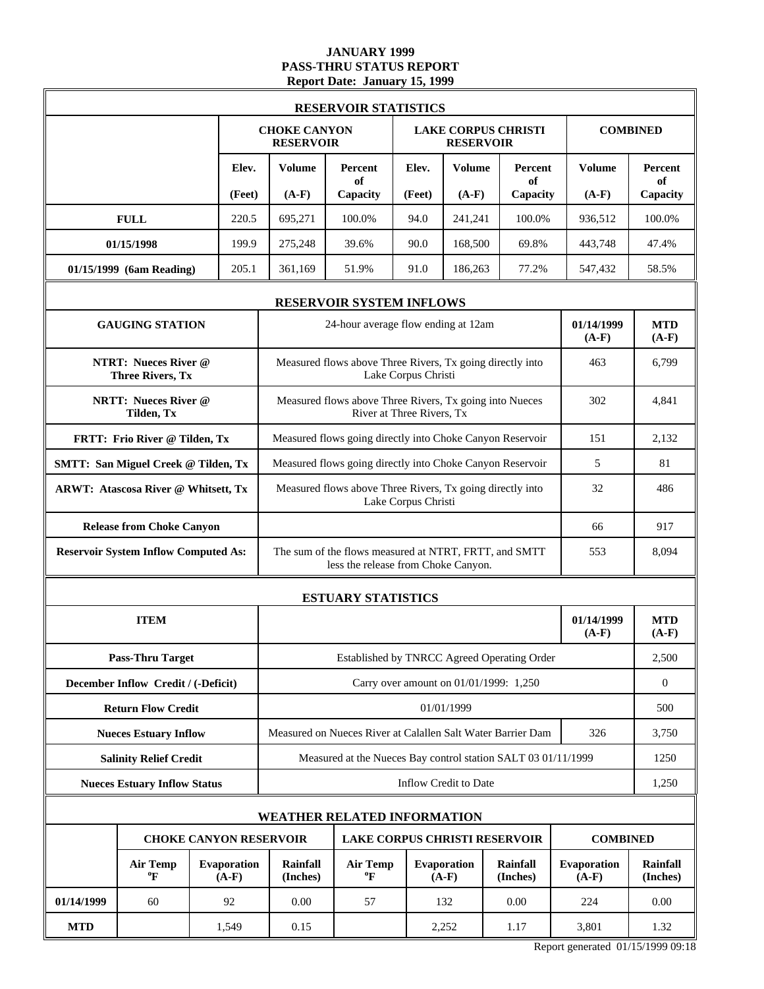### **JANUARY 1999 PASS-THRU STATUS REPORT Report Date: January 15, 1999**

|            |                                                        |                                                                                          |                                         | <b>RESERVOIR STATISTICS</b>                                                                  |                           |                                        |                             |                        |                             |
|------------|--------------------------------------------------------|------------------------------------------------------------------------------------------|-----------------------------------------|----------------------------------------------------------------------------------------------|---------------------------|----------------------------------------|-----------------------------|------------------------|-----------------------------|
|            |                                                        |                                                                                          | <b>CHOKE CANYON</b><br><b>RESERVOIR</b> |                                                                                              |                           | <b>RESERVOIR</b>                       | <b>LAKE CORPUS CHRISTI</b>  |                        | <b>COMBINED</b>             |
|            |                                                        | Elev.                                                                                    | <b>Volume</b>                           | Percent<br>of                                                                                | Elev.                     | <b>Volume</b>                          | Percent<br>of               | <b>Volume</b>          | Percent<br>of               |
|            |                                                        | (Feet)                                                                                   | $(A-F)$                                 | Capacity                                                                                     | (Feet)                    | $(A-F)$                                | Capacity                    | $(A-F)$                | Capacity                    |
|            | <b>FULL</b>                                            | 220.5                                                                                    | 695,271                                 | 100.0%                                                                                       | 94.0                      | 241,241                                | 100.0%                      | 936,512                | 100.0%                      |
|            | 01/15/1998                                             | 199.9                                                                                    | 275,248                                 | 39.6%                                                                                        | 90.0                      | 168,500                                | 69.8%                       | 443,748                | 47.4%                       |
|            | 01/15/1999 (6am Reading)                               | 205.1                                                                                    | 361,169                                 | 51.9%                                                                                        | 91.0                      | 186,263                                | 77.2%                       | 547,432                | 58.5%                       |
|            |                                                        |                                                                                          |                                         | <b>RESERVOIR SYSTEM INFLOWS</b>                                                              |                           |                                        |                             |                        |                             |
|            | <b>GAUGING STATION</b>                                 |                                                                                          |                                         | 24-hour average flow ending at 12am                                                          |                           |                                        |                             | 01/14/1999<br>$(A-F)$  | <b>MTD</b><br>$(A-F)$       |
|            | <b>NTRT: Nueces River @</b><br><b>Three Rivers, Tx</b> |                                                                                          |                                         | Measured flows above Three Rivers, Tx going directly into                                    | Lake Corpus Christi       |                                        |                             | 463                    | 6,799                       |
|            | <b>NRTT: Nueces River @</b><br>Tilden, Tx              |                                                                                          |                                         | Measured flows above Three Rivers, Tx going into Nueces                                      | River at Three Rivers, Tx |                                        |                             | 302                    | 4,841                       |
|            | FRTT: Frio River @ Tilden, Tx                          |                                                                                          |                                         | Measured flows going directly into Choke Canyon Reservoir                                    |                           |                                        |                             | 151                    | 2,132                       |
|            | <b>SMTT: San Miguel Creek @ Tilden, Tx</b>             |                                                                                          |                                         | Measured flows going directly into Choke Canyon Reservoir                                    |                           | 5                                      | 81                          |                        |                             |
|            | ARWT: Atascosa River @ Whitsett, Tx                    |                                                                                          |                                         | Measured flows above Three Rivers, Tx going directly into                                    | Lake Corpus Christi       |                                        |                             | 32                     | 486                         |
|            | <b>Release from Choke Canyon</b>                       |                                                                                          |                                         |                                                                                              | 66                        | 917                                    |                             |                        |                             |
|            | <b>Reservoir System Inflow Computed As:</b>            |                                                                                          |                                         | The sum of the flows measured at NTRT, FRTT, and SMTT<br>less the release from Choke Canyon. | 553                       | 8,094                                  |                             |                        |                             |
|            |                                                        |                                                                                          |                                         | <b>ESTUARY STATISTICS</b>                                                                    |                           |                                        |                             |                        |                             |
|            | <b>ITEM</b>                                            |                                                                                          |                                         |                                                                                              |                           |                                        |                             | 01/14/1999<br>$(A-F)$  | <b>MTD</b><br>$(A-F)$       |
|            | <b>Pass-Thru Target</b>                                |                                                                                          |                                         | Established by TNRCC Agreed Operating Order                                                  |                           |                                        |                             |                        | 2,500                       |
|            | December Inflow Credit / (-Deficit)                    |                                                                                          |                                         |                                                                                              |                           | Carry over amount on 01/01/1999: 1,250 |                             |                        | $\boldsymbol{0}$            |
|            | <b>Return Flow Credit</b>                              |                                                                                          |                                         |                                                                                              |                           | 01/01/1999                             |                             |                        | 500                         |
|            | <b>Nueces Estuary Inflow</b>                           |                                                                                          |                                         | Measured on Nueces River at Calallen Salt Water Barrier Dam                                  |                           |                                        |                             | 326                    | 3,750                       |
|            | <b>Salinity Relief Credit</b>                          |                                                                                          |                                         | Measured at the Nueces Bay control station SALT 03 01/11/1999                                |                           |                                        |                             |                        | 1250                        |
|            | <b>Nueces Estuary Inflow Status</b>                    |                                                                                          |                                         |                                                                                              |                           | Inflow Credit to Date                  |                             |                        | 1,250                       |
|            |                                                        |                                                                                          |                                         | <b>WEATHER RELATED INFORMATION</b>                                                           |                           |                                        |                             |                        |                             |
|            |                                                        | <b>CHOKE CANYON RESERVOIR</b><br><b>LAKE CORPUS CHRISTI RESERVOIR</b><br><b>COMBINED</b> |                                         |                                                                                              |                           |                                        |                             |                        |                             |
|            | <b>Air Temp</b><br>$\mathbf{P}$                        | Evaporation<br>$(A-F)$                                                                   | Rainfall<br>(Inches)                    | <b>Air Temp</b><br>$\rm ^{o}F$                                                               |                           | Evaporation<br>$(A-F)$                 | <b>Rainfall</b><br>(Inches) | Evaporation<br>$(A-F)$ | <b>Rainfall</b><br>(Inches) |
| 01/14/1999 | 60                                                     | 92<br>0.00<br>57<br>132<br>0.00                                                          |                                         |                                                                                              |                           | 224                                    | 0.00                        |                        |                             |
| <b>MTD</b> |                                                        | 1,549                                                                                    | 0.15                                    |                                                                                              |                           | 2,252                                  | 1.17                        | 3,801                  | 1.32                        |

Report generated 01/15/1999 09:18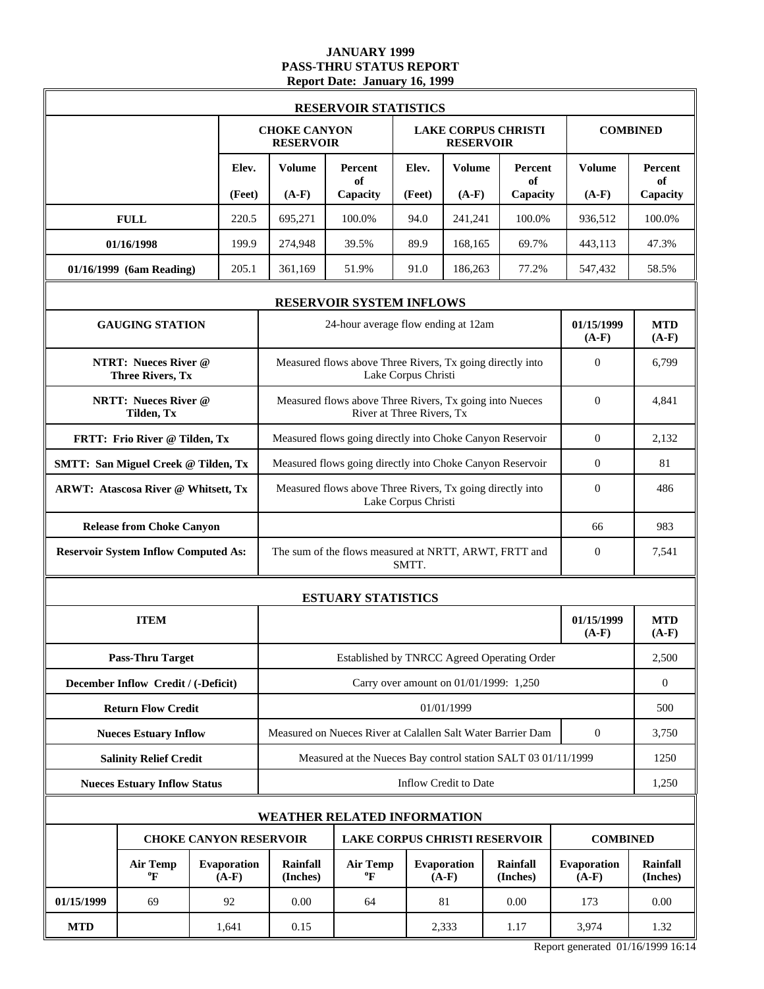### **JANUARY 1999 PASS-THRU STATUS REPORT Report Date: January 16, 1999**

|                                             |                                                        |                                                                       |                                                       | <b>RESERVOIR STATISTICS</b>                                                      |                           |                        |                                        |                        |                             |
|---------------------------------------------|--------------------------------------------------------|-----------------------------------------------------------------------|-------------------------------------------------------|----------------------------------------------------------------------------------|---------------------------|------------------------|----------------------------------------|------------------------|-----------------------------|
|                                             |                                                        |                                                                       | <b>CHOKE CANYON</b><br><b>RESERVOIR</b>               |                                                                                  |                           | <b>RESERVOIR</b>       | <b>LAKE CORPUS CHRISTI</b>             |                        | <b>COMBINED</b>             |
|                                             |                                                        | Elev.                                                                 | Volume                                                | Percent<br>of                                                                    | Elev.                     | Volume                 | Percent<br>of                          | <b>Volume</b>          | <b>Percent</b><br>of        |
|                                             |                                                        | (Feet)                                                                | $(A-F)$                                               | Capacity                                                                         | (Feet)                    | $(A-F)$                | Capacity                               | $(A-F)$                | Capacity                    |
| <b>FULL</b>                                 |                                                        | 220.5                                                                 | 695,271                                               | 100.0%                                                                           | 94.0                      | 241,241                | 100.0%                                 | 936,512                | 100.0%                      |
| 01/16/1998                                  |                                                        | 199.9                                                                 | 274,948                                               | 39.5%                                                                            | 89.9                      | 168,165                | 69.7%                                  | 443,113                | 47.3%                       |
| 01/16/1999 (6am Reading)                    |                                                        | 205.1                                                                 | 361.169                                               | 51.9%                                                                            | 91.0                      | 186,263                | 77.2%                                  | 547,432                | 58.5%                       |
|                                             |                                                        |                                                                       |                                                       | <b>RESERVOIR SYSTEM INFLOWS</b>                                                  |                           |                        |                                        |                        |                             |
|                                             | <b>GAUGING STATION</b>                                 |                                                                       |                                                       | 24-hour average flow ending at 12am                                              |                           |                        |                                        | 01/15/1999<br>$(A-F)$  | <b>MTD</b><br>$(A-F)$       |
|                                             | <b>NTRT: Nueces River @</b><br><b>Three Rivers, Tx</b> |                                                                       |                                                       | Measured flows above Three Rivers, Tx going directly into                        | Lake Corpus Christi       |                        |                                        | $\theta$               | 6,799                       |
|                                             | <b>NRTT: Nueces River @</b><br>Tilden, Tx              |                                                                       |                                                       | Measured flows above Three Rivers, Tx going into Nueces                          | River at Three Rivers, Tx |                        |                                        | $\Omega$               | 4,841                       |
| FRTT: Frio River @ Tilden, Tx               |                                                        |                                                                       |                                                       | Measured flows going directly into Choke Canyon Reservoir                        | $\overline{0}$            | 2,132                  |                                        |                        |                             |
| <b>SMTT: San Miguel Creek @ Tilden, Tx</b>  |                                                        |                                                                       |                                                       | Measured flows going directly into Choke Canyon Reservoir                        | $\mathbf{0}$              | 81                     |                                        |                        |                             |
| <b>ARWT: Atascosa River @ Whitsett, Tx</b>  |                                                        |                                                                       |                                                       | Measured flows above Three Rivers, Tx going directly into<br>Lake Corpus Christi | $\Omega$                  | 486                    |                                        |                        |                             |
| <b>Release from Choke Canyon</b>            |                                                        |                                                                       |                                                       |                                                                                  |                           |                        |                                        | 66                     | 983                         |
| <b>Reservoir System Inflow Computed As:</b> |                                                        |                                                                       | The sum of the flows measured at NRTT, ARWT, FRTT and | $\overline{0}$                                                                   | 7,541                     |                        |                                        |                        |                             |
|                                             |                                                        |                                                                       |                                                       | <b>ESTUARY STATISTICS</b>                                                        |                           |                        |                                        |                        |                             |
|                                             | <b>ITEM</b>                                            |                                                                       |                                                       |                                                                                  |                           |                        |                                        | 01/15/1999<br>$(A-F)$  | <b>MTD</b><br>$(A-F)$       |
|                                             | <b>Pass-Thru Target</b>                                |                                                                       |                                                       | Established by TNRCC Agreed Operating Order                                      |                           |                        |                                        |                        | 2,500                       |
| December Inflow Credit / (-Deficit)         |                                                        |                                                                       |                                                       |                                                                                  |                           |                        | Carry over amount on 01/01/1999: 1,250 |                        | $\boldsymbol{0}$            |
|                                             | <b>Return Flow Credit</b>                              |                                                                       |                                                       |                                                                                  |                           | 01/01/1999             |                                        |                        | 500                         |
|                                             | <b>Nueces Estuary Inflow</b>                           |                                                                       |                                                       | Measured on Nueces River at Calallen Salt Water Barrier Dam                      |                           |                        |                                        | $\overline{0}$         | 3,750                       |
|                                             | <b>Salinity Relief Credit</b>                          |                                                                       |                                                       | Measured at the Nueces Bay control station SALT 03 01/11/1999                    |                           |                        |                                        |                        | 1250                        |
| <b>Nueces Estuary Inflow Status</b>         |                                                        |                                                                       |                                                       |                                                                                  |                           | Inflow Credit to Date  |                                        |                        | 1,250                       |
|                                             |                                                        |                                                                       |                                                       | <b>WEATHER RELATED INFORMATION</b>                                               |                           |                        |                                        |                        |                             |
|                                             |                                                        | <b>CHOKE CANYON RESERVOIR</b><br><b>LAKE CORPUS CHRISTI RESERVOIR</b> |                                                       |                                                                                  |                           |                        |                                        | <b>COMBINED</b>        |                             |
|                                             | <b>Air Temp</b><br>ºF                                  | <b>Evaporation</b><br>$(A-F)$                                         | <b>Rainfall</b><br>(Inches)                           | <b>Air Temp</b><br>$\boldsymbol{P}$                                              |                           | Evaporation<br>$(A-F)$ | <b>Rainfall</b><br>(Inches)            | Evaporation<br>$(A-F)$ | <b>Rainfall</b><br>(Inches) |
| 01/15/1999                                  | 69                                                     | 92                                                                    | 0.00<br>81<br>0.00<br>64                              |                                                                                  |                           |                        |                                        | 173                    | 0.00                        |
| <b>MTD</b>                                  |                                                        | 1,641                                                                 | 0.15                                                  |                                                                                  |                           | 2,333                  | 1.17                                   | 3,974                  | 1.32                        |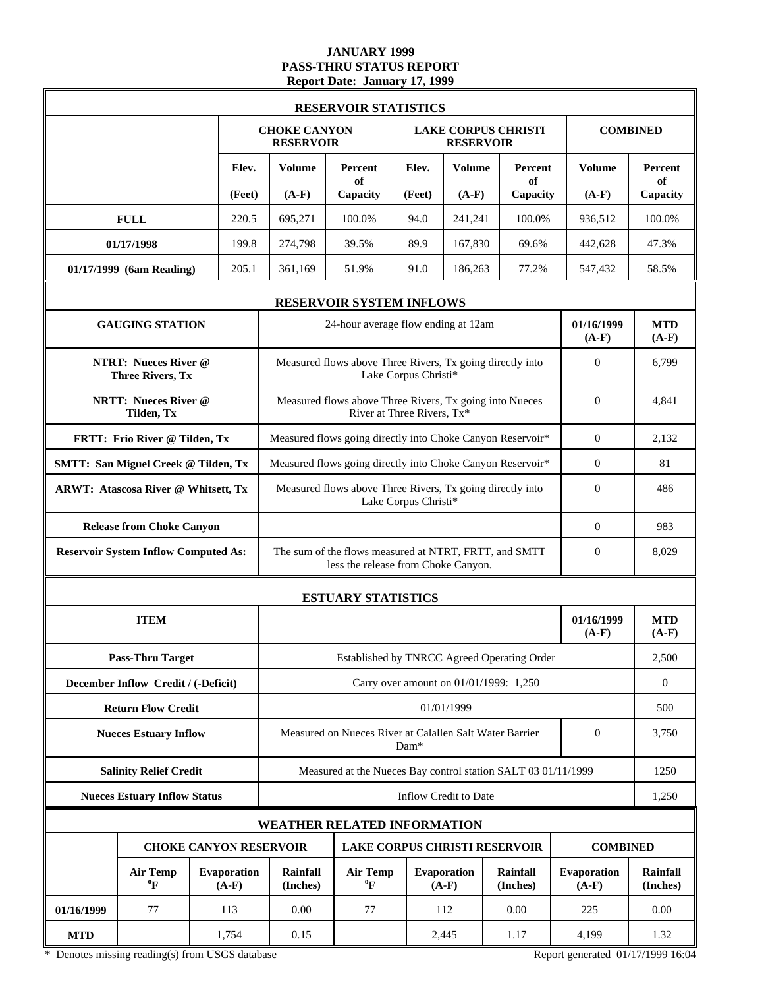### **JANUARY 1999 PASS-THRU STATUS REPORT Report Date: January 17, 1999**

|            |                                                        |                                                                       |                                         | <b>RESERVOIR STATISTICS</b>                                                                  |                            |                                        |                             |                               |                             |
|------------|--------------------------------------------------------|-----------------------------------------------------------------------|-----------------------------------------|----------------------------------------------------------------------------------------------|----------------------------|----------------------------------------|-----------------------------|-------------------------------|-----------------------------|
|            |                                                        |                                                                       | <b>CHOKE CANYON</b><br><b>RESERVOIR</b> |                                                                                              |                            | <b>RESERVOIR</b>                       | <b>LAKE CORPUS CHRISTI</b>  |                               | <b>COMBINED</b>             |
|            |                                                        | Elev.<br>(Feet)                                                       | <b>Volume</b><br>$(A-F)$                | Percent<br>of<br>Capacity                                                                    | Elev.<br>(Feet)            | <b>Volume</b><br>$(A-F)$               | Percent<br>of               | Volume<br>$(A-F)$             | Percent<br>of<br>Capacity   |
|            | <b>FULL</b>                                            | 220.5                                                                 | 695,271                                 | 100.0%                                                                                       | 94.0                       | 241,241                                | Capacity<br>100.0%          | 936,512                       | 100.0%                      |
|            | 01/17/1998                                             | 199.8                                                                 | 274,798                                 | 39.5%                                                                                        | 89.9                       | 167,830                                | 69.6%                       | 442,628                       | 47.3%                       |
|            | 01/17/1999 (6am Reading)                               | 205.1                                                                 | 361,169                                 | 51.9%                                                                                        | 91.0                       | 186,263                                | 77.2%                       | 547,432                       | 58.5%                       |
|            |                                                        |                                                                       |                                         |                                                                                              |                            |                                        |                             |                               |                             |
|            |                                                        |                                                                       |                                         | <b>RESERVOIR SYSTEM INFLOWS</b>                                                              |                            |                                        |                             |                               |                             |
|            | <b>GAUGING STATION</b>                                 |                                                                       |                                         | 24-hour average flow ending at 12am                                                          |                            |                                        |                             | 01/16/1999<br>$(A-F)$         | <b>MTD</b><br>$(A-F)$       |
|            | <b>NTRT: Nueces River @</b><br><b>Three Rivers, Tx</b> |                                                                       |                                         | Measured flows above Three Rivers, Tx going directly into                                    | Lake Corpus Christi*       |                                        |                             | $\mathbf{0}$                  | 6,799                       |
|            | <b>NRTT: Nueces River @</b><br>Tilden, Tx              |                                                                       |                                         | Measured flows above Three Rivers, Tx going into Nueces                                      | River at Three Rivers, Tx* |                                        |                             | $\Omega$                      | 4,841                       |
|            | FRTT: Frio River @ Tilden, Tx                          |                                                                       |                                         | Measured flows going directly into Choke Canyon Reservoir*                                   | $\Omega$                   | 2,132                                  |                             |                               |                             |
|            | <b>SMTT: San Miguel Creek @ Tilden, Tx</b>             |                                                                       |                                         | Measured flows going directly into Choke Canyon Reservoir*                                   | $\overline{0}$             | 81                                     |                             |                               |                             |
|            | <b>ARWT: Atascosa River @ Whitsett, Tx</b>             |                                                                       |                                         | Measured flows above Three Rivers, Tx going directly into                                    | Lake Corpus Christi*       |                                        |                             | $\Omega$                      | 486                         |
|            | <b>Release from Choke Canyon</b>                       |                                                                       |                                         |                                                                                              |                            |                                        |                             | $\overline{0}$                | 983                         |
|            | <b>Reservoir System Inflow Computed As:</b>            |                                                                       |                                         | The sum of the flows measured at NTRT, FRTT, and SMTT<br>less the release from Choke Canyon. | $\overline{0}$             | 8,029                                  |                             |                               |                             |
|            |                                                        |                                                                       |                                         | <b>ESTUARY STATISTICS</b>                                                                    |                            |                                        |                             |                               |                             |
|            | <b>ITEM</b>                                            |                                                                       |                                         |                                                                                              |                            |                                        |                             | 01/16/1999<br>$(A-F)$         | <b>MTD</b><br>$(A-F)$       |
|            | <b>Pass-Thru Target</b>                                |                                                                       |                                         | Established by TNRCC Agreed Operating Order                                                  |                            |                                        |                             |                               | 2,500                       |
|            | December Inflow Credit / (-Deficit)                    |                                                                       |                                         |                                                                                              |                            | Carry over amount on 01/01/1999: 1,250 |                             |                               | $\overline{0}$              |
|            | <b>Return Flow Credit</b>                              |                                                                       |                                         |                                                                                              |                            | 01/01/1999                             |                             |                               | 500                         |
|            | <b>Nueces Estuary Inflow</b>                           |                                                                       |                                         | Measured on Nueces River at Calallen Salt Water Barrier                                      | Dam*                       |                                        |                             | $\overline{0}$                | 3,750                       |
|            | <b>Salinity Relief Credit</b>                          |                                                                       |                                         | Measured at the Nueces Bay control station SALT 03 01/11/1999                                |                            |                                        |                             |                               | 1250                        |
|            | <b>Nueces Estuary Inflow Status</b>                    |                                                                       |                                         |                                                                                              |                            | Inflow Credit to Date                  |                             |                               | 1,250                       |
|            |                                                        |                                                                       |                                         | <b>WEATHER RELATED INFORMATION</b>                                                           |                            |                                        |                             |                               |                             |
|            |                                                        | <b>CHOKE CANYON RESERVOIR</b><br><b>LAKE CORPUS CHRISTI RESERVOIR</b> |                                         |                                                                                              |                            |                                        | <b>COMBINED</b>             |                               |                             |
|            | <b>Air Temp</b><br>$\boldsymbol{P}$                    | Evaporation<br>$(A-F)$                                                | Rainfall<br>(Inches)                    | <b>Air Temp</b><br>$\rm ^{o}F$                                                               |                            | Evaporation<br>$(A-F)$                 | <b>Rainfall</b><br>(Inches) | <b>Evaporation</b><br>$(A-F)$ | <b>Rainfall</b><br>(Inches) |
| 01/16/1999 | 77                                                     | 113                                                                   | 0.00                                    | 77                                                                                           |                            | 112                                    | 0.00                        | 225                           | 0.00                        |
| <b>MTD</b> |                                                        | 1,754                                                                 | 0.15                                    |                                                                                              |                            | 2,445                                  | 1.17                        | 4,199                         | 1.32                        |

\* Denotes missing reading(s) from USGS database Report generated 01/17/1999 16:04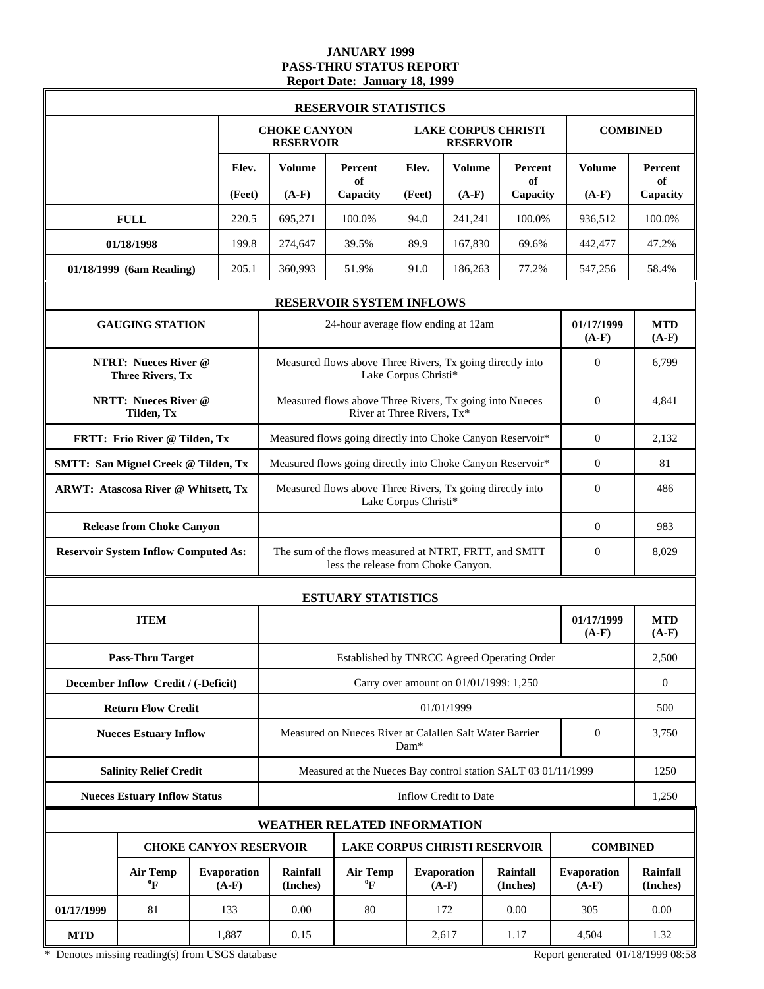### **JANUARY 1999 PASS-THRU STATUS REPORT Report Date: January 18, 1999**

|            |                                                        |                               |                                                            | <b>RESERVOIR STATISTICS</b>                                                                  |                            |                                        |                            |                               |                             |
|------------|--------------------------------------------------------|-------------------------------|------------------------------------------------------------|----------------------------------------------------------------------------------------------|----------------------------|----------------------------------------|----------------------------|-------------------------------|-----------------------------|
|            |                                                        |                               | <b>CHOKE CANYON</b><br><b>RESERVOIR</b>                    |                                                                                              |                            | <b>RESERVOIR</b>                       | <b>LAKE CORPUS CHRISTI</b> |                               | <b>COMBINED</b>             |
|            |                                                        | Elev.                         | Volume                                                     | Percent<br>of                                                                                | Elev.                      | <b>Volume</b>                          | Percent<br>оf              | <b>Volume</b>                 | Percent<br>of               |
|            |                                                        | (Feet)                        | $(A-F)$                                                    | Capacity                                                                                     | (Feet)                     | $(A-F)$                                | Capacity                   | $(A-F)$                       | Capacity                    |
|            | <b>FULL</b>                                            | 220.5                         | 695,271                                                    | 100.0%                                                                                       | 94.0                       | 241,241                                | 100.0%                     | 936,512                       | 100.0%                      |
|            | 01/18/1998                                             | 199.8                         | 274,647                                                    | 39.5%                                                                                        | 89.9                       | 167,830                                | 69.6%                      | 442,477                       | 47.2%                       |
|            | 01/18/1999 (6am Reading)                               | 205.1                         | 360,993                                                    | 51.9%                                                                                        | 91.0                       | 186,263                                | 77.2%                      | 547,256                       | 58.4%                       |
|            |                                                        |                               |                                                            | <b>RESERVOIR SYSTEM INFLOWS</b>                                                              |                            |                                        |                            |                               |                             |
|            | <b>GAUGING STATION</b>                                 |                               |                                                            | 24-hour average flow ending at 12am                                                          |                            |                                        |                            | 01/17/1999<br>$(A-F)$         | <b>MTD</b><br>$(A-F)$       |
|            | <b>NTRT: Nueces River @</b><br><b>Three Rivers, Tx</b> |                               |                                                            | Measured flows above Three Rivers, Tx going directly into                                    | Lake Corpus Christi*       |                                        |                            | $\Omega$                      | 6,799                       |
|            | <b>NRTT: Nueces River @</b><br>Tilden, Tx              |                               |                                                            | Measured flows above Three Rivers, Tx going into Nueces                                      | River at Three Rivers, Tx* |                                        |                            | $\Omega$                      | 4,841                       |
|            | FRTT: Frio River @ Tilden, Tx                          |                               | Measured flows going directly into Choke Canyon Reservoir* |                                                                                              |                            |                                        |                            | $\Omega$                      | 2,132                       |
|            | <b>SMTT: San Miguel Creek @ Tilden, Tx</b>             |                               |                                                            | Measured flows going directly into Choke Canyon Reservoir*                                   | $\overline{0}$             | 81                                     |                            |                               |                             |
|            | <b>ARWT: Atascosa River @ Whitsett, Tx</b>             |                               |                                                            | Measured flows above Three Rivers, Tx going directly into<br>Lake Corpus Christi*            | $\Omega$                   | 486                                    |                            |                               |                             |
|            | <b>Release from Choke Canyon</b>                       |                               |                                                            |                                                                                              | $\overline{0}$             | 983                                    |                            |                               |                             |
|            | <b>Reservoir System Inflow Computed As:</b>            |                               |                                                            | The sum of the flows measured at NTRT, FRTT, and SMTT<br>less the release from Choke Canyon. | $\mathbf{0}$               | 8,029                                  |                            |                               |                             |
|            |                                                        |                               |                                                            | <b>ESTUARY STATISTICS</b>                                                                    |                            |                                        |                            |                               |                             |
|            | <b>ITEM</b>                                            |                               |                                                            |                                                                                              |                            |                                        |                            | 01/17/1999<br>$(A-F)$         | <b>MTD</b><br>$(A-F)$       |
|            | <b>Pass-Thru Target</b>                                |                               |                                                            | Established by TNRCC Agreed Operating Order                                                  |                            |                                        |                            |                               | 2,500                       |
|            | December Inflow Credit / (-Deficit)                    |                               |                                                            |                                                                                              |                            | Carry over amount on 01/01/1999: 1,250 |                            |                               | $\overline{0}$              |
|            | <b>Return Flow Credit</b>                              |                               |                                                            |                                                                                              |                            | 01/01/1999                             |                            |                               | 500                         |
|            | <b>Nueces Estuary Inflow</b>                           |                               |                                                            | Measured on Nueces River at Calallen Salt Water Barrier                                      | Dam*                       |                                        |                            | $\overline{0}$                | 3,750                       |
|            | <b>Salinity Relief Credit</b>                          |                               |                                                            | Measured at the Nueces Bay control station SALT 03 01/11/1999                                |                            |                                        |                            |                               | 1250                        |
|            | <b>Nueces Estuary Inflow Status</b>                    |                               |                                                            |                                                                                              |                            | Inflow Credit to Date                  |                            |                               | 1,250                       |
|            |                                                        |                               |                                                            | <b>WEATHER RELATED INFORMATION</b>                                                           |                            |                                        |                            |                               |                             |
|            |                                                        | <b>CHOKE CANYON RESERVOIR</b> |                                                            | <b>LAKE CORPUS CHRISTI RESERVOIR</b>                                                         |                            |                                        |                            | <b>COMBINED</b>               |                             |
|            | <b>Air Temp</b><br>$\boldsymbol{P}$                    | <b>Evaporation</b><br>$(A-F)$ | <b>Rainfall</b><br>(Inches)                                | <b>Air Temp</b><br>$\rm ^{o}F$                                                               |                            | <b>Evaporation</b><br>$(A-F)$          | Rainfall<br>(Inches)       | <b>Evaporation</b><br>$(A-F)$ | <b>Rainfall</b><br>(Inches) |
| 01/17/1999 | 81                                                     | 133                           | 0.00                                                       | 80                                                                                           |                            | 172                                    | 0.00                       | 305                           | 0.00                        |
| <b>MTD</b> |                                                        | 1,887                         | 0.15                                                       |                                                                                              |                            | 2,617                                  | 1.17                       | 4,504                         | 1.32                        |

\* Denotes missing reading(s) from USGS database Report generated 01/18/1999 08:58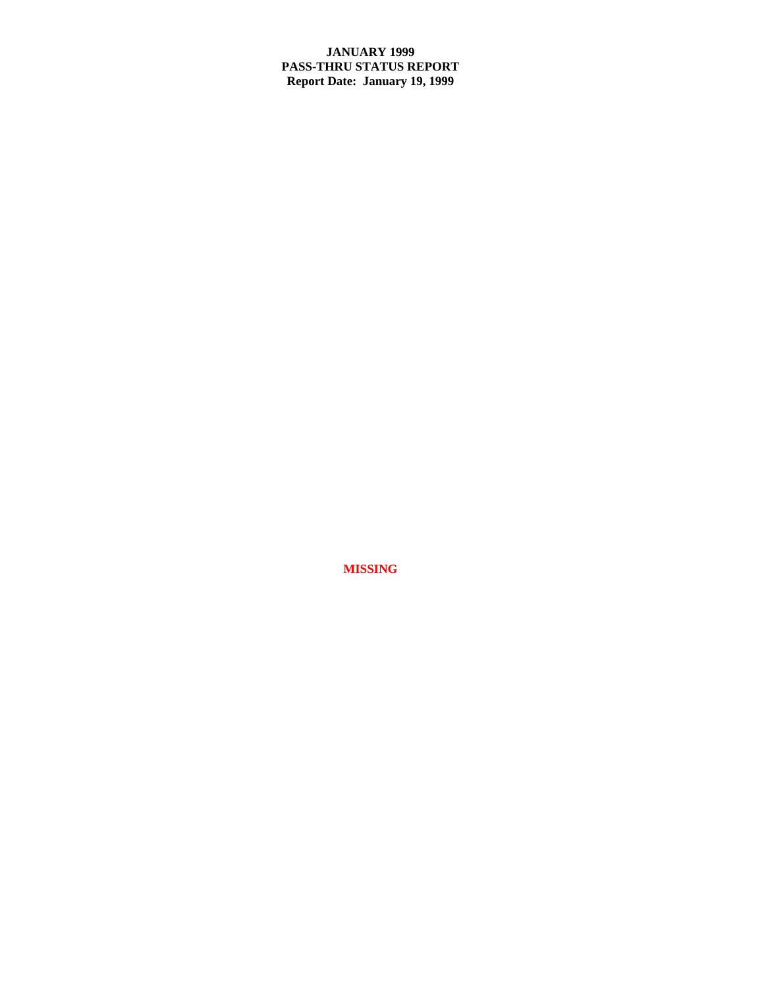# **JANUARY 1999 PASS-THRU STATUS REPORT Report Date: January 19, 1999**

**MISSING**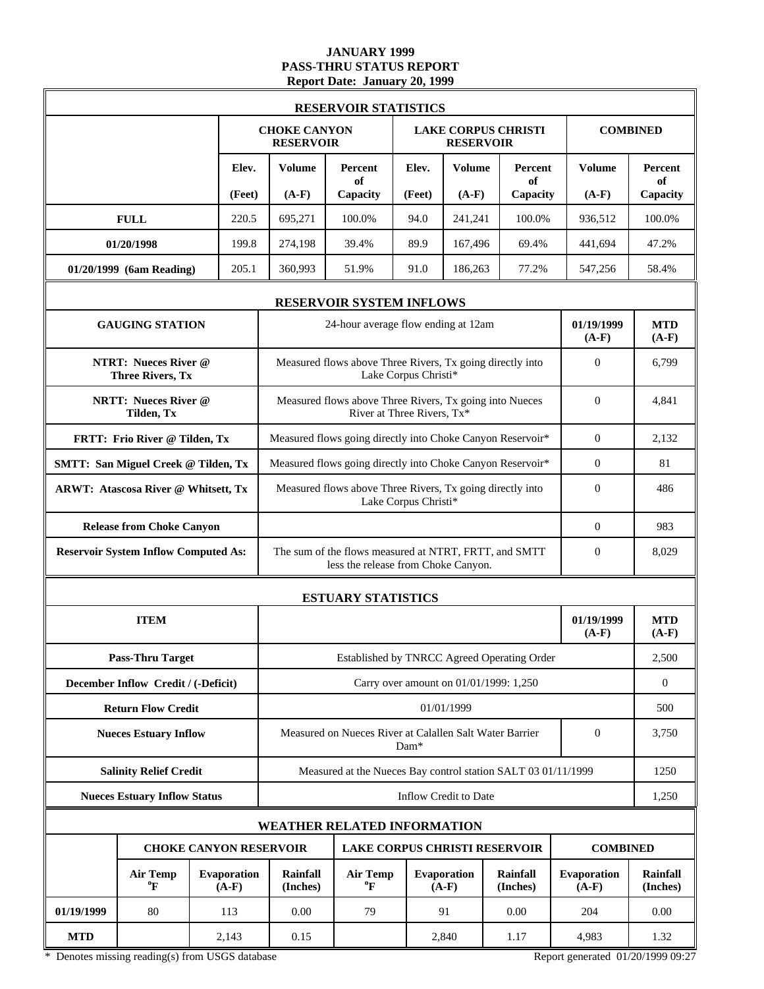### **JANUARY 1999 PASS-THRU STATUS REPORT Report Date: January 20, 1999**

|            |                                                        |                        |                                                            | <b>RESERVOIR STATISTICS</b>                                                                  |                                                                 |                        |                                             |                        |                             |
|------------|--------------------------------------------------------|------------------------|------------------------------------------------------------|----------------------------------------------------------------------------------------------|-----------------------------------------------------------------|------------------------|---------------------------------------------|------------------------|-----------------------------|
|            |                                                        |                        | <b>CHOKE CANYON</b><br><b>RESERVOIR</b>                    |                                                                                              |                                                                 | <b>RESERVOIR</b>       | <b>LAKE CORPUS CHRISTI</b>                  |                        | <b>COMBINED</b>             |
|            |                                                        | Elev.                  | Volume                                                     | Percent<br>of                                                                                | Elev.                                                           | <b>Volume</b>          | <b>Percent</b><br>of                        | <b>Volume</b>          | Percent<br>of               |
|            |                                                        | (Feet)                 | $(A-F)$                                                    | Capacity                                                                                     | (Feet)                                                          | $(A-F)$                | Capacity                                    | $(A-F)$                | Capacity                    |
|            | <b>FULL</b>                                            | 220.5                  | 695,271                                                    | 100.0%                                                                                       | 94.0                                                            | 241,241                | 100.0%                                      | 936.512                | 100.0%                      |
|            | 01/20/1998                                             | 199.8                  | 274,198                                                    | 39.4%                                                                                        | 89.9                                                            | 167.496                | 69.4%                                       | 441.694                | 47.2%                       |
|            | 01/20/1999 (6am Reading)                               | 205.1                  | 360,993                                                    | 51.9%                                                                                        | 91.0                                                            | 186,263                | 77.2%                                       | 547,256                | 58.4%                       |
|            |                                                        |                        |                                                            | <b>RESERVOIR SYSTEM INFLOWS</b>                                                              |                                                                 |                        |                                             |                        |                             |
|            | <b>GAUGING STATION</b>                                 |                        |                                                            | 24-hour average flow ending at 12am                                                          |                                                                 |                        |                                             | 01/19/1999<br>$(A-F)$  | <b>MTD</b><br>$(A-F)$       |
|            | <b>NTRT: Nueces River @</b><br><b>Three Rivers, Tx</b> |                        |                                                            | Measured flows above Three Rivers, Tx going directly into                                    | Lake Corpus Christi*                                            |                        |                                             | $\theta$               | 6,799                       |
|            | <b>NRTT: Nueces River @</b><br>Tilden, Tx              |                        |                                                            | Measured flows above Three Rivers, Tx going into Nueces                                      | River at Three Rivers, Tx*                                      |                        |                                             | $\Omega$               | 4,841                       |
|            | FRTT: Frio River @ Tilden, Tx                          |                        | Measured flows going directly into Choke Canyon Reservoir* |                                                                                              |                                                                 |                        | $\Omega$                                    | 2,132                  |                             |
|            | <b>SMTT: San Miguel Creek @ Tilden, Tx</b>             |                        |                                                            | Measured flows going directly into Choke Canyon Reservoir*                                   | $\mathbf{0}$                                                    | 81                     |                                             |                        |                             |
|            | <b>ARWT: Atascosa River @ Whitsett, Tx</b>             |                        |                                                            | Measured flows above Three Rivers, Tx going directly into<br>Lake Corpus Christi*            | $\Omega$                                                        | 486                    |                                             |                        |                             |
|            | <b>Release from Choke Canyon</b>                       |                        |                                                            |                                                                                              | $\overline{0}$                                                  | 983                    |                                             |                        |                             |
|            | <b>Reservoir System Inflow Computed As:</b>            |                        |                                                            | The sum of the flows measured at NTRT, FRTT, and SMTT<br>less the release from Choke Canyon. |                                                                 |                        |                                             | $\mathbf{0}$           | 8,029                       |
|            |                                                        |                        |                                                            | <b>ESTUARY STATISTICS</b>                                                                    |                                                                 |                        |                                             |                        |                             |
|            | <b>ITEM</b>                                            |                        |                                                            |                                                                                              |                                                                 |                        |                                             | 01/19/1999<br>$(A-F)$  | <b>MTD</b><br>$(A-F)$       |
|            | <b>Pass-Thru Target</b>                                |                        |                                                            |                                                                                              |                                                                 |                        | Established by TNRCC Agreed Operating Order |                        | 2,500                       |
|            | December Inflow Credit / (-Deficit)                    |                        |                                                            |                                                                                              |                                                                 |                        | Carry over amount on 01/01/1999: 1,250      |                        | $\boldsymbol{0}$            |
|            | <b>Return Flow Credit</b>                              |                        |                                                            |                                                                                              |                                                                 | 01/01/1999             |                                             |                        | 500                         |
|            | <b>Nueces Estuary Inflow</b>                           |                        |                                                            |                                                                                              | Measured on Nueces River at Calallen Salt Water Barrier<br>Dam* |                        |                                             | $\overline{0}$         | 3,750                       |
|            | <b>Salinity Relief Credit</b>                          |                        |                                                            | Measured at the Nueces Bay control station SALT 03 01/11/1999                                |                                                                 |                        |                                             |                        | 1250                        |
|            | <b>Nueces Estuary Inflow Status</b>                    |                        |                                                            |                                                                                              | Inflow Credit to Date                                           |                        |                                             |                        | 1,250                       |
|            |                                                        |                        |                                                            | <b>WEATHER RELATED INFORMATION</b>                                                           |                                                                 |                        |                                             |                        |                             |
|            | <b>CHOKE CANYON RESERVOIR</b>                          |                        |                                                            |                                                                                              |                                                                 |                        | LAKE CORPUS CHRISTI RESERVOIR               | <b>COMBINED</b>        |                             |
|            | <b>Air Temp</b><br>$\boldsymbol{P}$                    | Evaporation<br>$(A-F)$ | Rainfall<br>(Inches)                                       | <b>Air Temp</b><br>$\boldsymbol{P}$                                                          |                                                                 | Evaporation<br>$(A-F)$ | Rainfall<br>(Inches)                        | Evaporation<br>$(A-F)$ | <b>Rainfall</b><br>(Inches) |
| 01/19/1999 | 80                                                     | 113                    | 0.00                                                       | 79                                                                                           |                                                                 | 91                     | 0.00                                        | 204                    | 0.00                        |
| <b>MTD</b> |                                                        | 2,143                  | 0.15                                                       |                                                                                              |                                                                 | 2,840                  | 1.17                                        | 4,983                  | 1.32                        |

\* Denotes missing reading(s) from USGS database Report generated 01/20/1999 09:27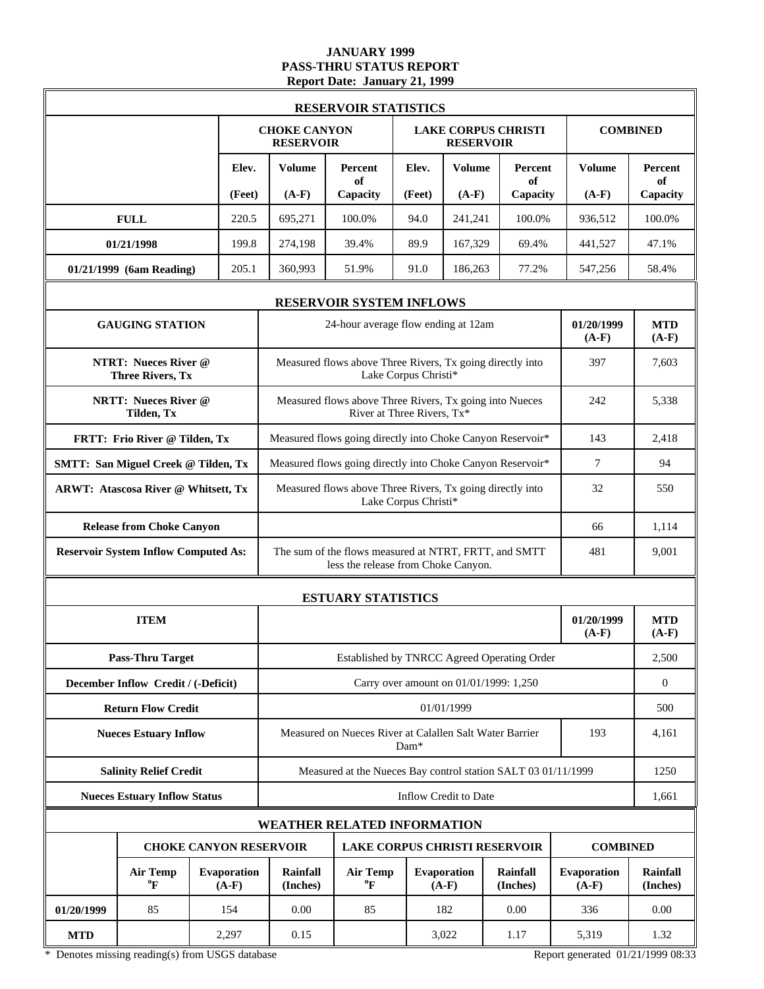### **JANUARY 1999 PASS-THRU STATUS REPORT Report Date: January 21, 1999**

|            |                                                        |                               |                                         | <b>RESERVOIR STATISTICS</b>                                                                  |                            |                                        |                            |                               |                             |
|------------|--------------------------------------------------------|-------------------------------|-----------------------------------------|----------------------------------------------------------------------------------------------|----------------------------|----------------------------------------|----------------------------|-------------------------------|-----------------------------|
|            |                                                        |                               | <b>CHOKE CANYON</b><br><b>RESERVOIR</b> |                                                                                              |                            | <b>RESERVOIR</b>                       | <b>LAKE CORPUS CHRISTI</b> |                               | <b>COMBINED</b>             |
|            |                                                        | Elev.                         | Volume                                  | Percent<br>of                                                                                | Elev.                      | <b>Volume</b>                          | Percent<br>of              | <b>Volume</b>                 | Percent<br>of               |
|            |                                                        | (Feet)                        | $(A-F)$                                 | Capacity                                                                                     | (Feet)                     | $(A-F)$                                | Capacity                   | $(A-F)$                       | Capacity                    |
|            | <b>FULL</b>                                            | 220.5                         | 695,271                                 | 100.0%                                                                                       | 94.0                       | 241,241                                | 100.0%                     | 936,512                       | 100.0%                      |
|            | 01/21/1998                                             | 199.8                         | 274,198                                 | 39.4%                                                                                        | 89.9                       | 167,329                                | 69.4%                      | 441,527                       | 47.1%                       |
|            | 01/21/1999 (6am Reading)                               | 205.1                         | 360,993                                 | 51.9%                                                                                        | 91.0                       | 186,263                                | 77.2%                      | 547,256                       | 58.4%                       |
|            |                                                        |                               |                                         | <b>RESERVOIR SYSTEM INFLOWS</b>                                                              |                            |                                        |                            |                               |                             |
|            | <b>GAUGING STATION</b>                                 |                               |                                         | 24-hour average flow ending at 12am                                                          |                            |                                        |                            | 01/20/1999<br>$(A-F)$         | <b>MTD</b><br>$(A-F)$       |
|            | <b>NTRT: Nueces River @</b><br><b>Three Rivers, Tx</b> |                               |                                         | Measured flows above Three Rivers, Tx going directly into                                    | Lake Corpus Christi*       |                                        |                            | 397                           | 7,603                       |
|            | <b>NRTT: Nueces River @</b><br>Tilden, Tx              |                               |                                         | Measured flows above Three Rivers, Tx going into Nueces                                      | River at Three Rivers, Tx* |                                        |                            | 242                           | 5,338                       |
|            | FRTT: Frio River @ Tilden, Tx                          |                               |                                         | Measured flows going directly into Choke Canyon Reservoir*                                   | 143                        | 2,418                                  |                            |                               |                             |
|            | <b>SMTT: San Miguel Creek @ Tilden, Tx</b>             |                               |                                         | Measured flows going directly into Choke Canyon Reservoir*                                   | 7                          | 94                                     |                            |                               |                             |
|            | <b>ARWT: Atascosa River @ Whitsett, Tx</b>             |                               |                                         | Measured flows above Three Rivers, Tx going directly into<br>Lake Corpus Christi*            | 32                         | 550                                    |                            |                               |                             |
|            | <b>Release from Choke Canyon</b>                       |                               |                                         |                                                                                              | 66                         | 1,114                                  |                            |                               |                             |
|            | <b>Reservoir System Inflow Computed As:</b>            |                               |                                         | The sum of the flows measured at NTRT, FRTT, and SMTT<br>less the release from Choke Canyon. | 481                        | 9,001                                  |                            |                               |                             |
|            |                                                        |                               |                                         | <b>ESTUARY STATISTICS</b>                                                                    |                            |                                        |                            |                               |                             |
|            | <b>ITEM</b>                                            |                               |                                         |                                                                                              |                            |                                        |                            | 01/20/1999<br>$(A-F)$         | <b>MTD</b><br>$(A-F)$       |
|            | <b>Pass-Thru Target</b>                                |                               |                                         | Established by TNRCC Agreed Operating Order                                                  |                            |                                        |                            |                               | 2,500                       |
|            | December Inflow Credit / (-Deficit)                    |                               |                                         |                                                                                              |                            | Carry over amount on 01/01/1999: 1,250 |                            |                               | $\overline{0}$              |
|            | <b>Return Flow Credit</b>                              |                               |                                         |                                                                                              |                            | 01/01/1999                             |                            |                               | 500                         |
|            | <b>Nueces Estuary Inflow</b>                           |                               |                                         | Measured on Nueces River at Calallen Salt Water Barrier                                      | Dam*                       |                                        |                            | 193                           | 4.161                       |
|            | <b>Salinity Relief Credit</b>                          |                               |                                         | Measured at the Nueces Bay control station SALT 03 01/11/1999                                |                            |                                        |                            |                               | 1250                        |
|            | <b>Nueces Estuary Inflow Status</b>                    |                               |                                         |                                                                                              |                            | <b>Inflow Credit to Date</b>           |                            |                               | 1,661                       |
|            |                                                        |                               |                                         | <b>WEATHER RELATED INFORMATION</b>                                                           |                            |                                        |                            |                               |                             |
|            |                                                        | <b>CHOKE CANYON RESERVOIR</b> |                                         | <b>LAKE CORPUS CHRISTI RESERVOIR</b>                                                         |                            |                                        |                            | <b>COMBINED</b>               |                             |
|            | <b>Air Temp</b><br>$\boldsymbol{P}$                    | <b>Evaporation</b><br>$(A-F)$ | Rainfall<br>(Inches)                    | <b>Air Temp</b><br>$\rm ^{o}F$                                                               |                            | <b>Evaporation</b><br>$(A-F)$          | Rainfall<br>(Inches)       | <b>Evaporation</b><br>$(A-F)$ | <b>Rainfall</b><br>(Inches) |
| 01/20/1999 | 85                                                     | 154                           | 85<br>0.00                              |                                                                                              |                            | 182                                    | 0.00                       | 336                           | 0.00                        |
| <b>MTD</b> |                                                        | 2,297                         | 0.15                                    |                                                                                              |                            | 3,022                                  | 1.17                       | 5,319                         | 1.32                        |

\* Denotes missing reading(s) from USGS database Report generated 01/21/1999 08:33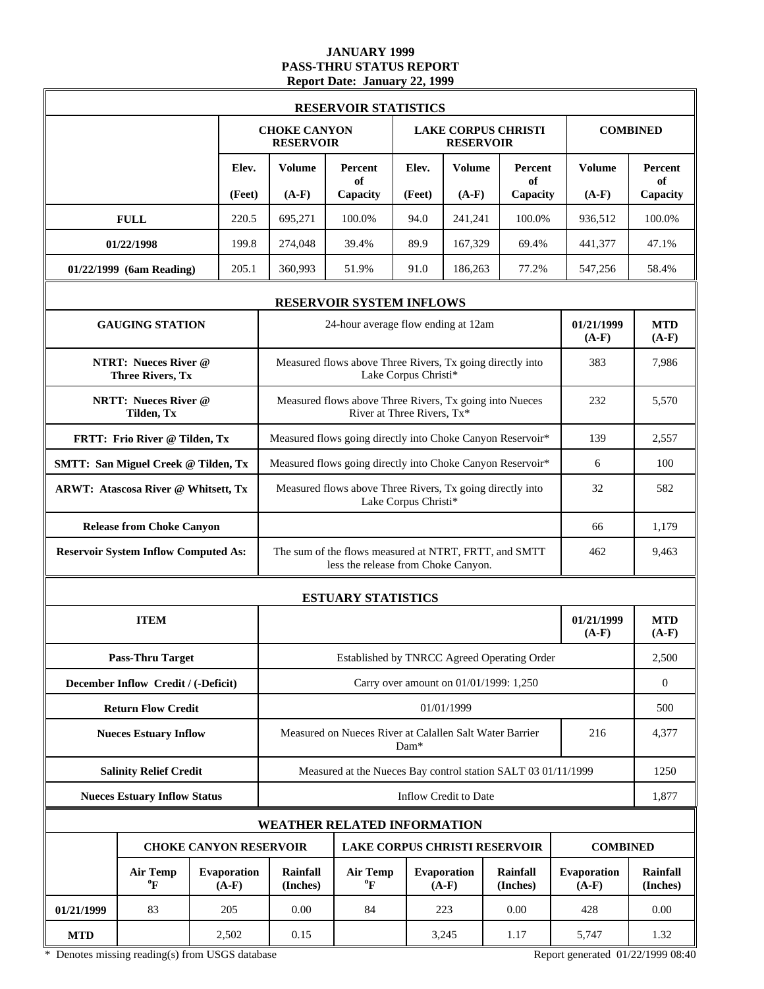### **JANUARY 1999 PASS-THRU STATUS REPORT Report Date: January 22, 1999**

|            |                                                        |                               |                                                            | <b>RESERVOIR STATISTICS</b>                                                                  |                            |                                        |                            |                               |                             |
|------------|--------------------------------------------------------|-------------------------------|------------------------------------------------------------|----------------------------------------------------------------------------------------------|----------------------------|----------------------------------------|----------------------------|-------------------------------|-----------------------------|
|            |                                                        |                               | <b>CHOKE CANYON</b><br><b>RESERVOIR</b>                    |                                                                                              |                            | <b>RESERVOIR</b>                       | <b>LAKE CORPUS CHRISTI</b> |                               | <b>COMBINED</b>             |
|            |                                                        | Elev.                         | Volume                                                     | Percent<br>of                                                                                | Elev.                      | <b>Volume</b>                          | Percent<br>of              | <b>Volume</b>                 | Percent<br>of               |
|            |                                                        | (Feet)                        | $(A-F)$                                                    | Capacity                                                                                     | (Feet)                     | $(A-F)$                                | Capacity                   | $(A-F)$                       | Capacity                    |
|            | <b>FULL</b>                                            | 220.5                         | 695,271                                                    | 100.0%                                                                                       | 94.0                       | 241,241                                | 100.0%                     | 936,512                       | 100.0%                      |
|            | 01/22/1998                                             | 199.8                         | 274,048                                                    | 39.4%                                                                                        | 89.9                       | 167,329                                | 69.4%                      | 441,377                       | 47.1%                       |
|            | 01/22/1999 (6am Reading)                               | 205.1                         | 360,993                                                    | 51.9%                                                                                        | 91.0                       | 186,263                                | 77.2%                      | 547,256                       | 58.4%                       |
|            |                                                        |                               |                                                            | <b>RESERVOIR SYSTEM INFLOWS</b>                                                              |                            |                                        |                            |                               |                             |
|            | <b>GAUGING STATION</b>                                 |                               |                                                            | 24-hour average flow ending at 12am                                                          |                            |                                        |                            | 01/21/1999<br>$(A-F)$         | <b>MTD</b><br>$(A-F)$       |
|            | <b>NTRT: Nueces River @</b><br><b>Three Rivers, Tx</b> |                               |                                                            | Measured flows above Three Rivers, Tx going directly into                                    | Lake Corpus Christi*       |                                        |                            | 383                           | 7,986                       |
|            | <b>NRTT: Nueces River @</b><br>Tilden, Tx              |                               |                                                            | Measured flows above Three Rivers, Tx going into Nueces                                      | River at Three Rivers, Tx* |                                        |                            | 232                           | 5,570                       |
|            | FRTT: Frio River @ Tilden, Tx                          |                               | Measured flows going directly into Choke Canyon Reservoir* |                                                                                              |                            |                                        |                            | 139                           | 2.557                       |
|            | <b>SMTT: San Miguel Creek @ Tilden, Tx</b>             |                               |                                                            | Measured flows going directly into Choke Canyon Reservoir*                                   | 6                          | 100                                    |                            |                               |                             |
|            | <b>ARWT: Atascosa River @ Whitsett, Tx</b>             |                               |                                                            | Measured flows above Three Rivers, Tx going directly into<br>Lake Corpus Christi*            | 32                         | 582                                    |                            |                               |                             |
|            | <b>Release from Choke Canyon</b>                       |                               |                                                            |                                                                                              | 66                         | 1,179                                  |                            |                               |                             |
|            | <b>Reservoir System Inflow Computed As:</b>            |                               |                                                            | The sum of the flows measured at NTRT, FRTT, and SMTT<br>less the release from Choke Canyon. | 462                        | 9,463                                  |                            |                               |                             |
|            |                                                        |                               |                                                            | <b>ESTUARY STATISTICS</b>                                                                    |                            |                                        |                            |                               |                             |
|            | <b>ITEM</b>                                            |                               |                                                            |                                                                                              |                            |                                        |                            | 01/21/1999<br>$(A-F)$         | <b>MTD</b><br>$(A-F)$       |
|            | <b>Pass-Thru Target</b>                                |                               |                                                            | Established by TNRCC Agreed Operating Order                                                  |                            |                                        |                            |                               | 2,500                       |
|            | December Inflow Credit / (-Deficit)                    |                               |                                                            |                                                                                              |                            | Carry over amount on 01/01/1999: 1,250 |                            |                               | $\overline{0}$              |
|            | <b>Return Flow Credit</b>                              |                               |                                                            |                                                                                              |                            | 01/01/1999                             |                            |                               | 500                         |
|            | <b>Nueces Estuary Inflow</b>                           |                               |                                                            | Measured on Nueces River at Calallen Salt Water Barrier                                      | Dam*                       |                                        |                            | 216                           | 4,377                       |
|            | <b>Salinity Relief Credit</b>                          |                               |                                                            | Measured at the Nueces Bay control station SALT 03 01/11/1999                                |                            |                                        |                            |                               | 1250                        |
|            | <b>Nueces Estuary Inflow Status</b>                    |                               |                                                            |                                                                                              |                            | <b>Inflow Credit to Date</b>           |                            |                               | 1,877                       |
|            |                                                        |                               |                                                            | <b>WEATHER RELATED INFORMATION</b>                                                           |                            |                                        |                            |                               |                             |
|            |                                                        | <b>CHOKE CANYON RESERVOIR</b> |                                                            | <b>LAKE CORPUS CHRISTI RESERVOIR</b>                                                         |                            |                                        |                            | <b>COMBINED</b>               |                             |
|            | <b>Air Temp</b><br>$\boldsymbol{P}$                    | <b>Evaporation</b><br>$(A-F)$ | Rainfall<br>(Inches)                                       | <b>Air Temp</b><br>$\rm ^{o}F$                                                               |                            | <b>Evaporation</b><br>$(A-F)$          | Rainfall<br>(Inches)       | <b>Evaporation</b><br>$(A-F)$ | <b>Rainfall</b><br>(Inches) |
| 01/21/1999 | 83                                                     | 205                           | 0.00                                                       | 84                                                                                           |                            | 223                                    | 0.00                       | 428                           | 0.00                        |
| <b>MTD</b> |                                                        | 2,502                         | 0.15                                                       |                                                                                              |                            | 3,245                                  | 1.17                       | 5,747                         | 1.32                        |

\* Denotes missing reading(s) from USGS database Report generated 01/22/1999 08:40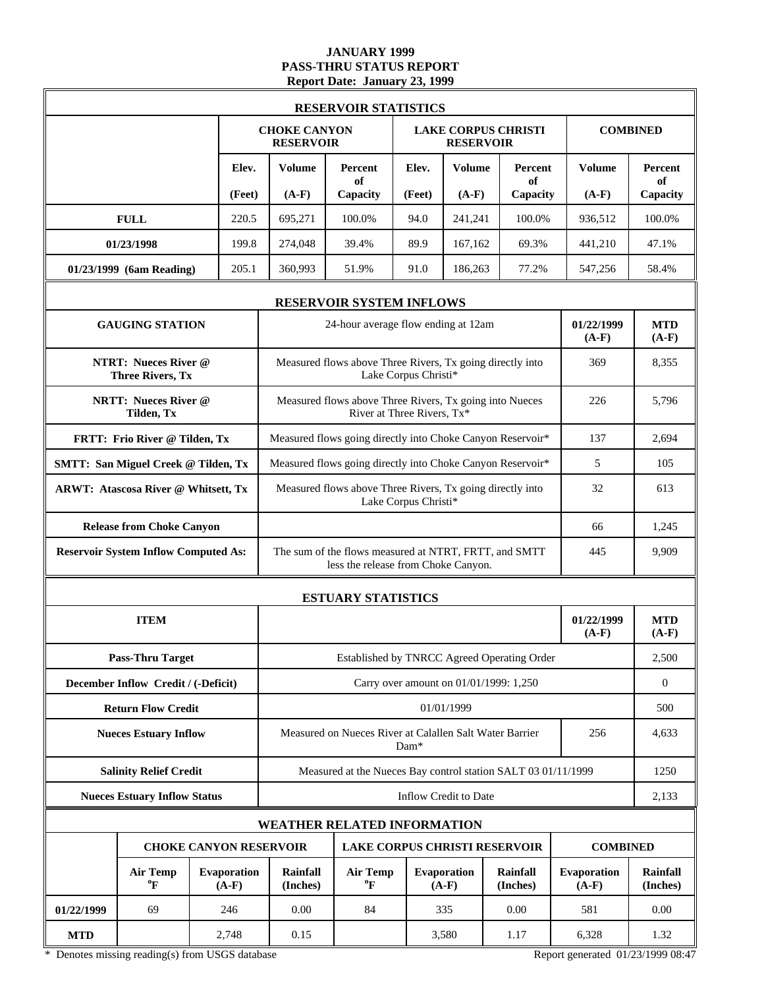### **JANUARY 1999 PASS-THRU STATUS REPORT Report Date: January 23, 1999**

|            |                                                        |                               |                                                                       | <b>RESERVOIR STATISTICS</b>                                                                  |                            |                                        |                            |                               |                             |
|------------|--------------------------------------------------------|-------------------------------|-----------------------------------------------------------------------|----------------------------------------------------------------------------------------------|----------------------------|----------------------------------------|----------------------------|-------------------------------|-----------------------------|
|            |                                                        |                               | <b>CHOKE CANYON</b><br><b>RESERVOIR</b>                               |                                                                                              |                            | <b>RESERVOIR</b>                       | <b>LAKE CORPUS CHRISTI</b> |                               | <b>COMBINED</b>             |
|            |                                                        | Elev.                         | Volume                                                                | Percent<br>of                                                                                | Elev.                      | <b>Volume</b>                          | Percent<br>of              | <b>Volume</b>                 | Percent<br>of               |
|            |                                                        | (Feet)                        | $(A-F)$                                                               | Capacity                                                                                     | (Feet)                     | $(A-F)$                                | Capacity                   | $(A-F)$                       | Capacity                    |
|            | <b>FULL</b>                                            | 220.5                         | 695,271                                                               | 100.0%                                                                                       | 94.0                       | 241,241                                | 100.0%                     | 936,512                       | 100.0%                      |
|            | 01/23/1998                                             | 199.8                         | 274,048                                                               | 39.4%                                                                                        | 89.9                       | 167,162                                | 69.3%                      | 441,210                       | 47.1%                       |
|            | 01/23/1999 (6am Reading)                               | 205.1                         | 360,993                                                               | 51.9%                                                                                        | 91.0                       | 186,263                                | 77.2%                      | 547,256                       | 58.4%                       |
|            |                                                        |                               |                                                                       | <b>RESERVOIR SYSTEM INFLOWS</b>                                                              |                            |                                        |                            |                               |                             |
|            | <b>GAUGING STATION</b>                                 |                               |                                                                       | 24-hour average flow ending at 12am                                                          |                            |                                        |                            | 01/22/1999<br>$(A-F)$         | <b>MTD</b><br>$(A-F)$       |
|            | <b>NTRT: Nueces River @</b><br><b>Three Rivers, Tx</b> |                               |                                                                       | Measured flows above Three Rivers, Tx going directly into                                    | Lake Corpus Christi*       |                                        |                            | 369                           | 8,355                       |
|            | <b>NRTT: Nueces River @</b><br>Tilden, Tx              |                               |                                                                       | Measured flows above Three Rivers, Tx going into Nueces                                      | River at Three Rivers, Tx* |                                        |                            | 226                           | 5,796                       |
|            | FRTT: Frio River @ Tilden, Tx                          |                               | Measured flows going directly into Choke Canyon Reservoir*            |                                                                                              |                            |                                        |                            | 137                           | 2,694                       |
|            | <b>SMTT: San Miguel Creek @ Tilden, Tx</b>             |                               |                                                                       | Measured flows going directly into Choke Canyon Reservoir*                                   | 5                          | 105                                    |                            |                               |                             |
|            | <b>ARWT: Atascosa River @ Whitsett, Tx</b>             |                               |                                                                       | Measured flows above Three Rivers, Tx going directly into<br>Lake Corpus Christi*            | 32                         | 613                                    |                            |                               |                             |
|            | <b>Release from Choke Canyon</b>                       |                               |                                                                       |                                                                                              | 66                         | 1,245                                  |                            |                               |                             |
|            | <b>Reservoir System Inflow Computed As:</b>            |                               |                                                                       | The sum of the flows measured at NTRT, FRTT, and SMTT<br>less the release from Choke Canyon. | 445                        | 9,909                                  |                            |                               |                             |
|            |                                                        |                               |                                                                       | <b>ESTUARY STATISTICS</b>                                                                    |                            |                                        |                            |                               |                             |
|            | <b>ITEM</b>                                            |                               |                                                                       |                                                                                              |                            |                                        |                            | 01/22/1999<br>$(A-F)$         | <b>MTD</b><br>$(A-F)$       |
|            | <b>Pass-Thru Target</b>                                |                               |                                                                       | Established by TNRCC Agreed Operating Order                                                  |                            |                                        |                            |                               | 2,500                       |
|            | December Inflow Credit / (-Deficit)                    |                               |                                                                       |                                                                                              |                            | Carry over amount on 01/01/1999: 1,250 |                            |                               | $\overline{0}$              |
|            | <b>Return Flow Credit</b>                              |                               |                                                                       |                                                                                              |                            | 01/01/1999                             |                            |                               | 500                         |
|            | <b>Nueces Estuary Inflow</b>                           |                               |                                                                       | Measured on Nueces River at Calallen Salt Water Barrier                                      | Dam*                       |                                        |                            | 256                           | 4,633                       |
|            | <b>Salinity Relief Credit</b>                          |                               |                                                                       | Measured at the Nueces Bay control station SALT 03 01/11/1999                                |                            |                                        |                            |                               | 1250                        |
|            | <b>Nueces Estuary Inflow Status</b>                    |                               |                                                                       |                                                                                              |                            | <b>Inflow Credit to Date</b>           |                            |                               | 2,133                       |
|            |                                                        |                               |                                                                       | <b>WEATHER RELATED INFORMATION</b>                                                           |                            |                                        |                            |                               |                             |
|            |                                                        |                               | <b>CHOKE CANYON RESERVOIR</b><br><b>LAKE CORPUS CHRISTI RESERVOIR</b> |                                                                                              |                            |                                        |                            | <b>COMBINED</b>               |                             |
|            | <b>Air Temp</b><br>$\boldsymbol{P}$                    | <b>Evaporation</b><br>$(A-F)$ | Rainfall<br>(Inches)                                                  | <b>Air Temp</b><br>$\rm ^{o}F$                                                               |                            | <b>Evaporation</b><br>$(A-F)$          | Rainfall<br>(Inches)       | <b>Evaporation</b><br>$(A-F)$ | <b>Rainfall</b><br>(Inches) |
| 01/22/1999 | 69                                                     | 246                           | 0.00                                                                  | 84                                                                                           |                            | 335                                    | 0.00                       | 581                           | 0.00                        |
| <b>MTD</b> |                                                        | 2,748                         | 0.15                                                                  |                                                                                              |                            | 3,580                                  | 1.17                       | 6,328                         | 1.32                        |

\* Denotes missing reading(s) from USGS database Report generated 01/23/1999 08:47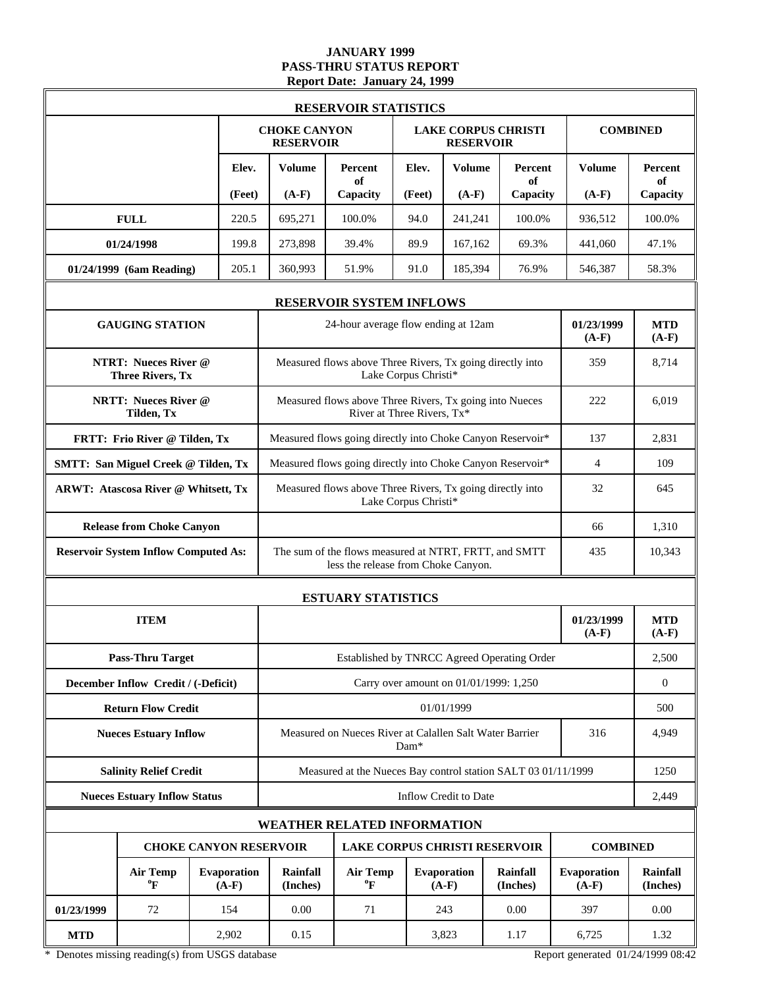### **JANUARY 1999 PASS-THRU STATUS REPORT Report Date: January 24, 1999**

|            |                                                        |                               |                                                                                                                                 | <b>RESERVOIR STATISTICS</b>                                                           |                      |                              |                                             |                       |                             |
|------------|--------------------------------------------------------|-------------------------------|---------------------------------------------------------------------------------------------------------------------------------|---------------------------------------------------------------------------------------|----------------------|------------------------------|---------------------------------------------|-----------------------|-----------------------------|
|            |                                                        |                               | <b>CHOKE CANYON</b><br><b>RESERVOIR</b>                                                                                         |                                                                                       |                      | <b>RESERVOIR</b>             | <b>LAKE CORPUS CHRISTI</b>                  |                       | <b>COMBINED</b>             |
|            |                                                        | Elev.                         | Volume                                                                                                                          | <b>Percent</b><br>of                                                                  | Elev.                | <b>Volume</b>                | <b>Percent</b><br>of                        | Volume                | Percent<br>of               |
|            |                                                        | (Feet)                        | $(A-F)$                                                                                                                         | Capacity                                                                              | (Feet)               | $(A-F)$                      | Capacity                                    | $(A-F)$               | Capacity                    |
|            | <b>FULL</b>                                            | 220.5                         | 695,271                                                                                                                         | 100.0%                                                                                | 94.0                 | 241,241                      | 100.0%                                      | 936,512               | 100.0%                      |
|            | 01/24/1998                                             | 199.8                         | 273,898                                                                                                                         | 39.4%                                                                                 | 89.9                 | 167,162                      | 69.3%                                       | 441,060               | 47.1%                       |
|            | 01/24/1999 (6am Reading)                               | 205.1                         | 360,993                                                                                                                         | 51.9%                                                                                 | 91.0                 | 185,394                      | 76.9%                                       | 546,387               | 58.3%                       |
|            |                                                        |                               |                                                                                                                                 | <b>RESERVOIR SYSTEM INFLOWS</b>                                                       |                      |                              |                                             |                       |                             |
|            | <b>GAUGING STATION</b>                                 |                               |                                                                                                                                 | 24-hour average flow ending at 12am                                                   |                      |                              |                                             | 01/23/1999<br>$(A-F)$ | <b>MTD</b><br>$(A-F)$       |
|            | <b>NTRT: Nueces River @</b><br><b>Three Rivers, Tx</b> |                               |                                                                                                                                 | Measured flows above Three Rivers, Tx going directly into                             | Lake Corpus Christi* |                              |                                             | 359                   | 8,714                       |
|            | <b>NRTT: Nueces River @</b><br>Tilden, Tx              |                               |                                                                                                                                 | Measured flows above Three Rivers, Tx going into Nueces<br>River at Three Rivers, Tx* |                      |                              |                                             | 222                   | 6,019                       |
|            | FRTT: Frio River @ Tilden, Tx                          |                               |                                                                                                                                 | Measured flows going directly into Choke Canyon Reservoir*                            |                      |                              |                                             | 137                   | 2,831                       |
|            | <b>SMTT: San Miguel Creek @ Tilden, Tx</b>             |                               | Measured flows going directly into Choke Canyon Reservoir*                                                                      |                                                                                       |                      |                              | $\overline{4}$                              | 109                   |                             |
|            | <b>ARWT: Atascosa River @ Whitsett, Tx</b>             |                               |                                                                                                                                 | Measured flows above Three Rivers, Tx going directly into<br>Lake Corpus Christi*     | 32                   | 645                          |                                             |                       |                             |
|            | <b>Release from Choke Canyon</b>                       |                               |                                                                                                                                 |                                                                                       | 66                   | 1,310                        |                                             |                       |                             |
|            | <b>Reservoir System Inflow Computed As:</b>            |                               | The sum of the flows measured at NTRT, FRTT, and SMTT<br>less the release from Choke Canyon.                                    | 435                                                                                   | 10,343               |                              |                                             |                       |                             |
|            |                                                        |                               |                                                                                                                                 | <b>ESTUARY STATISTICS</b>                                                             |                      |                              |                                             |                       |                             |
|            | <b>ITEM</b>                                            |                               |                                                                                                                                 |                                                                                       |                      |                              |                                             | 01/23/1999<br>$(A-F)$ | <b>MTD</b><br>$(A-F)$       |
|            | <b>Pass-Thru Target</b>                                |                               |                                                                                                                                 |                                                                                       |                      |                              | Established by TNRCC Agreed Operating Order |                       | 2,500                       |
|            | December Inflow Credit / (-Deficit)                    |                               |                                                                                                                                 |                                                                                       |                      |                              | Carry over amount on 01/01/1999: 1,250      |                       | $\overline{0}$              |
|            | <b>Return Flow Credit</b>                              |                               |                                                                                                                                 |                                                                                       |                      | 01/01/1999                   |                                             |                       | 500                         |
|            | <b>Nueces Estuary Inflow</b>                           |                               |                                                                                                                                 | Measured on Nueces River at Calallen Salt Water Barrier                               | Dam*                 |                              |                                             | 316                   | 4,949                       |
|            | <b>Salinity Relief Credit</b>                          |                               |                                                                                                                                 | Measured at the Nueces Bay control station SALT 03 01/11/1999                         |                      |                              |                                             |                       | 1250                        |
|            | <b>Nueces Estuary Inflow Status</b>                    |                               |                                                                                                                                 |                                                                                       |                      | <b>Inflow Credit to Date</b> |                                             |                       | 2,449                       |
|            |                                                        |                               |                                                                                                                                 | <b>WEATHER RELATED INFORMATION</b>                                                    |                      |                              |                                             |                       |                             |
|            |                                                        |                               | <b>CHOKE CANYON RESERVOIR</b><br><b>LAKE CORPUS CHRISTI RESERVOIR</b><br><b>COMBINED</b>                                        |                                                                                       |                      |                              |                                             |                       |                             |
|            | <b>Air Temp</b><br>$\boldsymbol{P}$                    | <b>Evaporation</b><br>$(A-F)$ | <b>Air Temp</b><br>Evaporation<br>Rainfall<br><b>Rainfall</b><br>$\boldsymbol{P}$<br>$(A-F)$<br>$(A-F)$<br>(Inches)<br>(Inches) |                                                                                       |                      |                              |                                             | <b>Evaporation</b>    | <b>Rainfall</b><br>(Inches) |
| 01/23/1999 | 72                                                     | 154                           | 0.00                                                                                                                            | 71                                                                                    |                      | 243                          | 0.00                                        | 397                   | 0.00                        |
| <b>MTD</b> |                                                        | 2,902                         | 0.15                                                                                                                            |                                                                                       |                      | 3,823                        | 1.17                                        | 6,725                 | 1.32                        |

\* Denotes missing reading(s) from USGS database Report generated 01/24/1999 08:42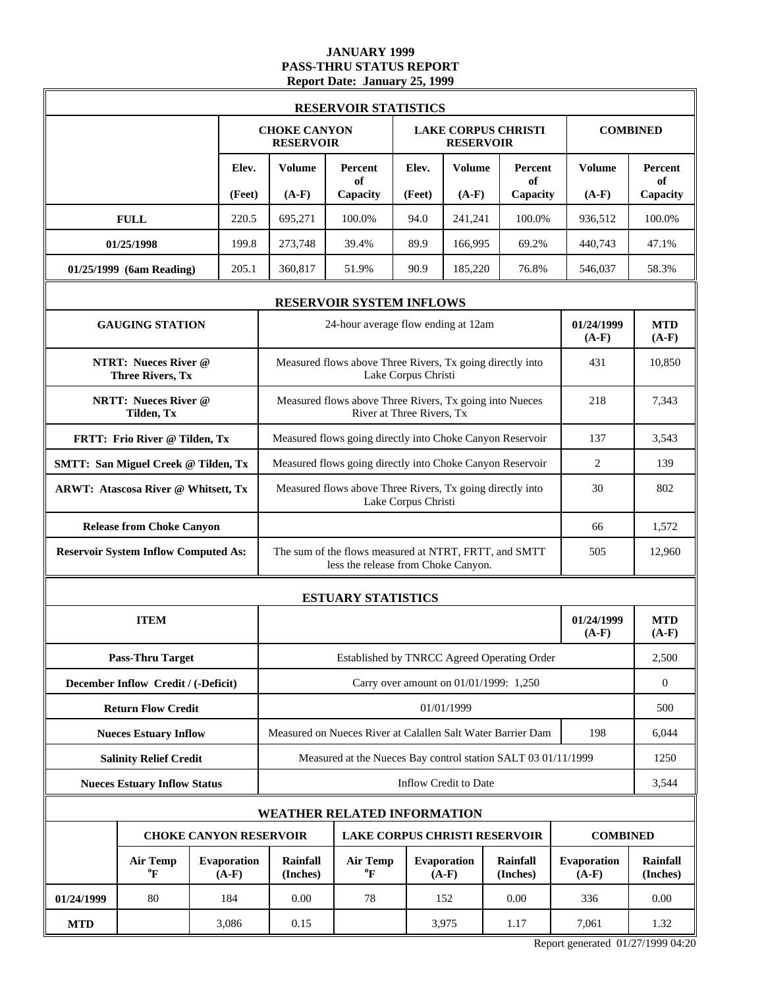### **JANUARY 1999 PASS-THRU STATUS REPORT Report Date: January 25, 1999**

|            |                                                        |                                                                       |                                                           | <b>RESERVOIR STATISTICS</b>                                                                  |                           |                               |                                             |                        |                             |
|------------|--------------------------------------------------------|-----------------------------------------------------------------------|-----------------------------------------------------------|----------------------------------------------------------------------------------------------|---------------------------|-------------------------------|---------------------------------------------|------------------------|-----------------------------|
|            |                                                        |                                                                       | <b>CHOKE CANYON</b><br><b>RESERVOIR</b>                   |                                                                                              |                           | <b>RESERVOIR</b>              | <b>LAKE CORPUS CHRISTI</b>                  |                        | <b>COMBINED</b>             |
|            |                                                        | Elev.                                                                 | Volume                                                    | Percent<br>of                                                                                | Elev.                     | <b>Volume</b>                 | Percent<br>of                               | <b>Volume</b>          | Percent<br>of               |
|            |                                                        | (Feet)                                                                | $(A-F)$                                                   | Capacity                                                                                     | (Feet)                    | $(A-F)$                       | Capacity                                    | $(A-F)$                | Capacity                    |
|            | <b>FULL</b>                                            | 220.5                                                                 | 695,271                                                   | 100.0%                                                                                       | 94.0                      | 241,241                       | 100.0%                                      | 936,512                | 100.0%                      |
|            | 01/25/1998                                             | 199.8                                                                 | 273,748                                                   | 39.4%                                                                                        | 89.9                      | 166,995                       | 69.2%                                       | 440,743                | 47.1%                       |
|            | 01/25/1999 (6am Reading)                               | 205.1                                                                 | 360,817                                                   | 51.9%                                                                                        | 90.9                      | 185,220                       | 76.8%                                       | 546,037                | 58.3%                       |
|            |                                                        |                                                                       |                                                           | <b>RESERVOIR SYSTEM INFLOWS</b>                                                              |                           |                               |                                             |                        |                             |
|            | <b>GAUGING STATION</b>                                 |                                                                       |                                                           | 24-hour average flow ending at 12am                                                          |                           |                               |                                             | 01/24/1999<br>$(A-F)$  | <b>MTD</b><br>$(A-F)$       |
|            | <b>NTRT: Nueces River @</b><br><b>Three Rivers, Tx</b> |                                                                       |                                                           | Measured flows above Three Rivers, Tx going directly into                                    | Lake Corpus Christi       |                               |                                             | 431                    | 10,850                      |
|            | <b>NRTT: Nueces River @</b><br>Tilden, Tx              |                                                                       |                                                           | Measured flows above Three Rivers, Tx going into Nueces                                      | River at Three Rivers, Tx |                               |                                             | 218                    | 7,343                       |
|            | FRTT: Frio River @ Tilden, Tx                          |                                                                       | Measured flows going directly into Choke Canyon Reservoir |                                                                                              |                           |                               |                                             | 137                    | 3,543                       |
|            | <b>SMTT: San Miguel Creek @ Tilden, Tx</b>             |                                                                       |                                                           | Measured flows going directly into Choke Canyon Reservoir                                    | 2                         | 139                           |                                             |                        |                             |
|            | <b>ARWT: Atascosa River @ Whitsett, Tx</b>             |                                                                       |                                                           | Measured flows above Three Rivers, Tx going directly into<br>Lake Corpus Christi             | 30                        | 802                           |                                             |                        |                             |
|            | <b>Release from Choke Canyon</b>                       |                                                                       |                                                           |                                                                                              | 66                        | 1,572                         |                                             |                        |                             |
|            | <b>Reservoir System Inflow Computed As:</b>            |                                                                       |                                                           | The sum of the flows measured at NTRT, FRTT, and SMTT<br>less the release from Choke Canyon. | 505                       | 12,960                        |                                             |                        |                             |
|            |                                                        |                                                                       |                                                           | <b>ESTUARY STATISTICS</b>                                                                    |                           |                               |                                             |                        |                             |
|            | <b>ITEM</b>                                            |                                                                       |                                                           |                                                                                              |                           |                               |                                             | 01/24/1999<br>$(A-F)$  | <b>MTD</b><br>$(A-F)$       |
|            | <b>Pass-Thru Target</b>                                |                                                                       |                                                           |                                                                                              |                           |                               | Established by TNRCC Agreed Operating Order |                        | 2,500                       |
|            | December Inflow Credit / (-Deficit)                    |                                                                       |                                                           |                                                                                              |                           |                               | Carry over amount on 01/01/1999: 1,250      |                        | $\boldsymbol{0}$            |
|            | <b>Return Flow Credit</b>                              |                                                                       |                                                           |                                                                                              |                           | 01/01/1999                    |                                             |                        | 500                         |
|            | <b>Nueces Estuary Inflow</b>                           |                                                                       |                                                           | Measured on Nueces River at Calallen Salt Water Barrier Dam                                  |                           |                               |                                             | 198                    | 6,044                       |
|            | <b>Salinity Relief Credit</b>                          |                                                                       |                                                           | Measured at the Nueces Bay control station SALT 03 01/11/1999                                |                           |                               |                                             |                        | 1250                        |
|            | <b>Nueces Estuary Inflow Status</b>                    |                                                                       |                                                           |                                                                                              |                           | Inflow Credit to Date         |                                             |                        | 3,544                       |
|            |                                                        |                                                                       |                                                           | WEATHER RELATED INFORMATION                                                                  |                           |                               |                                             |                        |                             |
|            |                                                        | <b>CHOKE CANYON RESERVOIR</b><br><b>LAKE CORPUS CHRISTI RESERVOIR</b> |                                                           |                                                                                              |                           |                               |                                             | <b>COMBINED</b>        |                             |
|            | <b>Air Temp</b><br>$\boldsymbol{P}$                    | <b>Evaporation</b><br>$(A-F)$                                         | Rainfall<br>(Inches)                                      | <b>Air Temp</b><br>$\boldsymbol{P}$                                                          |                           | <b>Evaporation</b><br>$(A-F)$ | <b>Rainfall</b><br>(Inches)                 | Evaporation<br>$(A-F)$ | <b>Rainfall</b><br>(Inches) |
| 01/24/1999 | 80                                                     | 184                                                                   | 0.00<br>78<br>152                                         |                                                                                              |                           |                               | 0.00                                        | 336                    | 0.00                        |
| <b>MTD</b> |                                                        | 3,086                                                                 | 0.15                                                      |                                                                                              |                           | 3,975                         | 1.17                                        | 7,061                  | 1.32                        |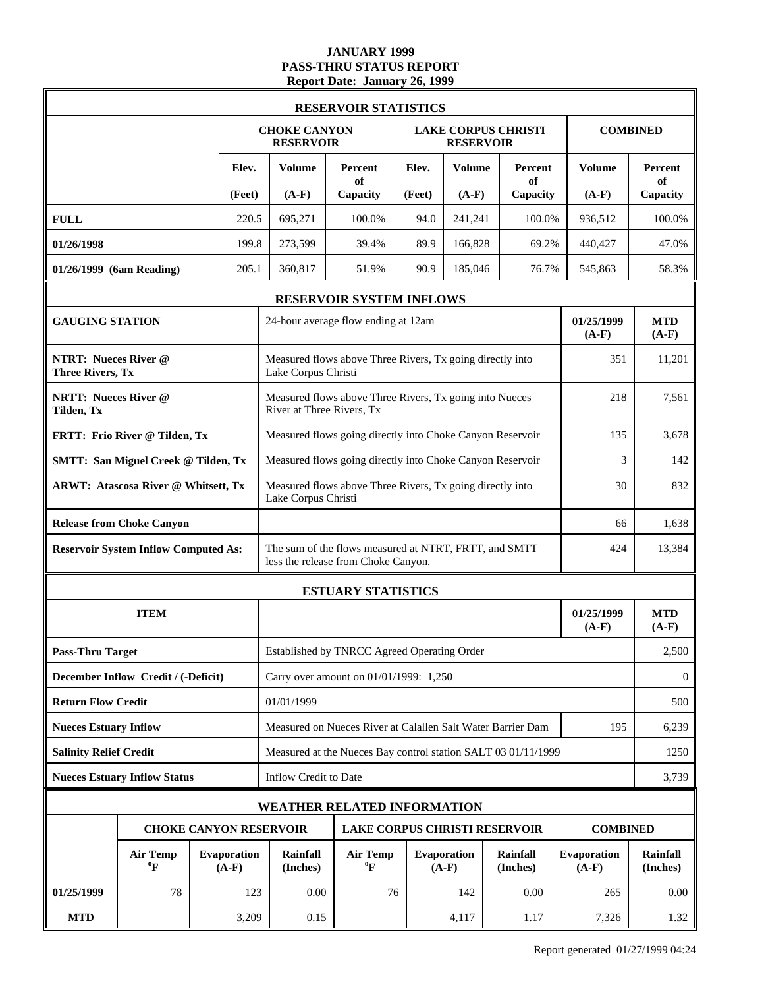# **JANUARY 1999 PASS-THRU STATUS REPORT Report Date: January 26, 1999**

| <b>RESERVOIR STATISTICS</b>                            |                                             |  |                               |                                                               |                                                                                              |                       |                               |                                      |                               |                      |  |  |
|--------------------------------------------------------|---------------------------------------------|--|-------------------------------|---------------------------------------------------------------|----------------------------------------------------------------------------------------------|-----------------------|-------------------------------|--------------------------------------|-------------------------------|----------------------|--|--|
|                                                        |                                             |  |                               | <b>CHOKE CANYON</b><br><b>RESERVOIR</b>                       |                                                                                              |                       | <b>RESERVOIR</b>              | <b>LAKE CORPUS CHRISTI</b>           |                               | <b>COMBINED</b>      |  |  |
|                                                        |                                             |  | Elev.                         | Volume                                                        | Percent<br>of                                                                                | Elev.                 | <b>Volume</b>                 | Percent<br>of                        | <b>Volume</b>                 | <b>Percent</b><br>of |  |  |
|                                                        |                                             |  | (Feet)                        | $(A-F)$                                                       | Capacity                                                                                     | (Feet)                | $(A-F)$                       | Capacity                             | $(A-F)$                       | Capacity             |  |  |
| <b>FULL</b>                                            |                                             |  | 220.5                         | 695,271                                                       | 100.0%                                                                                       | 94.0                  | 241,241                       | 100.0%                               | 936,512                       | 100.0%               |  |  |
| 01/26/1998                                             |                                             |  | 199.8                         | 273,599                                                       | 39.4%                                                                                        | 89.9                  | 166,828                       | 69.2%                                | 440,427                       | 47.0%                |  |  |
| 01/26/1999 (6am Reading)                               |                                             |  | 205.1                         | 360,817                                                       | 51.9%                                                                                        | 76.7%<br>545,863      | 58.3%                         |                                      |                               |                      |  |  |
|                                                        |                                             |  |                               |                                                               | <b>RESERVOIR SYSTEM INFLOWS</b>                                                              |                       |                               |                                      |                               |                      |  |  |
|                                                        | <b>GAUGING STATION</b>                      |  |                               |                                                               | 24-hour average flow ending at 12am                                                          | 01/25/1999<br>$(A-F)$ | <b>MTD</b><br>$(A-F)$         |                                      |                               |                      |  |  |
| <b>NTRT: Nueces River @</b><br><b>Three Rivers, Tx</b> |                                             |  |                               | Lake Corpus Christi                                           | Measured flows above Three Rivers, Tx going directly into                                    | 351                   | 11,201                        |                                      |                               |                      |  |  |
| <b>NRTT: Nueces River @</b><br>Tilden, Tx              |                                             |  |                               | River at Three Rivers, Tx                                     | Measured flows above Three Rivers, Tx going into Nueces                                      |                       |                               |                                      | 218                           | 7,561                |  |  |
|                                                        | FRTT: Frio River @ Tilden, Tx               |  |                               |                                                               | Measured flows going directly into Choke Canyon Reservoir                                    | 135                   | 3,678                         |                                      |                               |                      |  |  |
|                                                        | <b>SMTT: San Miguel Creek @ Tilden, Tx</b>  |  |                               |                                                               | Measured flows going directly into Choke Canyon Reservoir                                    | 3                     | 142                           |                                      |                               |                      |  |  |
|                                                        | <b>ARWT: Atascosa River @ Whitsett, Tx</b>  |  |                               | Lake Corpus Christi                                           | Measured flows above Three Rivers, Tx going directly into                                    | 30                    | 832                           |                                      |                               |                      |  |  |
|                                                        | <b>Release from Choke Canyon</b>            |  |                               | 66                                                            |                                                                                              |                       |                               |                                      |                               | 1,638                |  |  |
|                                                        | <b>Reservoir System Inflow Computed As:</b> |  |                               |                                                               | The sum of the flows measured at NTRT, FRTT, and SMTT<br>less the release from Choke Canyon. | 424                   | 13,384                        |                                      |                               |                      |  |  |
|                                                        |                                             |  |                               |                                                               | <b>ESTUARY STATISTICS</b>                                                                    |                       |                               |                                      |                               |                      |  |  |
|                                                        | <b>ITEM</b>                                 |  |                               |                                                               |                                                                                              | 01/25/1999<br>$(A-F)$ | <b>MTD</b><br>$(A-F)$         |                                      |                               |                      |  |  |
| <b>Pass-Thru Target</b>                                |                                             |  |                               |                                                               | Established by TNRCC Agreed Operating Order                                                  |                       | 2,500                         |                                      |                               |                      |  |  |
|                                                        | December Inflow Credit / (-Deficit)         |  |                               | Carry over amount on 01/01/1999: 1,250                        |                                                                                              |                       |                               |                                      |                               |                      |  |  |
| <b>Return Flow Credit</b>                              |                                             |  |                               | 01/01/1999                                                    |                                                                                              |                       |                               |                                      |                               |                      |  |  |
| <b>Nueces Estuary Inflow</b>                           |                                             |  |                               |                                                               | Measured on Nueces River at Calallen Salt Water Barrier Dam                                  | 195                   | 6,239                         |                                      |                               |                      |  |  |
| <b>Salinity Relief Credit</b>                          |                                             |  |                               | Measured at the Nueces Bay control station SALT 03 01/11/1999 |                                                                                              |                       |                               |                                      |                               |                      |  |  |
|                                                        | <b>Nueces Estuary Inflow Status</b>         |  |                               | Inflow Credit to Date                                         |                                                                                              |                       |                               |                                      |                               |                      |  |  |
|                                                        |                                             |  |                               |                                                               | <b>WEATHER RELATED INFORMATION</b>                                                           |                       |                               |                                      |                               |                      |  |  |
|                                                        |                                             |  |                               | <b>CHOKE CANYON RESERVOIR</b>                                 |                                                                                              |                       |                               | <b>LAKE CORPUS CHRISTI RESERVOIR</b> | <b>COMBINED</b>               |                      |  |  |
|                                                        | <b>Air Temp</b><br>$\boldsymbol{\theta}$ F  |  | <b>Evaporation</b><br>$(A-F)$ | Rainfall<br>(Inches)                                          | <b>Air Temp</b><br>$\rm ^{o}F$                                                               |                       | <b>Evaporation</b><br>$(A-F)$ | <b>Rainfall</b><br>(Inches)          | <b>Evaporation</b><br>$(A-F)$ | Rainfall<br>(Inches) |  |  |
| 01/25/1999                                             | 78                                          |  | 123                           | 0.00                                                          | 76                                                                                           |                       | 142                           | 0.00                                 | 265                           | 0.00                 |  |  |
| <b>MTD</b>                                             |                                             |  | 3,209                         | 0.15                                                          |                                                                                              |                       | 4,117                         | 1.17                                 | 7,326                         | 1.32                 |  |  |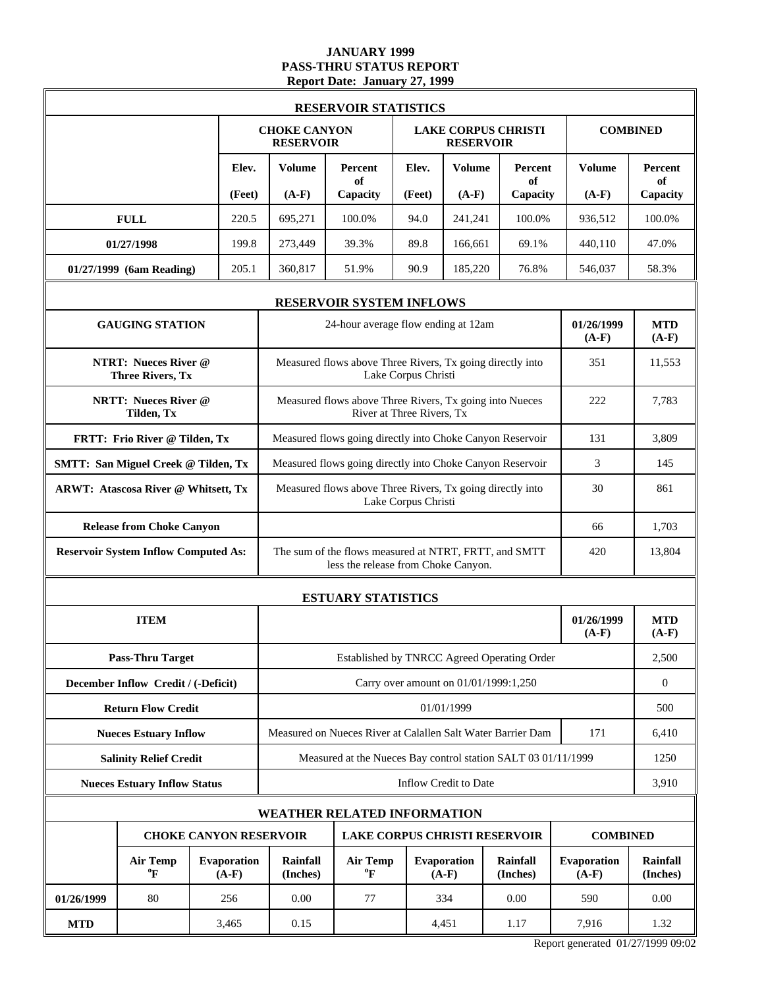### **JANUARY 1999 PASS-THRU STATUS REPORT Report Date: January 27, 1999**

| <b>RESERVOIR STATISTICS</b>                            |                                             |  |                               |                                                                                                     |                                                                                      |                       |                               |                                      |                        |                             |  |
|--------------------------------------------------------|---------------------------------------------|--|-------------------------------|-----------------------------------------------------------------------------------------------------|--------------------------------------------------------------------------------------|-----------------------|-------------------------------|--------------------------------------|------------------------|-----------------------------|--|
|                                                        |                                             |  |                               | <b>CHOKE CANYON</b><br><b>RESERVOIR</b>                                                             |                                                                                      |                       | <b>RESERVOIR</b>              | <b>LAKE CORPUS CHRISTI</b>           |                        | <b>COMBINED</b>             |  |
|                                                        |                                             |  | Elev.                         | Volume                                                                                              | Percent<br>of                                                                        | Elev.                 | <b>Volume</b>                 | Percent<br>of                        | <b>Volume</b>          | Percent<br>of               |  |
|                                                        |                                             |  | (Feet)                        | $(A-F)$                                                                                             | Capacity                                                                             | (Feet)                | $(A-F)$                       | Capacity                             | $(A-F)$                | Capacity                    |  |
|                                                        | <b>FULL</b>                                 |  | 220.5                         | 695,271                                                                                             | 100.0%                                                                               | 94.0                  | 241,241                       | 100.0%                               | 936,512                | 100.0%                      |  |
|                                                        | 01/27/1998                                  |  | 199.8                         | 273,449                                                                                             | 39.3%                                                                                | 89.8                  | 166,661                       | 69.1%                                | 440,110                | 47.0%                       |  |
|                                                        | 01/27/1999 (6am Reading)                    |  | 205.1                         | 360,817                                                                                             | 51.9%                                                                                | 90.9                  | 185,220                       | 76.8%                                | 546,037                | 58.3%                       |  |
| <b>RESERVOIR SYSTEM INFLOWS</b>                        |                                             |  |                               |                                                                                                     |                                                                                      |                       |                               |                                      |                        |                             |  |
|                                                        | <b>GAUGING STATION</b>                      |  |                               | 24-hour average flow ending at 12am                                                                 | 01/26/1999<br>$(A-F)$                                                                | <b>MTD</b><br>$(A-F)$ |                               |                                      |                        |                             |  |
| <b>NTRT: Nueces River @</b><br><b>Three Rivers, Tx</b> |                                             |  |                               |                                                                                                     | Measured flows above Three Rivers, Tx going directly into                            | Lake Corpus Christi   |                               |                                      | 351                    | 11,553                      |  |
|                                                        | <b>NRTT: Nueces River @</b><br>Tilden, Tx   |  |                               |                                                                                                     | Measured flows above Three Rivers, Tx going into Nueces<br>River at Three Rivers, Tx | 222                   | 7,783                         |                                      |                        |                             |  |
|                                                        | FRTT: Frio River @ Tilden, Tx               |  |                               |                                                                                                     | Measured flows going directly into Choke Canyon Reservoir                            | 131                   | 3.809                         |                                      |                        |                             |  |
|                                                        | <b>SMTT: San Miguel Creek @ Tilden, Tx</b>  |  |                               |                                                                                                     | Measured flows going directly into Choke Canyon Reservoir                            | 3                     | 145                           |                                      |                        |                             |  |
|                                                        | <b>ARWT: Atascosa River @ Whitsett, Tx</b>  |  |                               |                                                                                                     | Measured flows above Three Rivers, Tx going directly into<br>Lake Corpus Christi     | 30                    | 861                           |                                      |                        |                             |  |
|                                                        | <b>Release from Choke Canyon</b>            |  |                               |                                                                                                     | 66                                                                                   | 1,703                 |                               |                                      |                        |                             |  |
|                                                        | <b>Reservoir System Inflow Computed As:</b> |  |                               | The sum of the flows measured at NTRT, FRTT, and SMTT<br>420<br>less the release from Choke Canyon. |                                                                                      |                       |                               |                                      |                        |                             |  |
|                                                        |                                             |  |                               |                                                                                                     | <b>ESTUARY STATISTICS</b>                                                            |                       |                               |                                      |                        |                             |  |
|                                                        | <b>ITEM</b>                                 |  |                               |                                                                                                     |                                                                                      |                       |                               |                                      |                        | <b>MTD</b><br>$(A-F)$       |  |
|                                                        | <b>Pass-Thru Target</b>                     |  |                               |                                                                                                     | Established by TNRCC Agreed Operating Order                                          | 2,500                 |                               |                                      |                        |                             |  |
|                                                        | December Inflow Credit / (-Deficit)         |  |                               |                                                                                                     |                                                                                      | $\boldsymbol{0}$      |                               |                                      |                        |                             |  |
|                                                        | <b>Return Flow Credit</b>                   |  |                               | 01/01/1999                                                                                          |                                                                                      |                       |                               |                                      |                        |                             |  |
|                                                        | <b>Nueces Estuary Inflow</b>                |  |                               | Measured on Nueces River at Calallen Salt Water Barrier Dam                                         | 171                                                                                  | 6,410                 |                               |                                      |                        |                             |  |
|                                                        | <b>Salinity Relief Credit</b>               |  |                               | Measured at the Nueces Bay control station SALT 03 01/11/1999                                       |                                                                                      |                       |                               |                                      |                        |                             |  |
|                                                        | <b>Nueces Estuary Inflow Status</b>         |  |                               | Inflow Credit to Date                                                                               |                                                                                      |                       |                               |                                      |                        |                             |  |
|                                                        |                                             |  |                               |                                                                                                     | WEATHER RELATED INFORMATION                                                          |                       |                               |                                      |                        |                             |  |
|                                                        |                                             |  | <b>CHOKE CANYON RESERVOIR</b> |                                                                                                     |                                                                                      |                       |                               | <b>LAKE CORPUS CHRISTI RESERVOIR</b> | <b>COMBINED</b>        |                             |  |
|                                                        | <b>Air Temp</b><br>$\boldsymbol{P}$         |  | <b>Evaporation</b><br>$(A-F)$ | Rainfall<br>(Inches)                                                                                | <b>Air Temp</b><br>$\boldsymbol{P}$                                                  |                       | <b>Evaporation</b><br>$(A-F)$ | <b>Rainfall</b><br>(Inches)          | Evaporation<br>$(A-F)$ | <b>Rainfall</b><br>(Inches) |  |
| 01/26/1999                                             | 80                                          |  | 256                           | 0.00                                                                                                | 77                                                                                   |                       | 334                           | 0.00                                 | 590                    | 0.00                        |  |
| <b>MTD</b>                                             |                                             |  | 3,465                         | 0.15                                                                                                |                                                                                      |                       | 4,451                         | 1.17                                 | 7,916                  | 1.32                        |  |

Report generated 01/27/1999 09:02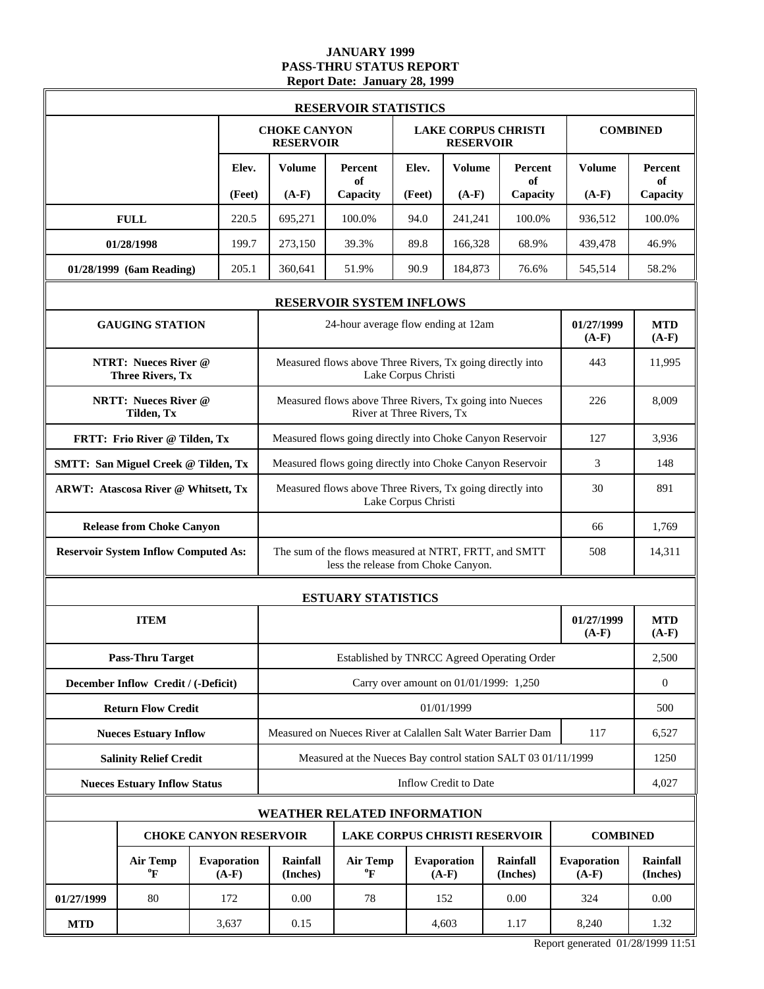### **JANUARY 1999 PASS-THRU STATUS REPORT Report Date: January 28, 1999**

| <b>RESERVOIR STATISTICS</b>                            |                                            |  |                               |                                                                                                     |                                                                                      |                     |                               |                             |                        |                             |  |  |
|--------------------------------------------------------|--------------------------------------------|--|-------------------------------|-----------------------------------------------------------------------------------------------------|--------------------------------------------------------------------------------------|---------------------|-------------------------------|-----------------------------|------------------------|-----------------------------|--|--|
|                                                        |                                            |  |                               | <b>CHOKE CANYON</b><br><b>RESERVOIR</b>                                                             |                                                                                      |                     | <b>RESERVOIR</b>              | <b>LAKE CORPUS CHRISTI</b>  |                        | <b>COMBINED</b>             |  |  |
|                                                        |                                            |  | Elev.                         | Volume                                                                                              | Percent<br>of                                                                        | Elev.               | <b>Volume</b>                 | Percent<br>of               | <b>Volume</b>          | Percent<br>of               |  |  |
|                                                        |                                            |  | (Feet)                        | $(A-F)$                                                                                             | Capacity                                                                             | (Feet)              | $(A-F)$                       | Capacity                    | $(A-F)$                | Capacity                    |  |  |
|                                                        | <b>FULL</b>                                |  | 220.5                         | 695,271                                                                                             | 100.0%                                                                               | 94.0                | 241,241                       | 100.0%                      | 936,512                | 100.0%                      |  |  |
|                                                        | 01/28/1998                                 |  | 199.7                         | 273,150                                                                                             | 39.3%                                                                                | 89.8                | 166,328                       | 68.9%                       | 439,478                | 46.9%                       |  |  |
|                                                        | 01/28/1999 (6am Reading)                   |  | 205.1                         | 360,641                                                                                             | 51.9%                                                                                | 90.9                | 184,873                       | 76.6%                       | 545,514                | 58.2%                       |  |  |
| <b>RESERVOIR SYSTEM INFLOWS</b>                        |                                            |  |                               |                                                                                                     |                                                                                      |                     |                               |                             |                        |                             |  |  |
|                                                        | <b>GAUGING STATION</b>                     |  |                               | 01/27/1999<br>24-hour average flow ending at 12am<br>$(A-F)$                                        |                                                                                      |                     |                               |                             |                        |                             |  |  |
| <b>NTRT: Nueces River @</b><br><b>Three Rivers, Tx</b> |                                            |  |                               |                                                                                                     | Measured flows above Three Rivers, Tx going directly into                            | Lake Corpus Christi |                               |                             | 443                    | 11,995                      |  |  |
|                                                        | <b>NRTT: Nueces River @</b><br>Tilden, Tx  |  |                               |                                                                                                     | Measured flows above Three Rivers, Tx going into Nueces<br>River at Three Rivers, Tx | 226                 | 8,009                         |                             |                        |                             |  |  |
|                                                        | FRTT: Frio River @ Tilden, Tx              |  |                               |                                                                                                     | Measured flows going directly into Choke Canyon Reservoir                            | 127                 | 3,936                         |                             |                        |                             |  |  |
|                                                        | <b>SMTT: San Miguel Creek @ Tilden, Tx</b> |  |                               |                                                                                                     | Measured flows going directly into Choke Canyon Reservoir                            | 3                   | 148                           |                             |                        |                             |  |  |
|                                                        | <b>ARWT: Atascosa River @ Whitsett, Tx</b> |  |                               | Measured flows above Three Rivers, Tx going directly into                                           | 30                                                                                   | 891                 |                               |                             |                        |                             |  |  |
|                                                        | <b>Release from Choke Canyon</b>           |  |                               | 66                                                                                                  |                                                                                      |                     |                               |                             |                        | 1,769                       |  |  |
| <b>Reservoir System Inflow Computed As:</b>            |                                            |  |                               | The sum of the flows measured at NTRT, FRTT, and SMTT<br>508<br>less the release from Choke Canyon. |                                                                                      |                     |                               |                             |                        |                             |  |  |
|                                                        |                                            |  |                               |                                                                                                     | <b>ESTUARY STATISTICS</b>                                                            |                     |                               |                             |                        |                             |  |  |
|                                                        | <b>ITEM</b>                                |  |                               |                                                                                                     |                                                                                      |                     |                               |                             |                        | <b>MTD</b><br>$(A-F)$       |  |  |
|                                                        | <b>Pass-Thru Target</b>                    |  |                               |                                                                                                     | Established by TNRCC Agreed Operating Order                                          | 2,500               |                               |                             |                        |                             |  |  |
|                                                        | December Inflow Credit / (-Deficit)        |  |                               |                                                                                                     |                                                                                      | $\boldsymbol{0}$    |                               |                             |                        |                             |  |  |
|                                                        | <b>Return Flow Credit</b>                  |  |                               | 01/01/1999                                                                                          |                                                                                      |                     |                               |                             |                        |                             |  |  |
|                                                        | <b>Nueces Estuary Inflow</b>               |  |                               | Measured on Nueces River at Calallen Salt Water Barrier Dam                                         | 117                                                                                  | 6,527               |                               |                             |                        |                             |  |  |
|                                                        | <b>Salinity Relief Credit</b>              |  |                               | Measured at the Nueces Bay control station SALT 03 01/11/1999                                       |                                                                                      |                     |                               |                             |                        |                             |  |  |
|                                                        | <b>Nueces Estuary Inflow Status</b>        |  |                               | Inflow Credit to Date                                                                               |                                                                                      |                     |                               |                             |                        |                             |  |  |
|                                                        |                                            |  |                               |                                                                                                     | WEATHER RELATED INFORMATION                                                          |                     |                               |                             |                        |                             |  |  |
|                                                        |                                            |  |                               | <b>CHOKE CANYON RESERVOIR</b><br><b>LAKE CORPUS CHRISTI RESERVOIR</b>                               |                                                                                      |                     |                               |                             | <b>COMBINED</b>        |                             |  |  |
|                                                        | <b>Air Temp</b><br>$\boldsymbol{P}$        |  | <b>Evaporation</b><br>$(A-F)$ | Rainfall<br>(Inches)                                                                                | <b>Air Temp</b><br>$\boldsymbol{P}$                                                  |                     | <b>Evaporation</b><br>$(A-F)$ | <b>Rainfall</b><br>(Inches) | Evaporation<br>$(A-F)$ | <b>Rainfall</b><br>(Inches) |  |  |
| 01/27/1999                                             | 80                                         |  | 172                           | 0.00                                                                                                | 78                                                                                   |                     | 152                           | 0.00                        | 324                    | 0.00                        |  |  |
| <b>MTD</b>                                             |                                            |  | 3,637                         | 0.15                                                                                                |                                                                                      |                     | 4,603                         | 1.17                        | 8,240                  | 1.32                        |  |  |

Report generated 01/28/1999 11:51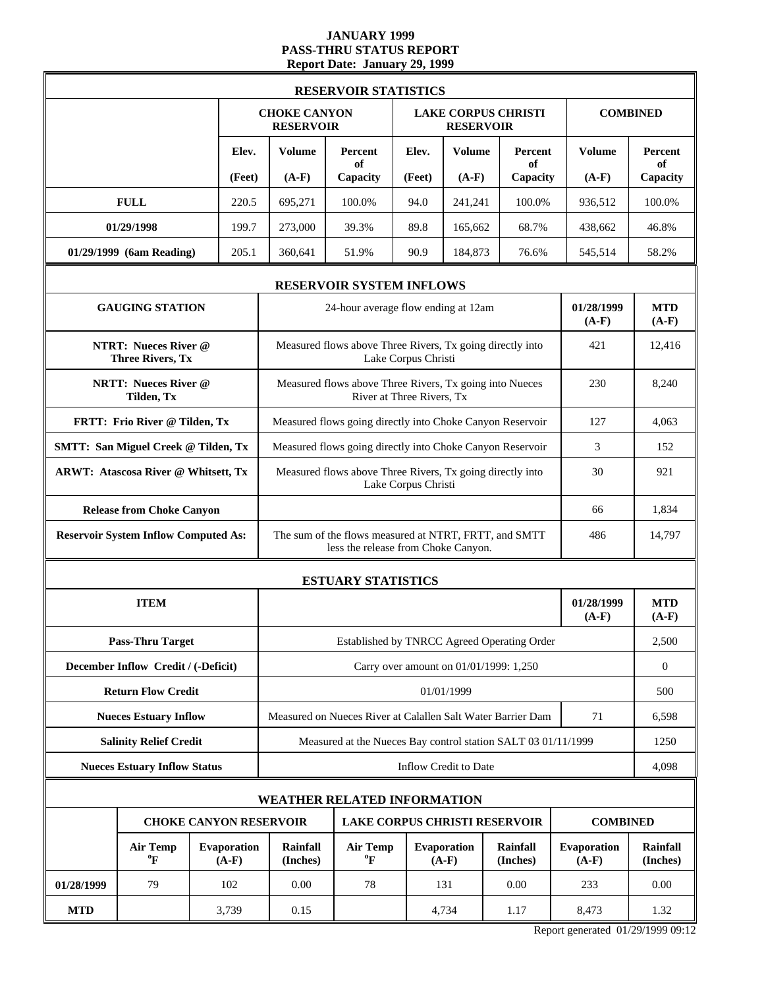# **JANUARY 1999 PASS-THRU STATUS REPORT Report Date: January 29, 1999**

| <b>RESERVOIR STATISTICS</b>                 |                                                        |  |                               |                                                                                                     |                                                                                      |                     |                                        |                             |                        |                             |  |
|---------------------------------------------|--------------------------------------------------------|--|-------------------------------|-----------------------------------------------------------------------------------------------------|--------------------------------------------------------------------------------------|---------------------|----------------------------------------|-----------------------------|------------------------|-----------------------------|--|
|                                             |                                                        |  |                               | <b>CHOKE CANYON</b><br><b>RESERVOIR</b>                                                             |                                                                                      |                     | <b>RESERVOIR</b>                       | <b>LAKE CORPUS CHRISTI</b>  |                        | <b>COMBINED</b>             |  |
|                                             |                                                        |  | Elev.                         | <b>Volume</b>                                                                                       | <b>Percent</b><br>of                                                                 | Elev.               | <b>Volume</b>                          | Percent<br>of               | <b>Volume</b>          | <b>Percent</b><br>of        |  |
|                                             |                                                        |  | (Feet)                        | $(A-F)$                                                                                             | Capacity                                                                             | (Feet)              | $(A-F)$                                | Capacity                    | $(A-F)$                | Capacity                    |  |
|                                             | <b>FULL</b>                                            |  | 220.5                         | 695,271                                                                                             | 100.0%                                                                               | 94.0                | 241,241                                | 100.0%                      | 936,512                | 100.0%                      |  |
|                                             | 01/29/1998                                             |  | 199.7                         | 273,000                                                                                             | 39.3%                                                                                | 89.8                | 165,662                                | 68.7%                       | 438,662                | 46.8%                       |  |
|                                             | 01/29/1999 (6am Reading)                               |  | 205.1                         | 360,641                                                                                             | 51.9%                                                                                | 90.9                | 184,873                                | 76.6%                       | 545,514                | 58.2%                       |  |
| <b>RESERVOIR SYSTEM INFLOWS</b>             |                                                        |  |                               |                                                                                                     |                                                                                      |                     |                                        |                             |                        |                             |  |
|                                             | <b>GAUGING STATION</b>                                 |  |                               |                                                                                                     | 24-hour average flow ending at 12am                                                  |                     |                                        |                             | 01/28/1999<br>$(A-F)$  | <b>MTD</b><br>$(A-F)$       |  |
|                                             | <b>NTRT: Nueces River @</b><br><b>Three Rivers, Tx</b> |  |                               |                                                                                                     | Measured flows above Three Rivers, Tx going directly into                            | Lake Corpus Christi |                                        |                             | 421                    | 12,416                      |  |
|                                             | <b>NRTT: Nueces River @</b><br>Tilden, Tx              |  |                               |                                                                                                     | Measured flows above Three Rivers, Tx going into Nueces<br>River at Three Rivers, Tx | 230                 | 8,240                                  |                             |                        |                             |  |
|                                             | FRTT: Frio River @ Tilden, Tx                          |  |                               |                                                                                                     | Measured flows going directly into Choke Canyon Reservoir                            | 127                 | 4,063                                  |                             |                        |                             |  |
| <b>SMTT: San Miguel Creek @ Tilden, Tx</b>  |                                                        |  |                               |                                                                                                     | Measured flows going directly into Choke Canyon Reservoir                            | 3                   | 152                                    |                             |                        |                             |  |
| ARWT: Atascosa River @ Whitsett, Tx         |                                                        |  |                               |                                                                                                     | Measured flows above Three Rivers, Tx going directly into<br>Lake Corpus Christi     | 30                  | 921                                    |                             |                        |                             |  |
|                                             | <b>Release from Choke Canyon</b>                       |  |                               |                                                                                                     |                                                                                      |                     |                                        |                             | 1,834                  |                             |  |
| <b>Reservoir System Inflow Computed As:</b> |                                                        |  |                               | The sum of the flows measured at NTRT, FRTT, and SMTT<br>486<br>less the release from Choke Canyon. |                                                                                      |                     |                                        |                             |                        | 14,797                      |  |
|                                             |                                                        |  |                               |                                                                                                     | <b>ESTUARY STATISTICS</b>                                                            |                     |                                        |                             |                        |                             |  |
|                                             | <b>ITEM</b>                                            |  |                               |                                                                                                     |                                                                                      |                     |                                        |                             |                        | <b>MTD</b><br>$(A-F)$       |  |
|                                             | <b>Pass-Thru Target</b>                                |  |                               | Established by TNRCC Agreed Operating Order                                                         |                                                                                      |                     |                                        |                             |                        |                             |  |
|                                             | December Inflow Credit / (-Deficit)                    |  |                               |                                                                                                     |                                                                                      |                     | Carry over amount on 01/01/1999: 1,250 |                             |                        | $\boldsymbol{0}$            |  |
|                                             | <b>Return Flow Credit</b>                              |  |                               |                                                                                                     |                                                                                      | 500                 |                                        |                             |                        |                             |  |
|                                             | <b>Nueces Estuary Inflow</b>                           |  |                               | Measured on Nueces River at Calallen Salt Water Barrier Dam                                         | 71                                                                                   | 6,598               |                                        |                             |                        |                             |  |
|                                             | <b>Salinity Relief Credit</b>                          |  |                               |                                                                                                     | Measured at the Nueces Bay control station SALT 03 01/11/1999                        | 1250                |                                        |                             |                        |                             |  |
|                                             | <b>Nueces Estuary Inflow Status</b>                    |  |                               | Inflow Credit to Date                                                                               |                                                                                      |                     |                                        |                             |                        |                             |  |
|                                             |                                                        |  |                               |                                                                                                     | <b>WEATHER RELATED INFORMATION</b>                                                   |                     |                                        |                             |                        |                             |  |
|                                             |                                                        |  | <b>CHOKE CANYON RESERVOIR</b> |                                                                                                     | <b>LAKE CORPUS CHRISTI RESERVOIR</b>                                                 |                     |                                        |                             | <b>COMBINED</b>        |                             |  |
|                                             | <b>Air Temp</b><br>$\boldsymbol{P}$                    |  | <b>Evaporation</b><br>$(A-F)$ | Rainfall<br>(Inches)                                                                                | <b>Air Temp</b><br>$\boldsymbol{P}$                                                  |                     | <b>Evaporation</b><br>$(A-F)$          | <b>Rainfall</b><br>(Inches) | Evaporation<br>$(A-F)$ | <b>Rainfall</b><br>(Inches) |  |
| 01/28/1999                                  | 79                                                     |  | 102                           | 0.00                                                                                                | 78                                                                                   |                     | 131                                    | 0.00                        | 233                    | 0.00                        |  |
| <b>MTD</b>                                  |                                                        |  | 3,739                         | 0.15                                                                                                |                                                                                      |                     | 4,734                                  | 1.17                        | 8,473                  | 1.32                        |  |

Report generated 01/29/1999 09:12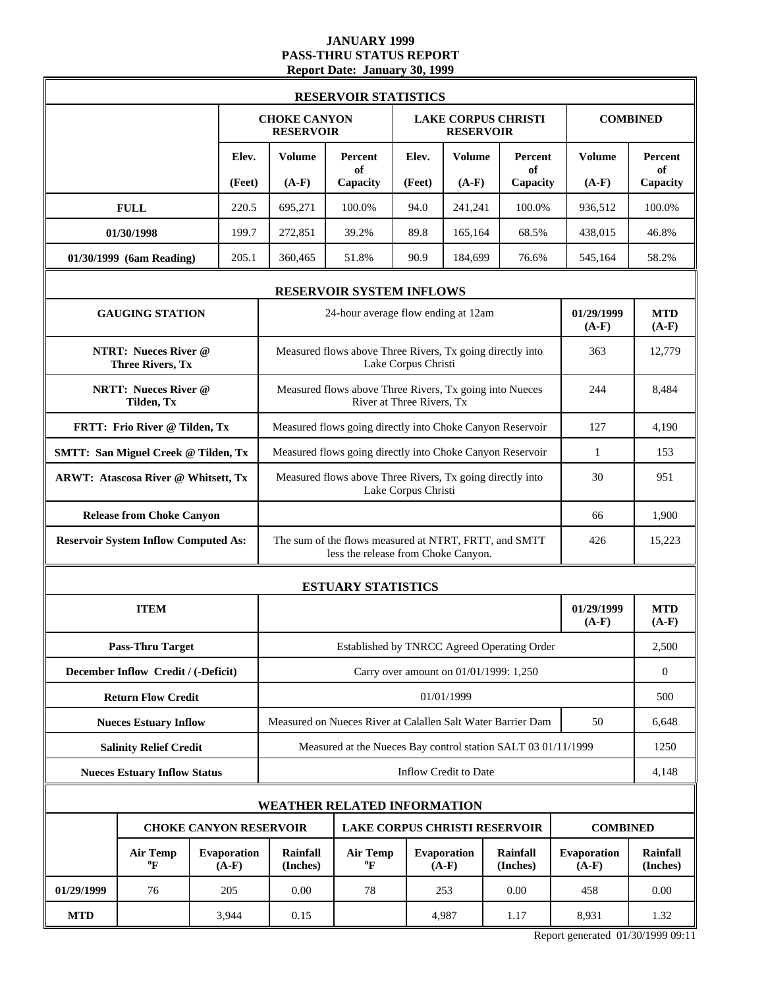#### **JANUARY 1999 PASS-THRU STATUS REPORT Report Date: January 30, 1999**

| <b>RESERVOIR STATISTICS</b>                            |                               |                                                                                                     |                                                           |                                                |                                        |                      |                        |                             |  |  |
|--------------------------------------------------------|-------------------------------|-----------------------------------------------------------------------------------------------------|-----------------------------------------------------------|------------------------------------------------|----------------------------------------|----------------------|------------------------|-----------------------------|--|--|
|                                                        |                               | <b>CHOKE CANYON</b><br><b>RESERVOIR</b>                                                             |                                                           | <b>LAKE CORPUS CHRISTI</b><br><b>RESERVOIR</b> |                                        |                      |                        | <b>COMBINED</b>             |  |  |
|                                                        | Elev.                         | <b>Volume</b>                                                                                       | Percent<br>of                                             | Elev.                                          | <b>Volume</b>                          | Percent<br>of        | <b>Volume</b>          | Percent<br>of               |  |  |
|                                                        | (Feet)                        | $(A-F)$                                                                                             | Capacity                                                  | (Feet)                                         | $(A-F)$                                | Capacity             | $(A-F)$                | Capacity                    |  |  |
| <b>FULL</b>                                            | 220.5                         | 695,271                                                                                             | 100.0%                                                    | 94.0                                           | 241,241                                | 100.0%               | 936,512                | 100.0%                      |  |  |
| 01/30/1998                                             | 199.7                         | 272,851                                                                                             | 39.2%                                                     | 89.8                                           | 165,164                                | 68.5%                | 438,015                | 46.8%                       |  |  |
| 01/30/1999 (6am Reading)                               | 205.1                         | 360,465                                                                                             | 51.8%                                                     | 90.9                                           | 184,699                                | 76.6%                | 545,164                | 58.2%                       |  |  |
| <b>RESERVOIR SYSTEM INFLOWS</b>                        |                               |                                                                                                     |                                                           |                                                |                                        |                      |                        |                             |  |  |
| <b>GAUGING STATION</b>                                 |                               |                                                                                                     | 24-hour average flow ending at 12am                       |                                                |                                        |                      | 01/29/1999<br>$(A-F)$  | <b>MTD</b><br>$(A-F)$       |  |  |
| <b>NTRT: Nueces River @</b><br><b>Three Rivers, Tx</b> |                               |                                                                                                     | Measured flows above Three Rivers, Tx going directly into | Lake Corpus Christi                            |                                        |                      | 363                    | 12,779                      |  |  |
| <b>NRTT: Nueces River @</b><br>Tilden, Tx              |                               |                                                                                                     | Measured flows above Three Rivers, Tx going into Nueces   | River at Three Rivers, Tx                      |                                        |                      | 244                    | 8,484                       |  |  |
| FRTT: Frio River @ Tilden, Tx                          |                               |                                                                                                     | Measured flows going directly into Choke Canyon Reservoir | 127                                            | 4,190                                  |                      |                        |                             |  |  |
| <b>SMTT: San Miguel Creek @ Tilden, Tx</b>             |                               | Measured flows going directly into Choke Canyon Reservoir                                           | $\mathbf{1}$                                              | 153                                            |                                        |                      |                        |                             |  |  |
| <b>ARWT: Atascosa River @ Whitsett, Tx</b>             |                               | Measured flows above Three Rivers, Tx going directly into                                           | 30                                                        | 951                                            |                                        |                      |                        |                             |  |  |
| <b>Release from Choke Canyon</b>                       |                               |                                                                                                     | 66                                                        | 1,900                                          |                                        |                      |                        |                             |  |  |
| <b>Reservoir System Inflow Computed As:</b>            |                               | The sum of the flows measured at NTRT, FRTT, and SMTT<br>426<br>less the release from Choke Canyon. |                                                           |                                                |                                        |                      |                        |                             |  |  |
|                                                        |                               |                                                                                                     | <b>ESTUARY STATISTICS</b>                                 |                                                |                                        |                      |                        |                             |  |  |
| <b>ITEM</b>                                            |                               | 01/29/1999                                                                                          |                                                           |                                                |                                        |                      |                        | <b>MTD</b><br>$(A-F)$       |  |  |
| <b>Pass-Thru Target</b>                                |                               |                                                                                                     | Established by TNRCC Agreed Operating Order               |                                                |                                        |                      |                        | 2,500                       |  |  |
| December Inflow Credit / (-Deficit)                    |                               |                                                                                                     |                                                           |                                                | Carry over amount on 01/01/1999: 1,250 |                      |                        | $\boldsymbol{0}$            |  |  |
| <b>Return Flow Credit</b>                              |                               | 01/01/1999                                                                                          |                                                           |                                                |                                        |                      |                        |                             |  |  |
| <b>Nueces Estuary Inflow</b>                           |                               | Measured on Nueces River at Calallen Salt Water Barrier Dam<br>50                                   |                                                           |                                                |                                        |                      |                        |                             |  |  |
| <b>Salinity Relief Credit</b>                          |                               | Measured at the Nueces Bay control station SALT 03 01/11/1999                                       |                                                           |                                                |                                        |                      |                        |                             |  |  |
| <b>Nueces Estuary Inflow Status</b>                    |                               | Inflow Credit to Date                                                                               |                                                           |                                                |                                        |                      |                        |                             |  |  |
|                                                        |                               |                                                                                                     | <b>WEATHER RELATED INFORMATION</b>                        |                                                |                                        |                      |                        |                             |  |  |
| <b>CHOKE CANYON RESERVOIR</b>                          |                               |                                                                                                     | <b>LAKE CORPUS CHRISTI RESERVOIR</b>                      |                                                |                                        |                      | <b>COMBINED</b>        |                             |  |  |
| <b>Air Temp</b><br>$\boldsymbol{P}$                    | <b>Evaporation</b><br>$(A-F)$ | <b>Rainfall</b><br>(Inches)                                                                         | <b>Air Temp</b><br>$\boldsymbol{P}$                       |                                                | Evaporation<br>$(A-F)$                 | Rainfall<br>(Inches) | Evaporation<br>$(A-F)$ | <b>Rainfall</b><br>(Inches) |  |  |
| 01/29/1999<br>76                                       | 205                           | 0.00                                                                                                | 78                                                        |                                                | 253                                    | 0.00                 | 458                    | 0.00                        |  |  |
| <b>MTD</b>                                             | 3,944                         | 0.15                                                                                                |                                                           |                                                | 4,987                                  | 1.17                 | 8,931                  | 1.32                        |  |  |

Report generated 01/30/1999 09:11